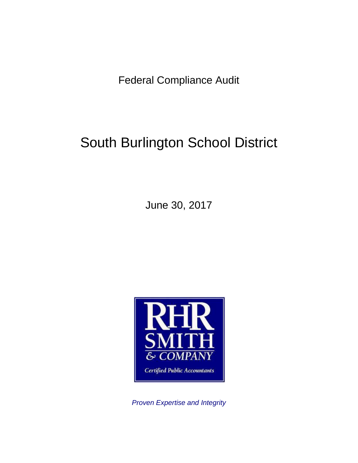Federal Compliance Audit

# South Burlington School District

June 30, 2017



*Proven Expertise and Integrity*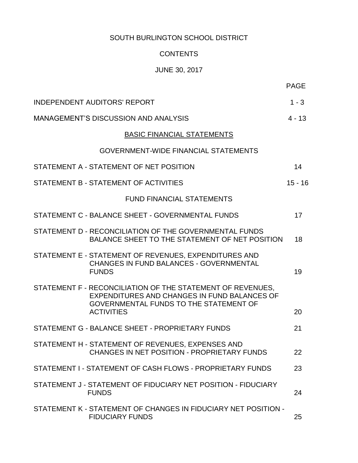# **CONTENTS**

# JUNE 30, 2017

|                                                                                                                                                                           | <b>PAGE</b> |
|---------------------------------------------------------------------------------------------------------------------------------------------------------------------------|-------------|
| <b>INDEPENDENT AUDITORS' REPORT</b>                                                                                                                                       | $1 - 3$     |
| <b>MANAGEMENT'S DISCUSSION AND ANALYSIS</b>                                                                                                                               | $4 - 13$    |
| <b>BASIC FINANCIAL STATEMENTS</b>                                                                                                                                         |             |
| <b>GOVERNMENT-WIDE FINANCIAL STATEMENTS</b>                                                                                                                               |             |
| STATEMENT A - STATEMENT OF NET POSITION                                                                                                                                   | 14          |
| STATEMENT B - STATEMENT OF ACTIVITIES                                                                                                                                     | $15 - 16$   |
| <b>FUND FINANCIAL STATEMENTS</b>                                                                                                                                          |             |
| STATEMENT C - BALANCE SHEET - GOVERNMENTAL FUNDS                                                                                                                          | 17          |
| STATEMENT D - RECONCILIATION OF THE GOVERNMENTAL FUNDS<br>BALANCE SHEET TO THE STATEMENT OF NET POSITION                                                                  | 18          |
| STATEMENT E - STATEMENT OF REVENUES, EXPENDITURES AND<br><b>CHANGES IN FUND BALANCES - GOVERNMENTAL</b><br><b>FUNDS</b>                                                   | 19          |
| STATEMENT F - RECONCILIATION OF THE STATEMENT OF REVENUES,<br>EXPENDITURES AND CHANGES IN FUND BALANCES OF<br>GOVERNMENTAL FUNDS TO THE STATEMENT OF<br><b>ACTIVITIES</b> | 20          |
| STATEMENT G - BALANCE SHEET - PROPRIETARY FUNDS                                                                                                                           | 21          |
| STATEMENT H - STATEMENT OF REVENUES, EXPENSES AND<br>CHANGES IN NET POSITION - PROPRIETARY FUNDS                                                                          | 22          |
| STATEMENT I - STATEMENT OF CASH FLOWS - PROPRIETARY FUNDS                                                                                                                 | 23          |
| STATEMENT J - STATEMENT OF FIDUCIARY NET POSITION - FIDUCIARY<br><b>FUNDS</b>                                                                                             | 24          |
| STATEMENT K - STATEMENT OF CHANGES IN FIDUCIARY NET POSITION -<br><b>FIDUCIARY FUNDS</b>                                                                                  | 25          |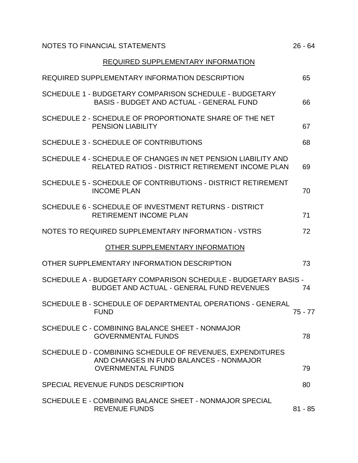| NOTES TO FINANCIAL STATEMENTS                                                                                                    | $26 - 64$ |
|----------------------------------------------------------------------------------------------------------------------------------|-----------|
| <b>REQUIRED SUPPLEMENTARY INFORMATION</b>                                                                                        |           |
| REQUIRED SUPPLEMENTARY INFORMATION DESCRIPTION                                                                                   | 65        |
| SCHEDULE 1 - BUDGETARY COMPARISON SCHEDULE - BUDGETARY<br><b>BASIS - BUDGET AND ACTUAL - GENERAL FUND</b>                        | 66        |
| SCHEDULE 2 - SCHEDULE OF PROPORTIONATE SHARE OF THE NET<br><b>PENSION LIABILITY</b>                                              | 67        |
| SCHEDULE 3 - SCHEDULE OF CONTRIBUTIONS                                                                                           | 68        |
| SCHEDULE 4 - SCHEDULE OF CHANGES IN NET PENSION LIABILITY AND<br><b>RELATED RATIOS - DISTRICT RETIREMENT INCOME PLAN</b>         | 69        |
| SCHEDULE 5 - SCHEDULE OF CONTRIBUTIONS - DISTRICT RETIREMENT<br><b>INCOME PLAN</b>                                               | 70        |
| SCHEDULE 6 - SCHEDULE OF INVESTMENT RETURNS - DISTRICT<br>RETIREMENT INCOME PLAN                                                 | 71        |
| NOTES TO REQUIRED SUPPLEMENTARY INFORMATION - VSTRS                                                                              | 72        |
| OTHER SUPPLEMENTARY INFORMATION                                                                                                  |           |
| OTHER SUPPLEMENTARY INFORMATION DESCRIPTION                                                                                      | 73        |
| SCHEDULE A - BUDGETARY COMPARISON SCHEDULE - BUDGETARY BASIS -<br><b>BUDGET AND ACTUAL - GENERAL FUND REVENUES</b>               | 74        |
| SCHEDULE B - SCHEDULE OF DEPARTMENTAL OPERATIONS - GENERAL<br><b>FUND</b>                                                        | $75 - 77$ |
| SCHEDULE C - COMBINING BALANCE SHEET - NONMAJOR<br><b>GOVERNMENTAL FUNDS</b>                                                     | 78        |
| SCHEDULE D - COMBINING SCHEDULE OF REVENUES, EXPENDITURES<br>AND CHANGES IN FUND BALANCES - NONMAJOR<br><b>OVERNMENTAL FUNDS</b> | 79        |
| SPECIAL REVENUE FUNDS DESCRIPTION                                                                                                | 80        |
| SCHEDULE E - COMBINING BALANCE SHEET - NONMAJOR SPECIAL<br><b>REVENUE FUNDS</b>                                                  | $81 - 85$ |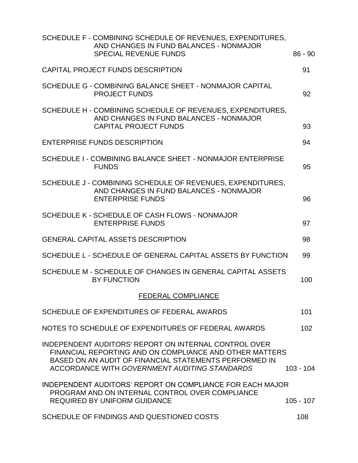| SCHEDULE F - COMBINING SCHEDULE OF REVENUES, EXPENDITURES,<br>AND CHANGES IN FUND BALANCES - NONMAJOR<br><b>SPECIAL REVENUE FUNDS</b>                                             | $86 - 90$        |
|-----------------------------------------------------------------------------------------------------------------------------------------------------------------------------------|------------------|
| CAPITAL PROJECT FUNDS DESCRIPTION                                                                                                                                                 | 91               |
| SCHEDULE G - COMBINING BALANCE SHEET - NONMAJOR CAPITAL<br><b>PROJECT FUNDS</b>                                                                                                   | 92               |
| SCHEDULE H - COMBINING SCHEDULE OF REVENUES, EXPENDITURES,<br>AND CHANGES IN FUND BALANCES - NONMAJOR<br><b>CAPITAL PROJECT FUNDS</b>                                             | 93               |
| <b>ENTERPRISE FUNDS DESCRIPTION</b>                                                                                                                                               | 94               |
| SCHEDULE I - COMBINING BALANCE SHEET - NONMAJOR ENTERPRISE<br><b>FUNDS</b>                                                                                                        | 95               |
| SCHEDULE J - COMBINING SCHEDULE OF REVENUES, EXPENDITURES,<br>AND CHANGES IN FUND BALANCES - NONMAJOR<br><b>ENTERPRISE FUNDS</b>                                                  | 96               |
| SCHEDULE K - SCHEDULE OF CASH FLOWS - NONMAJOR<br><b>ENTERPRISE FUNDS</b>                                                                                                         | 97               |
| <b>GENERAL CAPITAL ASSETS DESCRIPTION</b>                                                                                                                                         | 98               |
| SCHEDULE L - SCHEDULE OF GENERAL CAPITAL ASSETS BY FUNCTION                                                                                                                       | 99               |
| SCHEDULE M - SCHEDULE OF CHANGES IN GENERAL CAPITAL ASSETS<br><b>BY FUNCTION</b>                                                                                                  | 100              |
| <b>FEDERAL COMPLIANCE</b>                                                                                                                                                         |                  |
| SCHEDULE OF EXPENDITURES OF FEDERAL AWARDS                                                                                                                                        | 101              |
| NOTES TO SCHEDULE OF EXPENDITURES OF FEDERAL AWARDS                                                                                                                               | 102 <sub>2</sub> |
| <b>INDEPENDENT AUDITORS' REPORT ON INTERNAL CONTROL OVER</b><br>FINANCIAL REPORTING AND ON COMPLIANCE AND OTHER MATTERS<br>BASED ON AN AUDIT OF FINANCIAL STATEMENTS PERFORMED IN |                  |
| ACCORDANCE WITH GOVERNMENT AUDITING STANDARDS                                                                                                                                     | $103 - 104$      |
| INDEPENDENT AUDITORS' REPORT ON COMPLIANCE FOR EACH MAJOR<br>PROGRAM AND ON INTERNAL CONTROL OVER COMPLIANCE<br><b>REQUIRED BY UNIFORM GUIDANCE</b>                               | $105 - 107$      |
| SCHEDULE OF FINDINGS AND QUESTIONED COSTS                                                                                                                                         | 108              |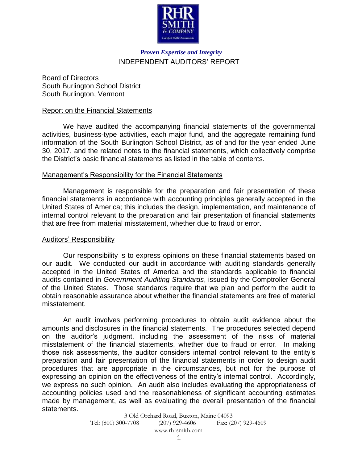

## INDEPENDENT AUDITORS' REPORT *Proven Expertise and Integrity*

Board of Directors South Burlington School District South Burlington, Vermont

## Report on the Financial Statements

We have audited the accompanying financial statements of the governmental activities, business-type activities, each major fund, and the aggregate remaining fund information of the South Burlington School District, as of and for the year ended June 30, 2017, and the related notes to the financial statements, which collectively comprise the District's basic financial statements as listed in the table of contents.

## Management's Responsibility for the Financial Statements

Management is responsible for the preparation and fair presentation of these financial statements in accordance with accounting principles generally accepted in the United States of America; this includes the design, implementation, and maintenance of internal control relevant to the preparation and fair presentation of financial statements that are free from material misstatement, whether due to fraud or error.

#### Auditors' Responsibility

Our responsibility is to express opinions on these financial statements based on our audit. We conducted our audit in accordance with auditing standards generally accepted in the United States of America and the standards applicable to financial audits contained in *Government Auditing Standards*, issued by the Comptroller General of the United States. Those standards require that we plan and perform the audit to obtain reasonable assurance about whether the financial statements are free of material misstatement.

An audit involves performing procedures to obtain audit evidence about the amounts and disclosures in the financial statements. The procedures selected depend on the auditor's judgment, including the assessment of the risks of material misstatement of the financial statements, whether due to fraud or error. In making those risk assessments, the auditor considers internal control relevant to the entity's preparation and fair presentation of the financial statements in order to design audit procedures that are appropriate in the circumstances, but not for the purpose of expressing an opinion on the effectiveness of the entity's internal control. Accordingly, we express no such opinion. An audit also includes evaluating the appropriateness of accounting policies used and the reasonableness of significant accounting estimates made by management, as well as evaluating the overall presentation of the financial statements.

> 3 Old Orchard Road, Buxton, Maine 04093 Tel: (800) 300-7708 (207) 929-4606 Fax: (207) 929-4609 www.rhrsmith.com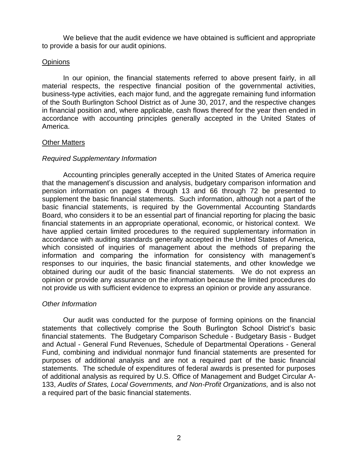We believe that the audit evidence we have obtained is sufficient and appropriate to provide a basis for our audit opinions.

## **Opinions**

In our opinion, the financial statements referred to above present fairly, in all material respects, the respective financial position of the governmental activities, business-type activities, each major fund, and the aggregate remaining fund information of the South Burlington School District as of June 30, 2017, and the respective changes in financial position and, where applicable, cash flows thereof for the year then ended in accordance with accounting principles generally accepted in the United States of America.

## Other Matters

## *Required Supplementary Information*

Accounting principles generally accepted in the United States of America require that the management's discussion and analysis, budgetary comparison information and pension information on pages 4 through 13 and 66 through 72 be presented to supplement the basic financial statements. Such information, although not a part of the basic financial statements, is required by the Governmental Accounting Standards Board, who considers it to be an essential part of financial reporting for placing the basic financial statements in an appropriate operational, economic, or historical context. We have applied certain limited procedures to the required supplementary information in accordance with auditing standards generally accepted in the United States of America, which consisted of inquiries of management about the methods of preparing the information and comparing the information for consistency with management's responses to our inquiries, the basic financial statements, and other knowledge we obtained during our audit of the basic financial statements. We do not express an opinion or provide any assurance on the information because the limited procedures do not provide us with sufficient evidence to express an opinion or provide any assurance.

#### *Other Information*

Our audit was conducted for the purpose of forming opinions on the financial statements that collectively comprise the South Burlington School District's basic financial statements. The Budgetary Comparison Schedule - Budgetary Basis - Budget and Actual - General Fund Revenues, Schedule of Departmental Operations - General Fund, combining and individual nonmajor fund financial statements are presented for purposes of additional analysis and are not a required part of the basic financial statements. The schedule of expenditures of federal awards is presented for purposes of additional analysis as required by U.S. Office of Management and Budget Circular A-133, *Audits of States, Local Governments, and Non-Profit Organizations,* and is also not a required part of the basic financial statements.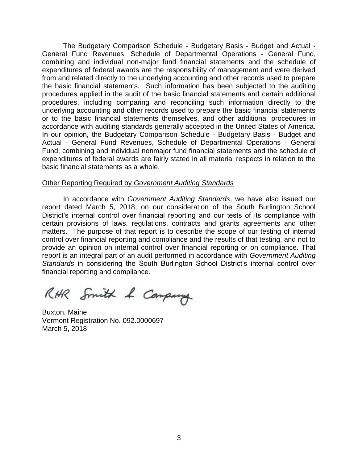The Budgetary Comparison Schedule - Budgetary Basis - Budget and Actual - General Fund Revenues, Schedule of Departmental Operations - General Fund, combining and individual non-major fund financial statements and the schedule of expenditures of federal awards are the responsibility of management and were derived from and related directly to the underlying accounting and other records used to prepare the basic financial statements. Such information has been subjected to the auditing procedures applied in the audit of the basic financial statements and certain additional procedures, including comparing and reconciling such information directly to the underlying accounting and other records used to prepare the basic financial statements or to the basic financial statements themselves, and other additional procedures in accordance with auditing standards generally accepted in the United States of America. In our opinion, the Budgetary Comparison Schedule - Budgetary Basis - Budget and Actual - General Fund Revenues, Schedule of Departmental Operations - General Fund, combining and individual nonmajor fund financial statements and the schedule of expenditures of federal awards are fairly stated in all material respects in relation to the basic financial statements as a whole.

## Other Reporting Required by *Government Auditing Standards*

In accordance with *Government Auditing Standards*, we have also issued our report dated March 5, 2018, on our consideration of the South Burlington School District's internal control over financial reporting and our tests of its compliance with certain provisions of laws, regulations, contracts and grants agreements and other matters. The purpose of that report is to describe the scope of our testing of internal control over financial reporting and compliance and the results of that testing, and not to provide an opinion on internal control over financial reporting or on compliance. That report is an integral part of an audit performed in accordance with *Government Auditing Standards* in considering the South Burlington School District's internal control over financial reporting and compliance.

RHR Smith & Company

Buxton, Maine Vermont Registration No. 092.0000697 March 5, 2018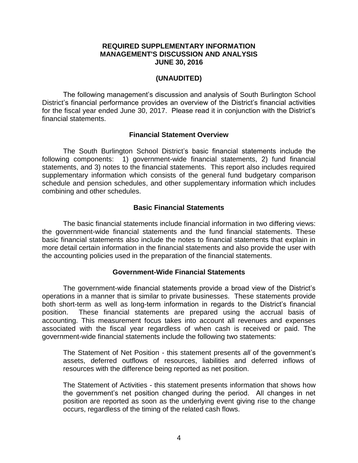## **REQUIRED SUPPLEMENTARY INFORMATION MANAGEMENT'S DISCUSSION AND ANALYSIS JUNE 30, 2016**

#### **(UNAUDITED)**

The following management's discussion and analysis of South Burlington School District's financial performance provides an overview of the District's financial activities for the fiscal year ended June 30, 2017. Please read it in conjunction with the District's financial statements.

## **Financial Statement Overview**

The South Burlington School District's basic financial statements include the following components: 1) government-wide financial statements, 2) fund financial statements, and 3) notes to the financial statements. This report also includes required supplementary information which consists of the general fund budgetary comparison schedule and pension schedules, and other supplementary information which includes combining and other schedules.

## **Basic Financial Statements**

The basic financial statements include financial information in two differing views: the government-wide financial statements and the fund financial statements. These basic financial statements also include the notes to financial statements that explain in more detail certain information in the financial statements and also provide the user with the accounting policies used in the preparation of the financial statements.

#### **Government-Wide Financial Statements**

The government-wide financial statements provide a broad view of the District's operations in a manner that is similar to private businesses. These statements provide both short-term as well as long-term information in regards to the District's financial position. These financial statements are prepared using the accrual basis of accounting. This measurement focus takes into account all revenues and expenses associated with the fiscal year regardless of when cash is received or paid. The government-wide financial statements include the following two statements:

The Statement of Net Position - this statement presents *all* of the government's assets, deferred outflows of resources, liabilities and deferred inflows of resources with the difference being reported as net position.

The Statement of Activities - this statement presents information that shows how the government's net position changed during the period. All changes in net position are reported as soon as the underlying event giving rise to the change occurs, regardless of the timing of the related cash flows.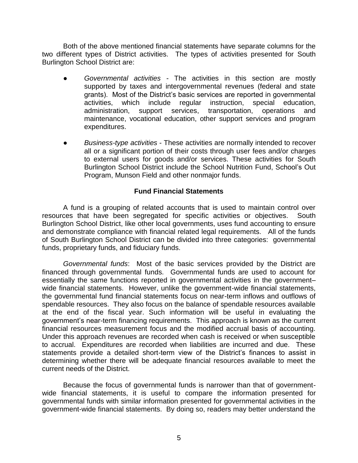Both of the above mentioned financial statements have separate columns for the two different types of District activities. The types of activities presented for South Burlington School District are:

- *Governmental activities* The activities in this section are mostly supported by taxes and intergovernmental revenues (federal and state grants). Most of the District's basic services are reported in governmental activities, which include regular instruction, special education, administration, support services, transportation, operations and maintenance, vocational education, other support services and program expenditures.
- **Business-type activities** These activities are normally intended to recover all or a significant portion of their costs through user fees and/or charges to external users for goods and/or services. These activities for South Burlington School District include the School Nutrition Fund, School's Out Program, Munson Field and other nonmajor funds.

## **Fund Financial Statements**

A fund is a grouping of related accounts that is used to maintain control over resources that have been segregated for specific activities or objectives. South Burlington School District, like other local governments, uses fund accounting to ensure and demonstrate compliance with financial related legal requirements. All of the funds of South Burlington School District can be divided into three categories: governmental funds, proprietary funds, and fiduciary funds.

*Governmental funds*: Most of the basic services provided by the District are financed through governmental funds. Governmental funds are used to account for essentially the same functions reported in governmental activities in the government– wide financial statements. However, unlike the government-wide financial statements, the governmental fund financial statements focus on near-term inflows and outflows of spendable resources. They also focus on the balance of spendable resources available at the end of the fiscal year. Such information will be useful in evaluating the government's near-term financing requirements. This approach is known as the current financial resources measurement focus and the modified accrual basis of accounting. Under this approach revenues are recorded when cash is received or when susceptible to accrual. Expenditures are recorded when liabilities are incurred and due. These statements provide a detailed short-term view of the District's finances to assist in determining whether there will be adequate financial resources available to meet the current needs of the District.

Because the focus of governmental funds is narrower than that of governmentwide financial statements, it is useful to compare the information presented for governmental funds with similar information presented for governmental activities in the government-wide financial statements. By doing so, readers may better understand the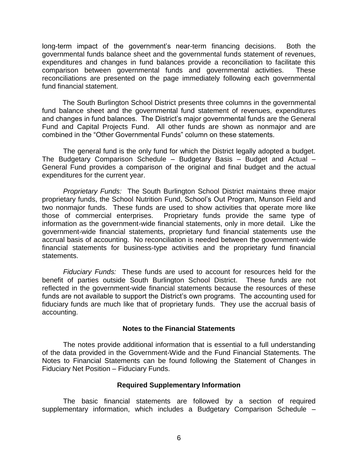long-term impact of the government's near-term financing decisions. Both the governmental funds balance sheet and the governmental funds statement of revenues, expenditures and changes in fund balances provide a reconciliation to facilitate this comparison between governmental funds and governmental activities. These reconciliations are presented on the page immediately following each governmental fund financial statement.

The South Burlington School District presents three columns in the governmental fund balance sheet and the governmental fund statement of revenues, expenditures and changes in fund balances. The District's major governmental funds are the General Fund and Capital Projects Fund. All other funds are shown as nonmajor and are combined in the "Other Governmental Funds" column on these statements.

The general fund is the only fund for which the District legally adopted a budget. The Budgetary Comparison Schedule – Budgetary Basis – Budget and Actual – General Fund provides a comparison of the original and final budget and the actual expenditures for the current year.

*Proprietary Funds:* The South Burlington School District maintains three major proprietary funds, the School Nutrition Fund, School's Out Program, Munson Field and two nonmajor funds. These funds are used to show activities that operate more like those of commercial enterprises. Proprietary funds provide the same type of information as the government-wide financial statements, only in more detail. Like the government-wide financial statements, proprietary fund financial statements use the accrual basis of accounting. No reconciliation is needed between the government-wide financial statements for business-type activities and the proprietary fund financial statements.

*Fiduciary Funds:* These funds are used to account for resources held for the benefit of parties outside South Burlington School District. These funds are not reflected in the government-wide financial statements because the resources of these funds are not available to support the District's own programs. The accounting used for fiduciary funds are much like that of proprietary funds. They use the accrual basis of accounting.

#### **Notes to the Financial Statements**

The notes provide additional information that is essential to a full understanding of the data provided in the Government-Wide and the Fund Financial Statements. The Notes to Financial Statements can be found following the Statement of Changes in Fiduciary Net Position – Fiduciary Funds.

## **Required Supplementary Information**

The basic financial statements are followed by a section of required supplementary information, which includes a Budgetary Comparison Schedule –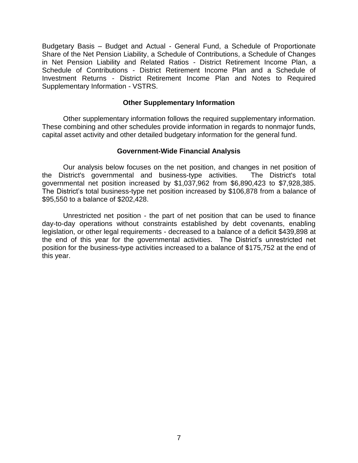Budgetary Basis – Budget and Actual - General Fund, a Schedule of Proportionate Share of the Net Pension Liability, a Schedule of Contributions, a Schedule of Changes in Net Pension Liability and Related Ratios - District Retirement Income Plan, a Schedule of Contributions - District Retirement Income Plan and a Schedule of Investment Returns - District Retirement Income Plan and Notes to Required Supplementary Information - VSTRS.

#### **Other Supplementary Information**

Other supplementary information follows the required supplementary information. These combining and other schedules provide information in regards to nonmajor funds, capital asset activity and other detailed budgetary information for the general fund.

## **Government-Wide Financial Analysis**

Our analysis below focuses on the net position, and changes in net position of the District's governmental and business-type activities. The District's total governmental net position increased by \$1,037,962 from \$6,890,423 to \$7,928,385. The District's total business-type net position increased by \$106,878 from a balance of \$95,550 to a balance of \$202,428.

Unrestricted net position - the part of net position that can be used to finance day-to-day operations without constraints established by debt covenants, enabling legislation, or other legal requirements - decreased to a balance of a deficit \$439,898 at the end of this year for the governmental activities. The District's unrestricted net position for the business-type activities increased to a balance of \$175,752 at the end of this year.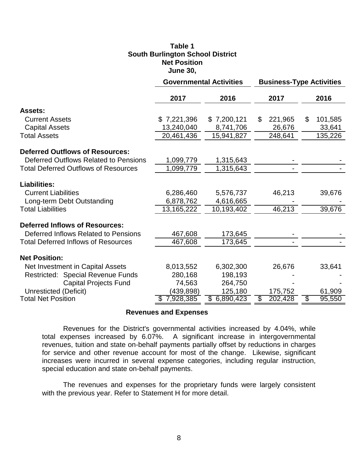## **Table 1 South Burlington School District Net Position June 30,**

|                                             | <b>Governmental Activities</b> |                  | <b>Business-Type Activities</b> |               |  |
|---------------------------------------------|--------------------------------|------------------|---------------------------------|---------------|--|
|                                             | 2017                           | 2016             | 2017                            | 2016          |  |
| <b>Assets:</b>                              |                                |                  |                                 |               |  |
| <b>Current Assets</b>                       | \$7,221,396                    | \$7,200,121      | 221,965<br>$\mathfrak{L}$       | 101,585<br>\$ |  |
| <b>Capital Assets</b>                       | 13,240,040                     | 8,741,706        | 26,676                          | 33,641        |  |
| <b>Total Assets</b>                         | 20,461,436                     | 15,941,827       | 248,641                         | 135,226       |  |
| <b>Deferred Outflows of Resources:</b>      |                                |                  |                                 |               |  |
| Deferred Outflows Related to Pensions       | 1,099,779                      | 1,315,643        |                                 |               |  |
| <b>Total Deferred Outflows of Resources</b> | 1,099,779                      | 1,315,643        |                                 |               |  |
| <b>Liabilities:</b>                         |                                |                  |                                 |               |  |
| <b>Current Liabilities</b>                  | 6,286,460                      | 5,576,737        | 46,213                          | 39,676        |  |
| Long-term Debt Outstanding                  | 6,878,762                      | 4,616,665        |                                 |               |  |
| <b>Total Liabilities</b>                    | 13,165,222                     | 10,193,402       | 46,213                          | 39,676        |  |
| <b>Deferred Inflows of Resources:</b>       |                                |                  |                                 |               |  |
| Deferred Inflows Related to Pensions        | 467,608                        | 173,645          |                                 |               |  |
| <b>Total Deferred Inflows of Resources</b>  | 467,608                        | 173,645          |                                 |               |  |
| <b>Net Position:</b>                        |                                |                  |                                 |               |  |
| Net Investment in Capital Assets            | 8,013,552                      | 6,302,300        | 26,676                          | 33,641        |  |
| Restricted: Special Revenue Funds           | 280,168                        | 198,193          |                                 |               |  |
| <b>Capital Projects Fund</b>                | 74,563                         | 264,750          |                                 |               |  |
| Unresticted (Deficit)                       | (439, 898)                     | 125,180          | 175,752                         | 61,909        |  |
| <b>Total Net Position</b>                   | ,928,385                       | 6,890,423<br>\$. | 202,428<br>S                    | 95,550<br>S   |  |

## **Revenues and Expenses**

Revenues for the District's governmental activities increased by 4.04%, while total expenses increased by 6.07%. A significant increase in intergovernmental revenues, tuition and state on-behalf payments partially offset by reductions in charges for service and other revenue account for most of the change. Likewise, significant increases were incurred in several expense categories, including regular instruction, special education and state on-behalf payments.

The revenues and expenses for the proprietary funds were largely consistent with the previous year. Refer to Statement H for more detail.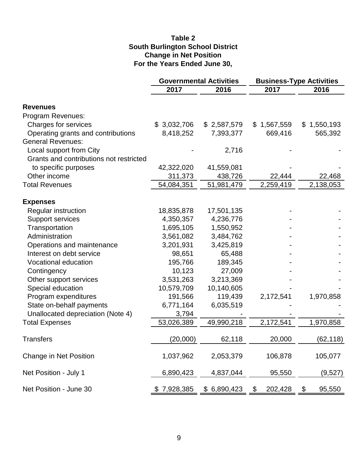# **Table 2 South Burlington School District Change in Net Position For the Years Ended June 30,**

|                                         |             | <b>Governmental Activities</b> |               | <b>Business-Type Activities</b> |  |
|-----------------------------------------|-------------|--------------------------------|---------------|---------------------------------|--|
|                                         | 2017        | 2016                           | 2017          | 2016                            |  |
| <b>Revenues</b>                         |             |                                |               |                                 |  |
| Program Revenues:                       |             |                                |               |                                 |  |
| Charges for services                    | \$3,032,706 | \$2,587,579                    | \$1,567,559   | \$1,550,193                     |  |
| Operating grants and contributions      | 8,418,252   | 7,393,377                      | 669,416       | 565,392                         |  |
| <b>General Revenues:</b>                |             |                                |               |                                 |  |
| Local support from City                 |             | 2,716                          |               |                                 |  |
| Grants and contributions not restricted |             |                                |               |                                 |  |
| to specific purposes                    | 42,322,020  | 41,559,081                     |               |                                 |  |
| Other income                            | 311,373     | 438,726                        | 22,444        | 22,468                          |  |
| <b>Total Revenues</b>                   | 54,084,351  | 51,981,479                     | 2,259,419     | 2,138,053                       |  |
| <b>Expenses</b>                         |             |                                |               |                                 |  |
| <b>Regular instruction</b>              | 18,835,878  | 17,501,135                     |               |                                 |  |
| <b>Support services</b>                 | 4,350,357   | 4,236,776                      |               |                                 |  |
| Transportation                          | 1,695,105   | 1,550,952                      |               |                                 |  |
| Administration                          | 3,561,082   | 3,484,762                      |               |                                 |  |
| Operations and maintenance              | 3,201,931   | 3,425,819                      |               |                                 |  |
| Interest on debt service                | 98,651      | 65,488                         |               |                                 |  |
| Vocational education                    | 195,766     | 189,345                        |               |                                 |  |
| Contingency                             | 10,123      | 27,009                         |               |                                 |  |
| Other support services                  | 3,531,263   | 3,213,369                      |               |                                 |  |
| Special education                       | 10,579,709  | 10,140,605                     |               |                                 |  |
| Program expenditures                    | 191,566     | 119,439                        | 2,172,541     | 1,970,858                       |  |
| State on-behalf payments                | 6,771,164   | 6,035,519                      |               |                                 |  |
| Unallocated depreciation (Note 4)       | 3,794       |                                |               |                                 |  |
| <b>Total Expenses</b>                   | 53,026,389  | 49,990,218                     | 2,172,541     | 1,970,858                       |  |
| <b>Transfers</b>                        | (20,000)    | 62,118                         | 20,000        | (62, 118)                       |  |
| Change in Net Position                  | 1,037,962   | 2,053,379                      | 106,878       | 105,077                         |  |
| Net Position - July 1                   | 6,890,423   | 4,837,044                      | 95,550        | (9,527)                         |  |
| Net Position - June 30                  | \$7,928,385 | \$6,890,423                    | 202,428<br>\$ | 95,550<br>\$                    |  |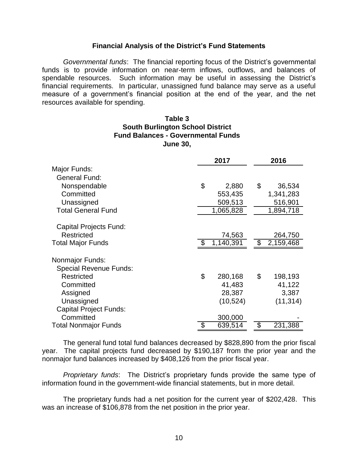## **Financial Analysis of the District's Fund Statements**

*Governmental funds*: The financial reporting focus of the District's governmental funds is to provide information on near-term inflows, outflows, and balances of spendable resources. Such information may be useful in assessing the District's financial requirements. In particular, unassigned fund balance may serve as a useful measure of a government's financial position at the end of the year, and the net resources available for spending.

## **Table 3 South Burlington School District Fund Balances - Governmental Funds June 30,**

|                                      | 2017          | 2016          |
|--------------------------------------|---------------|---------------|
| Major Funds:                         |               |               |
| <b>General Fund:</b>                 |               |               |
| Nonspendable                         | \$<br>2,880   | \$<br>36,534  |
| Committed                            | 553,435       | 1,341,283     |
| Unassigned                           | 509,513       | 516,901       |
| <b>Total General Fund</b>            | 1,065,828     | 1,894,718     |
|                                      |               |               |
| Capital Projects Fund:<br>Restricted | 74,563        | 264,750       |
| <b>Total Major Funds</b>             | 1,140,391     | 2,159,468     |
|                                      |               |               |
| <b>Nonmajor Funds:</b>               |               |               |
| <b>Special Revenue Funds:</b>        |               |               |
| Restricted                           | \$<br>280,168 | \$<br>198,193 |
| Committed                            | 41,483        | 41,122        |
| Assigned                             | 28,387        | 3,387         |
| Unassigned                           | (10, 524)     | (11, 314)     |
| <b>Capital Project Funds:</b>        |               |               |
| Committed                            | 300,000       |               |
| <b>Total Nonmajor Funds</b>          | \$<br>639,514 | \$<br>231,388 |

The general fund total fund balances decreased by \$828,890 from the prior fiscal year. The capital projects fund decreased by \$190,187 from the prior year and the nonmajor fund balances increased by \$408,126 from the prior fiscal year.

*Proprietary funds*: The District's proprietary funds provide the same type of information found in the government-wide financial statements, but in more detail.

The proprietary funds had a net position for the current year of \$202,428. This was an increase of \$106,878 from the net position in the prior year.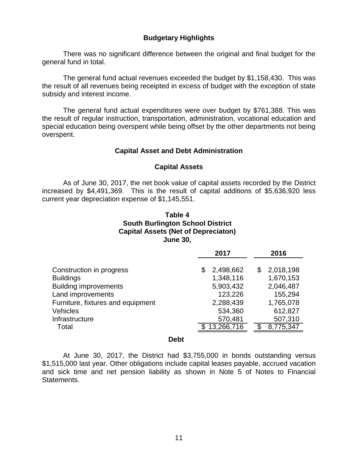## **Budgetary Highlights**

There was no significant difference between the original and final budget for the general fund in total.

The general fund actual revenues exceeded the budget by \$1,158,430. This was the result of all revenues being receipted in excess of budget with the exception of state subsidy and interest income.

The general fund actual expenditures were over budget by \$761,388. This was the result of regular instruction, transportation, administration, vocational education and special education being overspent while being offset by the other departments not being overspent.

## **Capital Asset and Debt Administration**

## **Capital Assets**

As of June 30, 2017, the net book value of capital assets recorded by the District increased by \$4,491,369. This is the result of capital additions of \$5,636,920 less current year depreciation expense of \$1,145,551.

## **Table 4 South Burlington School District Capital Assets (Net of Depreciaton) June 30,**

|                                   | 2017           | 2016            |
|-----------------------------------|----------------|-----------------|
| Construction in progress          | 2,498,662<br>S | 2,018,198<br>S. |
| <b>Buildings</b>                  | 1,348,116      | 1,670,153       |
| <b>Building improvements</b>      | 5,903,432      | 2,046,487       |
| Land improvements                 | 123,226        | 155,294         |
| Furniture, fixtures and equipment | 2,288,439      | 1,765,078       |
| <b>Vehicles</b>                   | 534,360        | 612,827         |
| Infrastructure                    | 570,481        | 507,310         |
| Total                             | 13,266,716     | 8,775,347       |

#### **Debt**

At June 30, 2017, the District had \$3,755,000 in bonds outstanding versus \$1,515,000 last year. Other obligations include capital leases payable, accrued vacation and sick time and net pension liability as shown in Note 5 of Notes to Financial Statements.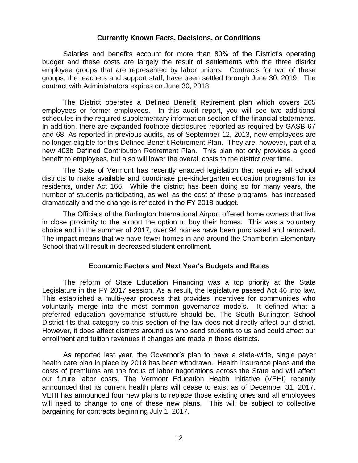## **Currently Known Facts, Decisions, or Conditions**

Salaries and benefits account for more than 80% of the District's operating budget and these costs are largely the result of settlements with the three district employee groups that are represented by labor unions. Contracts for two of these groups, the teachers and support staff, have been settled through June 30, 2019. The contract with Administrators expires on June 30, 2018.

The District operates a Defined Benefit Retirement plan which covers 265 employees or former employees. In this audit report, you will see two additional schedules in the required supplementary information section of the financial statements. In addition, there are expanded footnote disclosures reported as required by GASB 67 and 68. As reported in previous audits, as of September 12, 2013, new employees are no longer eligible for this Defined Benefit Retirement Plan. They are, however, part of a new 403b Defined Contribution Retirement Plan. This plan not only provides a good benefit to employees, but also will lower the overall costs to the district over time.

The State of Vermont has recently enacted legislation that requires all school districts to make available and coordinate pre-kindergarten education programs for its residents, under Act 166. While the district has been doing so for many years, the number of students participating, as well as the cost of these programs, has increased dramatically and the change is reflected in the FY 2018 budget.

The Officials of the Burlington International Airport offered home owners that live in close proximity to the airport the option to buy their homes. This was a voluntary choice and in the summer of 2017, over 94 homes have been purchased and removed. The impact means that we have fewer homes in and around the Chamberlin Elementary School that will result in decreased student enrollment.

## **Economic Factors and Next Year's Budgets and Rates**

The reform of State Education Financing was a top priority at the State Legislature in the FY 2017 session. As a result, the legislature passed Act 46 into law. This established a multi-year process that provides incentives for communities who voluntarily merge into the most common governance models. It defined what a preferred education governance structure should be. The South Burlington School District fits that category so this section of the law does not directly affect our district. However, it does affect districts around us who send students to us and could affect our enrollment and tuition revenues if changes are made in those districts.

As reported last year, the Governor's plan to have a state-wide, single payer health care plan in place by 2018 has been withdrawn. Health Insurance plans and the costs of premiums are the focus of labor negotiations across the State and will affect our future labor costs. The Vermont Education Health Initiative (VEHI) recently announced that its current health plans will cease to exist as of December 31, 2017. VEHI has announced four new plans to replace those existing ones and all employees will need to change to one of these new plans. This will be subject to collective bargaining for contracts beginning July 1, 2017.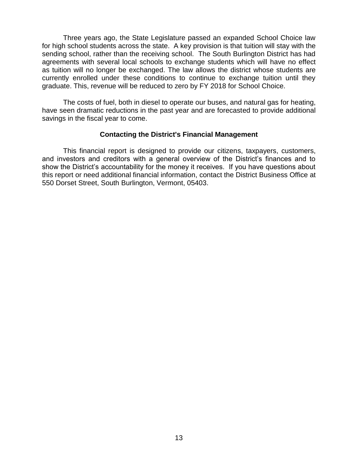Three years ago, the State Legislature passed an expanded School Choice law for high school students across the state. A key provision is that tuition will stay with the sending school, rather than the receiving school. The South Burlington District has had agreements with several local schools to exchange students which will have no effect as tuition will no longer be exchanged. The law allows the district whose students are currently enrolled under these conditions to continue to exchange tuition until they graduate. This, revenue will be reduced to zero by FY 2018 for School Choice.

The costs of fuel, both in diesel to operate our buses, and natural gas for heating, have seen dramatic reductions in the past year and are forecasted to provide additional savings in the fiscal year to come.

## **Contacting the District's Financial Management**

This financial report is designed to provide our citizens, taxpayers, customers, and investors and creditors with a general overview of the District's finances and to show the District's accountability for the money it receives. If you have questions about this report or need additional financial information, contact the District Business Office at 550 Dorset Street, South Burlington, Vermont, 05403.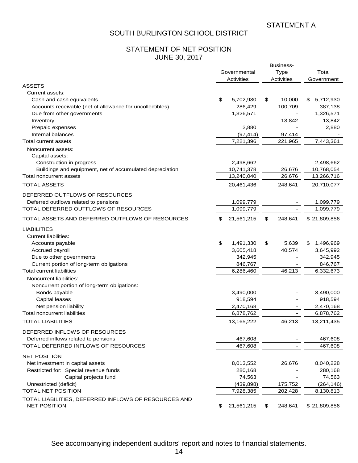STATEMENT A

# SOUTH BURLINGTON SCHOOL DISTRICT

## STATEMENT OF NET POSITION JUNE 30, 2017

|                                                           | Business-                    |                       |                              |  |
|-----------------------------------------------------------|------------------------------|-----------------------|------------------------------|--|
|                                                           | Governmental                 | <b>Type</b>           | Total                        |  |
|                                                           | <b>Activities</b>            | Activities            | Government                   |  |
| <b>ASSETS</b>                                             |                              |                       |                              |  |
| Current assets:                                           |                              |                       |                              |  |
| Cash and cash equivalents                                 | \$<br>5,702,930              | \$<br>10,000          | 5,712,930<br>\$              |  |
| Accounts receivable (net of allowance for uncollectibles) | 286,429                      | 100,709               | 387,138                      |  |
| Due from other governments                                | 1,326,571                    |                       | 1,326,571                    |  |
| Inventory<br>Prepaid expenses                             | 2,880                        | 13,842                | 13,842<br>2,880              |  |
| Internal balances                                         | (97, 414)                    | 97,414                |                              |  |
| <b>Total current assets</b>                               | 7,221,396                    | 221,965               | 7,443,361                    |  |
| Noncurrent assets:                                        |                              |                       |                              |  |
| Capital assets:                                           |                              |                       |                              |  |
| Construction in progress                                  | 2,498,662                    |                       | 2,498,662                    |  |
| Buildings and equipment, net of accumulated depreciation  | 10,741,378                   | 26,676                | 10,768,054                   |  |
| Total noncurrent assets                                   | 13,240,040                   | 26,676                | 13,266,716                   |  |
| <b>TOTAL ASSETS</b>                                       | 20,461,436                   | 248,641               | 20,710,077                   |  |
| DEFERRED OUTFLOWS OF RESOURCES                            |                              |                       |                              |  |
| Deferred outflows related to pensions                     | 1,099,779                    |                       | 1,099,779                    |  |
| TOTAL DEFERRED OUTFLOWS OF RESOURCES                      | 1,099,779                    |                       | 1,099,779                    |  |
| TOTAL ASSETS AND DEFERRED OUTFLOWS OF RESOURCES           | 21,561,215                   | 248,641<br>\$         | \$21,809,856                 |  |
|                                                           |                              |                       |                              |  |
| <b>LIABILITIES</b>                                        |                              |                       |                              |  |
| Current liabilities:                                      |                              |                       |                              |  |
| Accounts payable<br>Accrued payroll                       | \$<br>1,491,330<br>3,605,418 | 5,639<br>\$<br>40,574 | 1,496,969<br>\$<br>3,645,992 |  |
| Due to other governments                                  | 342,945                      |                       | 342,945                      |  |
| Current portion of long-term obligations                  | 846,767                      |                       | 846,767                      |  |
| <b>Total current liabilities</b>                          | 6,286,460                    | 46,213                | 6,332,673                    |  |
| Noncurrent liabilities:                                   |                              |                       |                              |  |
| Noncurrent portion of long-term obligations:              |                              |                       |                              |  |
| Bonds payable                                             | 3,490,000                    |                       | 3,490,000                    |  |
| Capital leases                                            | 918,594                      |                       | 918,594                      |  |
| Net pension liability                                     | 2,470,168                    |                       | 2,470,168                    |  |
| <b>Total noncurrent liabilities</b>                       | 6,878,762                    |                       | 6,878,762                    |  |
| <b>TOTAL LIABILITIES</b>                                  | 13,165,222                   | 46,213                | 13,211,435                   |  |
| DEFERRED INFLOWS OF RESOURCES                             |                              |                       |                              |  |
| Deferred inflows related to pensions                      | 467,608                      |                       | 467,608                      |  |
| TOTAL DEFERRED INFLOWS OF RESOURCES                       | 467,608                      |                       | 467,608                      |  |
| <b>NET POSITION</b>                                       |                              |                       |                              |  |
| Net investment in capital assets                          | 8,013,552                    | 26,676                | 8,040,228                    |  |
| Restricted for: Special revenue funds                     | 280,168                      |                       | 280,168                      |  |
| Capital projects fund                                     | 74,563                       |                       | 74,563                       |  |
| Unrestricted (deficit)                                    | (439, 898)                   | 175,752               | (264, 146)                   |  |
| <b>TOTAL NET POSITION</b>                                 | 7,928,385                    | 202,428               | 8,130,813                    |  |
| TOTAL LIABILITIES, DEFERRED INFLOWS OF RESOURCES AND      |                              |                       |                              |  |
| <b>NET POSITION</b>                                       | 21,561,215                   | 248,641<br>\$         | \$21,809,856                 |  |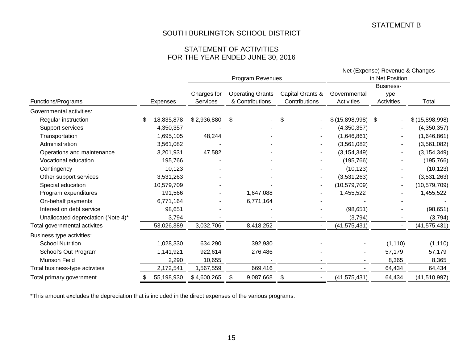## STATEMENT OF ACTIVITIES FOR THE YEAR ENDED JUNE 30, 2016

|                                    |                  |             |                  |                         |                  |                     | Net (Expense) Revenue & Changes |                |  |  |
|------------------------------------|------------------|-------------|------------------|-------------------------|------------------|---------------------|---------------------------------|----------------|--|--|
|                                    |                  |             | Program Revenues |                         |                  |                     | in Net Position                 |                |  |  |
|                                    |                  |             |                  |                         |                  |                     | Business-                       |                |  |  |
|                                    |                  | Charges for |                  | <b>Operating Grants</b> | Capital Grants & | Governmental        | <b>Type</b>                     |                |  |  |
| Functions/Programs                 | <b>Expenses</b>  | Services    |                  | & Contributions         | Contributions    | <b>Activities</b>   | Activities                      | Total          |  |  |
| Governmental activities:           |                  |             |                  |                         |                  |                     |                                 |                |  |  |
| Regular instruction                | \$<br>18,835,878 | \$2,936,880 | \$               |                         | \$               | $$ (15,898,998)$ \$ |                                 | \$(15,898,998) |  |  |
| Support services                   | 4,350,357        |             |                  |                         |                  | (4,350,357)         |                                 | (4,350,357)    |  |  |
| Transportation                     | 1,695,105        | 48,244      |                  |                         |                  | (1,646,861)         |                                 | (1,646,861)    |  |  |
| Administration                     | 3,561,082        |             |                  |                         |                  | (3,561,082)         | $\blacksquare$                  | (3,561,082)    |  |  |
| Operations and maintenance         | 3,201,931        | 47,582      |                  |                         |                  | (3, 154, 349)       | $\overline{\phantom{a}}$        | (3, 154, 349)  |  |  |
| Vocational education               | 195,766          |             |                  |                         |                  | (195, 766)          |                                 | (195, 766)     |  |  |
| Contingency                        | 10,123           |             |                  |                         |                  | (10, 123)           |                                 | (10, 123)      |  |  |
| Other support services             | 3,531,263        |             |                  |                         |                  | (3,531,263)         |                                 | (3,531,263)    |  |  |
| Special education                  | 10,579,709       |             |                  |                         |                  | (10, 579, 709)      |                                 | (10, 579, 709) |  |  |
| Program expenditures               | 191,566          |             |                  | 1,647,088               |                  | 1,455,522           |                                 | 1,455,522      |  |  |
| On-behalf payments                 | 6,771,164        |             |                  | 6,771,164               |                  |                     |                                 |                |  |  |
| Interest on debt service           | 98,651           |             |                  |                         |                  | (98, 651)           |                                 | (98, 651)      |  |  |
| Unallocated depreciation (Note 4)* | 3,794            |             |                  |                         |                  | (3,794)             |                                 | (3,794)        |  |  |
| Total governmental activites       | 53,026,389       | 3,032,706   |                  | 8,418,252               |                  | (41, 575, 431)      | $\sim$                          | (41, 575, 431) |  |  |
| Business type activities:          |                  |             |                  |                         |                  |                     |                                 |                |  |  |
| <b>School Nutrition</b>            | 1,028,330        | 634,290     |                  | 392,930                 |                  |                     | (1, 110)                        | (1, 110)       |  |  |
| School's Out Program               | 1,141,921        | 922,614     |                  | 276,486                 |                  |                     | 57,179                          | 57,179         |  |  |
| <b>Munson Field</b>                | 2,290            | 10,655      |                  |                         |                  |                     | 8,365                           | 8,365          |  |  |
| Total business-type activities     | 2,172,541        | 1,567,559   |                  | 669,416                 |                  |                     | 64,434                          | 64,434         |  |  |
| Total primary government           | 55,198,930       | \$4,600,265 | \$               | 9,087,668               | \$               | (41, 575, 431)      | 64,434                          | (41,510,997)   |  |  |

\*This amount excludes the depreciation that is included in the direct expenses of the various programs.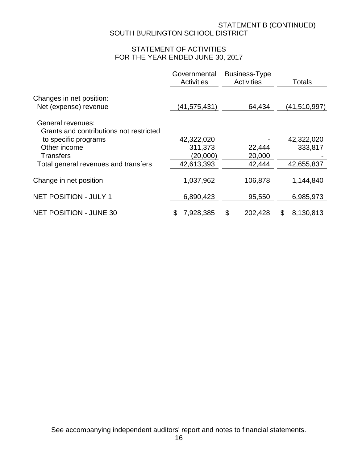## STATEMENT B (CONTINUED) SOUTH BURLINGTON SCHOOL DISTRICT

## STATEMENT OF ACTIVITIES FOR THE YEAR ENDED JUNE 30, 2017

|                                         | Governmental<br><b>Activities</b> | <b>Business-Type</b><br><b>Activities</b> | <b>Totals</b>   |
|-----------------------------------------|-----------------------------------|-------------------------------------------|-----------------|
|                                         |                                   |                                           |                 |
| Changes in net position:                |                                   |                                           |                 |
| Net (expense) revenue                   | (41, 575, 431)                    | 64,434                                    | (41,510,997)    |
| General revenues:                       |                                   |                                           |                 |
| Grants and contributions not restricted |                                   |                                           |                 |
| to specific programs                    | 42,322,020                        |                                           | 42,322,020      |
| Other income                            |                                   |                                           |                 |
|                                         | 311,373                           | 22,444                                    | 333,817         |
| <b>Transfers</b>                        | (20,000)                          | 20,000                                    |                 |
| Total general revenues and transfers    | 42,613,393                        | 42,444                                    | 42,655,837      |
| Change in net position                  | 1,037,962                         | 106,878                                   | 1,144,840       |
|                                         |                                   |                                           |                 |
| <b>NET POSITION - JULY 1</b>            | 6,890,423                         | 95,550                                    | 6,985,973       |
| <b>NET POSITION - JUNE 30</b>           | 7,928,385<br>æ.                   | 202,428<br>\$                             | 8,130,813<br>æ. |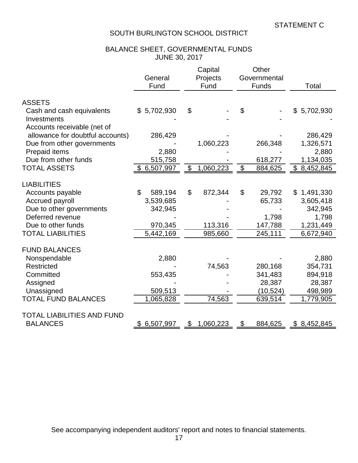## BALANCE SHEET, GOVERNMENTAL FUNDS JUNE 30, 2017

|                                   |                 | Capital                     | Other                               |                    |
|-----------------------------------|-----------------|-----------------------------|-------------------------------------|--------------------|
|                                   | General         | Projects                    |                                     |                    |
|                                   | Fund            | Fund                        | Funds                               | Total              |
|                                   |                 |                             |                                     |                    |
| <b>ASSETS</b>                     |                 |                             |                                     |                    |
| Cash and cash equivalents         | \$5,702,930     | \$                          | \$                                  | \$5,702,930        |
| Investments                       |                 |                             |                                     |                    |
| Accounts receivable (net of       |                 |                             |                                     |                    |
| allowance for doubtful accounts)  | 286,429         |                             |                                     | 286,429            |
| Due from other governments        |                 | 1,060,223                   | 266,348                             | 1,326,571          |
| Prepaid items                     | 2,880           |                             |                                     | 2,880              |
| Due from other funds              | 515,758         |                             | 618,277                             | 1,134,035          |
| <b>TOTAL ASSETS</b>               | \$6,507,997     | $\frac{1}{2}$<br>1,060,223  | $\frac{3}{2}$<br>884,625            | \$8,452,845        |
|                                   |                 |                             |                                     |                    |
| <b>LIABILITIES</b>                |                 |                             |                                     |                    |
| Accounts payable                  | \$<br>589,194   | \$<br>872,344               | $\boldsymbol{\mathsf{S}}$<br>29,792 | \$1,491,330        |
| Accrued payroll                   | 3,539,685       |                             | 65,733                              | 3,605,418          |
| Due to other governments          | 342,945         |                             |                                     | 342,945            |
| Deferred revenue                  |                 |                             | 1,798                               | 1,798              |
| Due to other funds                | 970,345         | 113,316                     | 147,788                             | 1,231,449          |
| <b>TOTAL LIABILITIES</b>          | 5,442,169       | 985,660                     | 245,111                             | 6,672,940          |
| <b>FUND BALANCES</b>              |                 |                             |                                     |                    |
| Nonspendable                      | 2,880           |                             |                                     | 2,880              |
| <b>Restricted</b>                 |                 | 74,563                      | 280,168                             | 354,731            |
| Committed                         | 553,435         |                             | 341,483                             | 894,918            |
| Assigned                          |                 |                             | 28,387                              | 28,387             |
| Unassigned                        | 509,513         |                             | (10, 524)                           | 498,989            |
| <b>TOTAL FUND BALANCES</b>        | 1,065,828       | 74,563                      | 639,514                             | 1,779,905          |
|                                   |                 |                             |                                     |                    |
| <b>TOTAL LIABILITIES AND FUND</b> |                 |                             |                                     |                    |
| <b>BALANCES</b>                   | 6,507,997<br>\$ | 1,060,223<br>$\mathfrak{S}$ | 884,625<br>$\frac{1}{2}$            | <u>\$8,452,845</u> |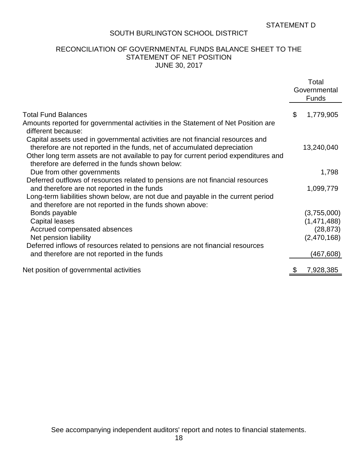## RECONCILIATION OF GOVERNMENTAL FUNDS BALANCE SHEET TO THE STATEMENT OF NET POSITION JUNE 30, 2017

|                                                                                                                                                                                                                                                                                                       | Total                                   |
|-------------------------------------------------------------------------------------------------------------------------------------------------------------------------------------------------------------------------------------------------------------------------------------------------------|-----------------------------------------|
|                                                                                                                                                                                                                                                                                                       | Governmental                            |
|                                                                                                                                                                                                                                                                                                       | <b>Funds</b>                            |
| <b>Total Fund Balances</b>                                                                                                                                                                                                                                                                            | \$<br>1,779,905                         |
| Amounts reported for governmental activities in the Statement of Net Position are<br>different because:                                                                                                                                                                                               |                                         |
| Capital assets used in governmental activities are not financial resources and<br>therefore are not reported in the funds, net of accumulated depreciation<br>Other long term assets are not available to pay for current period expenditures and<br>therefore are deferred in the funds shown below: | 13,240,040                              |
| Due from other governments                                                                                                                                                                                                                                                                            | 1,798                                   |
| Deferred outflows of resources related to pensions are not financial resources<br>and therefore are not reported in the funds<br>Long-term liabilities shown below, are not due and payable in the current period<br>and therefore are not reported in the funds shown above:                         | 1,099,779                               |
| Bonds payable<br><b>Capital leases</b><br>Accrued compensated absences                                                                                                                                                                                                                                | (3,755,000)<br>(1,471,488)<br>(28, 873) |
| Net pension liability<br>Deferred inflows of resources related to pensions are not financial resources                                                                                                                                                                                                | (2,470,168)                             |
| and therefore are not reported in the funds                                                                                                                                                                                                                                                           | (467,608)                               |
| Net position of governmental activities                                                                                                                                                                                                                                                               | 7,928,385                               |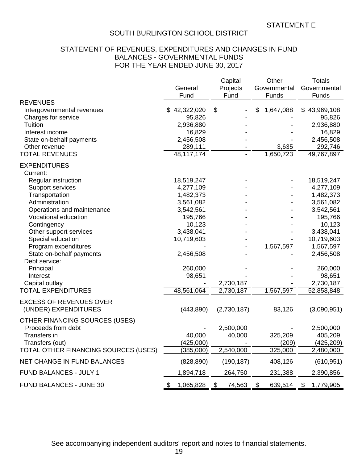## STATEMENT OF REVENUES, EXPENDITURES AND CHANGES IN FUND BALANCES - GOVERNMENTAL FUNDS FOR THE YEAR ENDED JUNE 30, 2017

|                                               | General             | Capital<br>Projects | Other<br>Governmental | <b>Totals</b><br>Governmental |
|-----------------------------------------------|---------------------|---------------------|-----------------------|-------------------------------|
|                                               | Fund                | Fund                | Funds                 | Funds                         |
| <b>REVENUES</b><br>Intergovernmental revenues | \$42,322,020        | \$                  | S<br>1,647,088        | \$43,969,108                  |
| Charges for service<br>Tuition                | 95,826<br>2,936,880 |                     |                       | 95,826<br>2,936,880           |
| Interest income                               | 16,829              |                     |                       | 16,829                        |
| State on-behalf payments                      | 2,456,508           |                     |                       | 2,456,508                     |
| Other revenue                                 | 289,111             |                     | 3,635                 | 292,746                       |
| <b>TOTAL REVENUES</b>                         | 48,117,174          | $\blacksquare$      | 1,650,723             | 49,767,897                    |
| <b>EXPENDITURES</b>                           |                     |                     |                       |                               |
| Current:                                      |                     |                     |                       |                               |
| Regular instruction                           | 18,519,247          |                     |                       | 18,519,247                    |
| Support services                              | 4,277,109           |                     |                       | 4,277,109                     |
| Transportation                                | 1,482,373           |                     |                       | 1,482,373                     |
| Administration                                | 3,561,082           |                     |                       | 3,561,082                     |
| Operations and maintenance                    | 3,542,561           |                     |                       | 3,542,561                     |
| Vocational education                          | 195,766             |                     |                       | 195,766<br>10,123             |
| Contingency<br>Other support services         | 10,123<br>3,438,041 |                     |                       | 3,438,041                     |
| Special education                             | 10,719,603          |                     |                       | 10,719,603                    |
| Program expenditures                          |                     |                     | 1,567,597             | 1,567,597                     |
| State on-behalf payments                      | 2,456,508           |                     |                       | 2,456,508                     |
| Debt service:                                 |                     |                     |                       |                               |
| Principal                                     | 260,000             |                     |                       | 260,000                       |
| Interest                                      | 98,651              |                     |                       | 98,651                        |
| Capital outlay                                |                     | 2,730,187           |                       | 2,730,187                     |
| <b>TOTAL EXPENDITURES</b>                     | 48,561,064          | 2,730,187           | 1,567,597             | 52,858,848                    |
| <b>EXCESS OF REVENUES OVER</b>                |                     |                     |                       |                               |
| (UNDER) EXPENDITURES                          | (443, 890)          | (2,730,187)         | 83,126                | (3,090,951)                   |
| OTHER FINANCING SOURCES (USES)                |                     |                     |                       |                               |
| Proceeds from debt                            |                     | 2,500,000           |                       | 2,500,000                     |
| Transfers in                                  | 40,000              | 40,000              | 325,209               | 405,209                       |
| Transfers (out)                               | (425,000)           |                     | (209)                 | (425, 209)                    |
| TOTAL OTHER FINANCING SOURCES (USES)          | (385,000)           | 2,540,000           | 325,000               | 2,480,000                     |
| NET CHANGE IN FUND BALANCES                   | (828, 890)          | (190, 187)          | 408,126               | (610, 951)                    |
| FUND BALANCES - JULY 1                        | 1,894,718           | 264,750             | 231,388               | 2,390,856                     |
| FUND BALANCES - JUNE 30                       | 1,065,828<br>S.     | 74,563<br>\$        | 639,514<br>\$         | 1,779,905<br>\$               |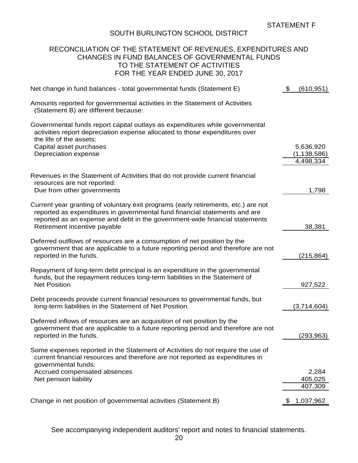## RECONCILIATION OF THE STATEMENT OF REVENUES, EXPENDITURES AND CHANGES IN FUND BALANCES OF GOVERNMENTAL FUNDS TO THE STATEMENT OF ACTIVITIES FOR THE YEAR ENDED JUNE 30, 2017

| Net change in fund balances - total governmental funds (Statement E)                                                                                                                                                                                                            | \$<br>(610, 951)                        |
|---------------------------------------------------------------------------------------------------------------------------------------------------------------------------------------------------------------------------------------------------------------------------------|-----------------------------------------|
| Amounts reported for governmental activities in the Statement of Activities<br>(Statement B) are different because:                                                                                                                                                             |                                         |
| Governmental funds report capital outlays as expenditures while governmental<br>activities report depreciation expense allocated to those expenditures over<br>the life of the assets:                                                                                          |                                         |
| Capital asset purchases<br>Depreciation expense                                                                                                                                                                                                                                 | 5,636,920<br>(1, 138, 586)<br>4,498,334 |
| Revenues in the Statement of Activities that do not provide current financial<br>resources are not reported:<br>Due from other governments                                                                                                                                      | 1,798                                   |
| Current year granting of voluntary exit programs (early retirements, etc.) are not<br>reported as expenditures in governmental fund financial statements and are<br>reported as an expense and debt in the government-wide financial statements<br>Retirement incentive payable | 38,381                                  |
| Deferred outflows of resources are a consumption of net position by the<br>government that are applicable to a future reporting period and therefore are not<br>reported in the funds.                                                                                          | (215, 864)                              |
| Repayment of long-term debt principal is an expenditure in the governmental<br>funds, but the repayment reduces long-term liabilities in the Statement of<br><b>Net Position</b>                                                                                                | 927,522                                 |
| Debt proceeds provide current financial resources to governmental funds, but<br>long-term liabilities in the Statement of Net Position.                                                                                                                                         | (3,714,604)                             |
| Deferred inflows of resources are an acquisition of net position by the<br>government that are applicable to a future reporting period and therefore are not<br>reported in the funds.                                                                                          | (293, 963)                              |
| Some expenses reported in the Statement of Activities do not require the use of<br>current financial resources and therefore are not reported as expenditures in<br>governmental funds:                                                                                         |                                         |
| Accrued compensated absences<br>Net pension liability                                                                                                                                                                                                                           | 2,284<br>405,025                        |
|                                                                                                                                                                                                                                                                                 | 407,309                                 |
| Change in net position of governmental activities (Statement B)                                                                                                                                                                                                                 | \$<br>1,037,962                         |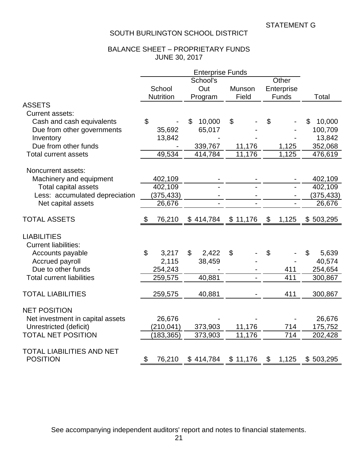## BALANCE SHEET – PROPRIETARY FUNDS JUNE 30, 2017

|                                  |                |                  | <b>Enterprise Funds</b> |                |          |                  |              |  |
|----------------------------------|----------------|------------------|-------------------------|----------------|----------|------------------|--------------|--|
|                                  |                |                  | School's                |                |          | Other            |              |  |
|                                  |                | School           | Out                     |                | Munson   | Enterprise       |              |  |
|                                  |                | <b>Nutrition</b> | Program                 |                | Field    | <b>Funds</b>     | Total        |  |
| <b>ASSETS</b>                    |                |                  |                         |                |          |                  |              |  |
| <b>Current assets:</b>           |                |                  |                         |                |          |                  |              |  |
| Cash and cash equivalents        | \$             |                  | \$<br>10,000            | \$             |          | \$               | 10,000<br>\$ |  |
| Due from other governments       |                | 35,692           | 65,017                  |                |          |                  | 100,709      |  |
| Inventory                        |                | 13,842           |                         |                |          |                  | 13,842       |  |
| Due from other funds             |                |                  | 339,767                 |                | 11,176   | 1,125            | 352,068      |  |
| Total current assets             |                | 49,534           | 414,784                 |                | 11,176   | 1,125            | 476,619      |  |
|                                  |                |                  |                         |                |          |                  |              |  |
| Noncurrent assets:               |                |                  |                         |                |          |                  |              |  |
| Machinery and equipment          |                | 402,109          |                         |                |          |                  | 402,109      |  |
| <b>Total capital assets</b>      |                | 402,109          |                         |                |          |                  | 402,109      |  |
| Less: accumulated depreciation   |                | (375, 433)       |                         |                |          |                  | (375, 433)   |  |
| Net capital assets               |                | 26,676           | $\overline{a}$          |                |          |                  | 26,676       |  |
|                                  |                |                  |                         |                |          |                  |              |  |
| <b>TOTAL ASSETS</b>              | \$             | 76,210           | \$414,784               |                | \$11,176 | \$<br>1,125      | \$503,295    |  |
|                                  |                |                  |                         |                |          |                  |              |  |
| <b>LIABILITIES</b>               |                |                  |                         |                |          |                  |              |  |
| <b>Current liabilities:</b>      |                |                  |                         |                |          |                  |              |  |
| Accounts payable                 | $\mathfrak{S}$ | 3,217            | \$<br>2,422             | $\mathfrak{S}$ |          | \$               | \$<br>5,639  |  |
| Accrued payroll                  |                | 2,115            | 38,459                  |                |          |                  | 40,574       |  |
| Due to other funds               |                | 254,243          |                         |                |          | 411              | 254,654      |  |
| <b>Total current liabilities</b> |                | 259,575          | 40,881                  |                |          | 411              | 300,867      |  |
|                                  |                |                  |                         |                |          |                  |              |  |
| <b>TOTAL LIABILITIES</b>         |                | 259,575          | 40,881                  |                |          | 411              | 300,867      |  |
| <b>NET POSITION</b>              |                |                  |                         |                |          |                  |              |  |
| Net investment in capital assets |                | 26,676           |                         |                |          |                  | 26,676       |  |
| Unrestricted (deficit)           |                | (210, 041)       | 373,903                 |                | 11,176   | 714              | 175,752      |  |
| <b>TOTAL NET POSITION</b>        |                | (183, 365)       | 373,903                 |                | 11,176   | $\overline{714}$ | 202,428      |  |
|                                  |                |                  |                         |                |          |                  |              |  |
| <b>TOTAL LIABILITIES AND NET</b> |                |                  |                         |                |          |                  |              |  |
| <b>POSITION</b>                  | \$             | 76,210           | \$414,784               |                | \$11,176 | \$<br>1,125      | \$503,295    |  |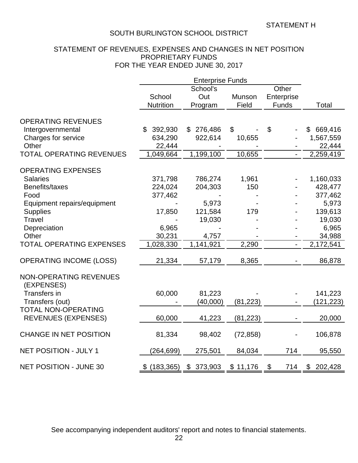## STATEMENT OF REVENUES, EXPENSES AND CHANGES IN NET POSITION PROPRIETARY FUNDS FOR THE YEAR ENDED JUNE 30, 2017

|                                             |                  | School's               |                           | Other      |                           |
|---------------------------------------------|------------------|------------------------|---------------------------|------------|---------------------------|
|                                             | School           | Out                    | Munson                    | Enterprise |                           |
|                                             | <b>Nutrition</b> | Program                | Field                     | Funds      | Total                     |
|                                             |                  |                        |                           |            |                           |
| <b>OPERATING REVENUES</b>                   |                  |                        |                           |            |                           |
| Intergovernmental                           | 392,930          | \$276,486              | $\boldsymbol{\mathsf{S}}$ | \$         | \$<br>669,416             |
| Charges for service                         | 634,290          | 922,614                | 10,655                    |            | 1,567,559                 |
| Other                                       | 22,444           |                        |                           |            | 22,444                    |
| <b>TOTAL OPERATING REVENUES</b>             | 1,049,664        | 1,199,100              | 10,655                    |            | 2,259,419                 |
| <b>OPERATING EXPENSES</b>                   |                  |                        |                           |            |                           |
| <b>Salaries</b>                             | 371,798          | 786,274                | 1,961                     |            | 1,160,033                 |
| Benefits/taxes                              | 224,024          | 204,303                | 150                       |            | 428,477                   |
| Food                                        | 377,462          |                        |                           |            | 377,462                   |
| Equipment repairs/equipment                 |                  | 5,973                  |                           |            | 5,973                     |
| <b>Supplies</b>                             | 17,850           | 121,584                | 179                       |            | 139,613                   |
| Travel                                      |                  | 19,030                 |                           |            | 19,030                    |
| Depreciation                                | 6,965            |                        |                           |            | 6,965                     |
| Other                                       | 30,231           | 4,757                  |                           |            | 34,988                    |
| <b>TOTAL OPERATING EXPENSES</b>             | 1,028,330        | $\overline{1,}141,921$ | 2,290                     |            | 2,172,541                 |
|                                             |                  |                        |                           |            |                           |
| <b>OPERATING INCOME (LOSS)</b>              | 21,334           | 57,179                 | 8,365                     |            | 86,878                    |
| <b>NON-OPERATING REVENUES</b><br>(EXPENSES) |                  |                        |                           |            |                           |
| Transfers in                                | 60,000           | 81,223                 |                           |            | 141,223                   |
| Transfers (out)                             |                  | (40,000)               | (81, 223)                 |            | (121, 223)                |
| <b>TOTAL NON-OPERATING</b>                  |                  |                        |                           |            |                           |
| <b>REVENUES (EXPENSES)</b>                  | 60,000           | 41,223                 | (81, 223)                 |            | 20,000                    |
| <b>CHANGE IN NET POSITION</b>               | 81,334           | 98,402                 | (72, 858)                 |            | 106,878                   |
| <b>NET POSITION - JULY 1</b>                | (264,699)        | 275,501                | 84,034                    | 714        | 95,550                    |
| <b>NET POSITION - JUNE 30</b>               | (183, 365)<br>\$ | \$373,903              | \$11,176                  | 714<br>\$  | $\mathfrak{F}$<br>202,428 |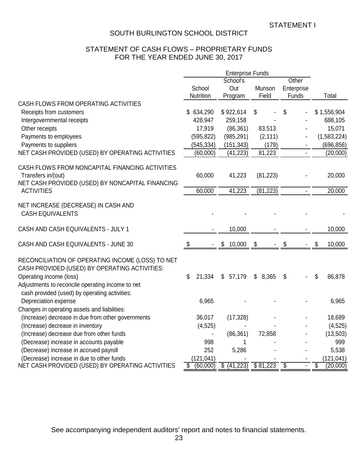## STATEMENT OF CASH FLOWS – PROPRIETARY FUNDS FOR THE YEAR ENDED JUNE 30, 2017

|                                                                       |                | <b>Enterprise Funds</b> |           |                      |                |
|-----------------------------------------------------------------------|----------------|-------------------------|-----------|----------------------|----------------|
|                                                                       |                | School's                |           | Other                |                |
|                                                                       | School         | Out                     | Munson    | Enterprise           |                |
|                                                                       | Nutrition      | Program                 | Field     | Funds                | Total          |
| CASH FLOWS FROM OPERATING ACTIVITIES                                  |                |                         |           |                      |                |
| Receipts from customers                                               | \$634,290      | \$922,614               | \$        | \$                   | \$1,556,904    |
| Intergovernmental receipts                                            | 428,947        | 259,158                 |           |                      | 688,105        |
| Other receipts                                                        | 17,919         | (86, 361)               | 83,513    |                      | 15,071         |
| Payments to employees                                                 | (595, 822)     | (985, 291)              | (2, 111)  |                      | (1,583,224)    |
| Payments to suppliers                                                 | (545, 334)     | (151, 343)              | (179)     |                      | (696, 856)     |
| NET CASH PROVIDED (USED) BY OPERATING ACTIVITIES                      | (60,000)       | (41, 223)               | 81,223    |                      | (20,000)       |
|                                                                       |                |                         |           |                      |                |
| CASH FLOWS FROM NONCAPITAL FINANCING ACTIVITIES                       |                |                         |           |                      |                |
| Transfers in/(out)                                                    | 60,000         | 41,223                  | (81, 223) |                      | 20,000         |
| NET CASH PROVIDED (USED) BY NONCAPITAL FINANCING<br><b>ACTIVITIES</b> | 60,000         | 41,223                  | (81, 223) | $\blacksquare$       | 20,000         |
|                                                                       |                |                         |           |                      |                |
| NET INCREASE (DECREASE) IN CASH AND<br><b>CASH EQUIVALENTS</b>        |                |                         |           |                      |                |
|                                                                       |                |                         |           |                      |                |
| CASH AND CASH EQUIVALENTS - JULY 1                                    |                | 10,000                  |           |                      | 10,000         |
| CASH AND CASH EQUIVALENTS - JUNE 30                                   | \$             | \$<br>10,000            | \$        | \$                   | 10,000<br>\$   |
|                                                                       |                |                         |           |                      |                |
| RECONCILIATION OF OPERATING INCOME (LOSS) TO NET                      |                |                         |           |                      |                |
| CASH PROVIDED (USED) BY OPERATING ACTIVITIES:                         |                |                         |           |                      |                |
| Operating income (loss)                                               | 21,334<br>S    | \$57,179                | \$8,365   | \$                   | 86,878<br>S    |
| Adjustments to reconcile operating income to net                      |                |                         |           |                      |                |
| cash provided (used) by operating activities:                         |                |                         |           |                      |                |
| Depreciation expense                                                  | 6,965          |                         |           |                      | 6,965          |
| Changes in operating assets and liabilities:                          |                |                         |           |                      |                |
| (Increase) decrease in due from other governments                     | 36,017         | (17, 328)               |           |                      | 18,689         |
| (Increase) decrease in inventory                                      | (4, 525)       |                         |           |                      | (4, 525)       |
| (Increase) decrease due from other funds                              |                | (86, 361)               | 72,858    |                      | (13,503)       |
| (Decrease) increase in accounts payable                               | 998            | 1                       |           |                      | 999            |
| (Decrease) increase in accrued payroll                                | 252            | 5,286                   |           |                      | 5,538          |
| (Decrease) increase in due to other funds                             | (121, 041)     |                         |           |                      | (121, 041)     |
| NET CASH PROVIDED (USED) BY OPERATING ACTIVITIES                      | \$<br>(60,000) | (41, 223)<br>\$         | \$81,223  | \$<br>$\blacksquare$ | \$<br>(20,000) |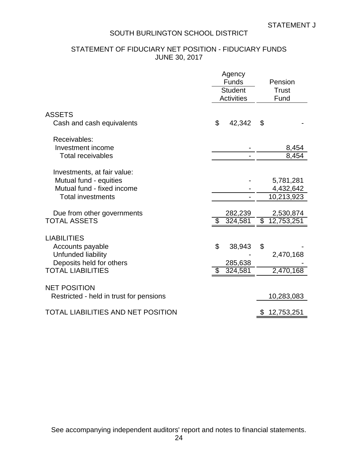## STATEMENT OF FIDUCIARY NET POSITION - FIDUCIARY FUNDS JUNE 30, 2017

|                                                                                                                      | Agency<br>Funds<br><b>Student</b><br><b>Activities</b> | Pension<br><b>Trust</b><br>Fund      |  |  |
|----------------------------------------------------------------------------------------------------------------------|--------------------------------------------------------|--------------------------------------|--|--|
| <b>ASSETS</b><br>Cash and cash equivalents                                                                           | \$<br>42,342                                           | \$                                   |  |  |
| Receivables:<br>Investment income<br><b>Total receivables</b>                                                        |                                                        | 8,454<br>8,454                       |  |  |
| Investments, at fair value:<br>Mutual fund - equities<br>Mutual fund - fixed income<br><b>Total investments</b>      |                                                        | 5,781,281<br>4,432,642<br>10,213,923 |  |  |
| Due from other governments<br><b>TOTAL ASSETS</b>                                                                    | 282,239<br>324,581                                     | 2,530,874<br>\$12,753,251            |  |  |
| <b>LIABILITIES</b><br>Accounts payable<br>Unfunded liability<br>Deposits held for others<br><b>TOTAL LIABILITIES</b> | \$<br>38,943<br>285,638<br>324,581<br>\$               | \$<br>2,470,168<br>2,470,168         |  |  |
| <b>NET POSITION</b><br>Restricted - held in trust for pensions                                                       |                                                        | 10,283,083                           |  |  |
| TOTAL LIABILITIES AND NET POSITION                                                                                   |                                                        | 12,753,251<br>\$                     |  |  |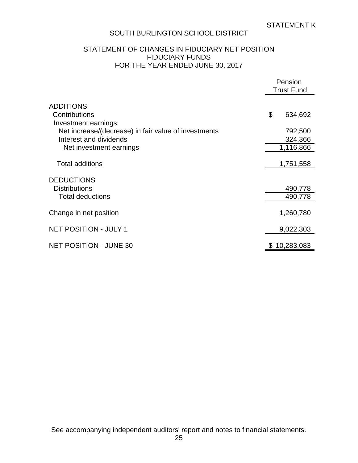## STATEMENT OF CHANGES IN FIDUCIARY NET POSITION FIDUCIARY FUNDS FOR THE YEAR ENDED JUNE 30, 2017

|                                                                                                                                             | Pension<br><b>Trust Fund</b>        |
|---------------------------------------------------------------------------------------------------------------------------------------------|-------------------------------------|
| <b>ADDITIONS</b><br>Contributions<br>Investment earnings:<br>Net increase/(decrease) in fair value of investments<br>Interest and dividends | \$<br>634,692<br>792,500<br>324,366 |
| Net investment earnings                                                                                                                     | 1,116,866                           |
| <b>Total additions</b>                                                                                                                      | 1,751,558                           |
| <b>DEDUCTIONS</b><br><b>Distributions</b><br><b>Total deductions</b>                                                                        | 490,778<br>490,778                  |
| Change in net position                                                                                                                      | 1,260,780                           |
| <b>NET POSITION - JULY 1</b>                                                                                                                | 9,022,303                           |
| <b>NET POSITION - JUNE 30</b>                                                                                                               | 10,283,083                          |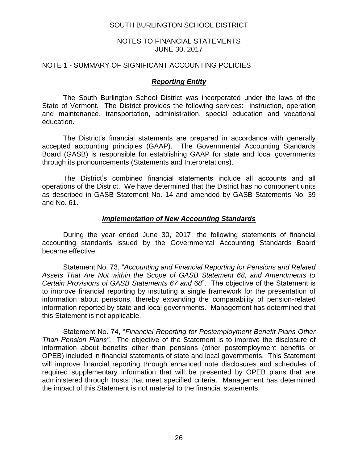## NOTES TO FINANCIAL STATEMENTS JUNE 30, 2017

#### NOTE 1 - SUMMARY OF SIGNIFICANT ACCOUNTING POLICIES

## *Reporting Entity*

The South Burlington School District was incorporated under the laws of the State of Vermont. The District provides the following services: instruction, operation and maintenance, transportation, administration, special education and vocational education.

The District's financial statements are prepared in accordance with generally accepted accounting principles (GAAP). The Governmental Accounting Standards Board (GASB) is responsible for establishing GAAP for state and local governments through its pronouncements (Statements and Interpretations).

The District's combined financial statements include all accounts and all operations of the District. We have determined that the District has no component units as described in GASB Statement No. 14 and amended by GASB Statements No. 39 and No. 61.

## *Implementation of New Accounting Standards*

During the year ended June 30, 2017, the following statements of financial accounting standards issued by the Governmental Accounting Standards Board became effective:

Statement No. 73, "*Accounting and Financial Reporting for Pensions and Related Assets That Are Not within the Scope of GASB Statement 68, and Amendments to Certain Provisions of GASB Statements 67 and 68*". The objective of the Statement is to improve financial reporting by instituting a single framework for the presentation of information about pensions, thereby expanding the comparability of pension-related information reported by state and local governments. Management has determined that this Statement is not applicable.

Statement No. 74, "*Financial Reporting for Postemployment Benefit Plans Other Than Pension Plans"*. The objective of the Statement is to improve the disclosure of information about benefits other than pensions (other postemployment benefits or OPEB) included in financial statements of state and local governments. This Statement will improve financial reporting through enhanced note disclosures and schedules of required supplementary information that will be presented by OPEB plans that are administered through trusts that meet specified criteria. Management has determined the impact of this Statement is not material to the financial statements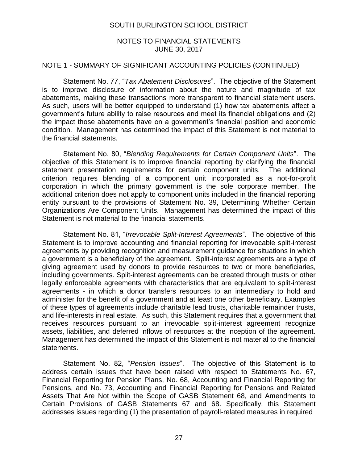## NOTES TO FINANCIAL STATEMENTS JUNE 30, 2017

#### NOTE 1 - SUMMARY OF SIGNIFICANT ACCOUNTING POLICIES (CONTINUED)

Statement No. 77, "*Tax Abatement Disclosures*". The objective of the Statement is to improve disclosure of information about the nature and magnitude of tax abatements, making these transactions more transparent to financial statement users. As such, users will be better equipped to understand (1) how tax abatements affect a government's future ability to raise resources and meet its financial obligations and (2) the impact those abatements have on a government's financial position and economic condition. Management has determined the impact of this Statement is not material to the financial statements.

Statement No. 80, "*Blending Requirements for Certain Component Units*". The objective of this Statement is to improve financial reporting by clarifying the financial statement presentation requirements for certain component units. The additional criterion requires blending of a component unit incorporated as a not-for-profit corporation in which the primary government is the sole corporate member. The additional criterion does not apply to component units included in the financial reporting entity pursuant to the provisions of Statement No. 39, Determining Whether Certain Organizations Are Component Units. Management has determined the impact of this Statement is not material to the financial statements.

Statement No. 81, "*Irrevocable Split-Interest Agreements*". The objective of this Statement is to improve accounting and financial reporting for irrevocable split-interest agreements by providing recognition and measurement guidance for situations in which a government is a beneficiary of the agreement. Split-interest agreements are a type of giving agreement used by donors to provide resources to two or more beneficiaries, including governments. Split-interest agreements can be created through trusts or other legally enforceable agreements with characteristics that are equivalent to split-interest agreements - in which a donor transfers resources to an intermediary to hold and administer for the benefit of a government and at least one other beneficiary. Examples of these types of agreements include charitable lead trusts, charitable remainder trusts, and life-interests in real estate. As such, this Statement requires that a government that receives resources pursuant to an irrevocable split-interest agreement recognize assets, liabilities, and deferred inflows of resources at the inception of the agreement. Management has determined the impact of this Statement is not material to the financial statements.

Statement No. 82, "*Pension Issues*". The objective of this Statement is to address certain issues that have been raised with respect to Statements No. 67, Financial Reporting for Pension Plans, No. 68, Accounting and Financial Reporting for Pensions, and No. 73, Accounting and Financial Reporting for Pensions and Related Assets That Are Not within the Scope of GASB Statement 68, and Amendments to Certain Provisions of GASB Statements 67 and 68. Specifically, this Statement addresses issues regarding (1) the presentation of payroll-related measures in required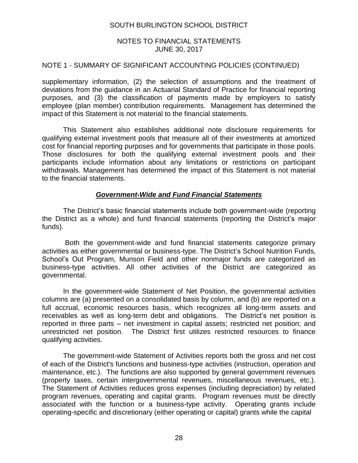## NOTES TO FINANCIAL STATEMENTS JUNE 30, 2017

#### NOTE 1 - SUMMARY OF SIGNIFICANT ACCOUNTING POLICIES (CONTINUED)

supplementary information, (2) the selection of assumptions and the treatment of deviations from the guidance in an Actuarial Standard of Practice for financial reporting purposes, and (3) the classification of payments made by employers to satisfy employee (plan member) contribution requirements. Management has determined the impact of this Statement is not material to the financial statements.

This Statement also establishes additional note disclosure requirements for qualifying external investment pools that measure all of their investments at amortized cost for financial reporting purposes and for governments that participate in those pools. Those disclosures for both the qualifying external investment pools and their participants include information about any limitations or restrictions on participant withdrawals. Management has determined the impact of this Statement is not material to the financial statements.

## *Government-Wide and Fund Financial Statements*

The District's basic financial statements include both government-wide (reporting the District as a whole) and fund financial statements (reporting the District's major funds).

Both the government-wide and fund financial statements categorize primary activities as either governmental or business-type. The District's School Nutrition Funds, School's Out Program, Munson Field and other nonmajor funds are categorized as business-type activities. All other activities of the District are categorized as governmental.

In the government-wide Statement of Net Position, the governmental activities columns are (a) presented on a consolidated basis by column, and (b) are reported on a full accrual, economic resources basis, which recognizes all long-term assets and receivables as well as long-term debt and obligations. The District's net position is reported in three parts – net investment in capital assets; restricted net position; and unrestricted net position. The District first utilizes restricted resources to finance qualifying activities.

The government-wide Statement of Activities reports both the gross and net cost of each of the District's functions and business-type activities (instruction, operation and maintenance, etc.). The functions are also supported by general government revenues (property taxes, certain intergovernmental revenues, miscellaneous revenues, etc.). The Statement of Activities reduces gross expenses (including depreciation) by related program revenues, operating and capital grants. Program revenues must be directly associated with the function or a business-type activity. Operating grants include operating-specific and discretionary (either operating or capital) grants while the capital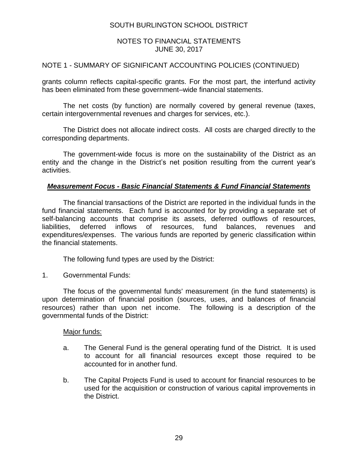## NOTES TO FINANCIAL STATEMENTS JUNE 30, 2017

## NOTE 1 - SUMMARY OF SIGNIFICANT ACCOUNTING POLICIES (CONTINUED)

grants column reflects capital-specific grants. For the most part, the interfund activity has been eliminated from these government–wide financial statements.

The net costs (by function) are normally covered by general revenue (taxes, certain intergovernmental revenues and charges for services, etc.).

The District does not allocate indirect costs. All costs are charged directly to the corresponding departments.

The government-wide focus is more on the sustainability of the District as an entity and the change in the District's net position resulting from the current year's activities.

## *Measurement Focus - Basic Financial Statements & Fund Financial Statements*

The financial transactions of the District are reported in the individual funds in the fund financial statements. Each fund is accounted for by providing a separate set of self-balancing accounts that comprise its assets, deferred outflows of resources, liabilities, deferred inflows of resources, fund balances, revenues and expenditures/expenses. The various funds are reported by generic classification within the financial statements.

The following fund types are used by the District:

1. Governmental Funds:

The focus of the governmental funds' measurement (in the fund statements) is upon determination of financial position (sources, uses, and balances of financial resources) rather than upon net income. The following is a description of the governmental funds of the District:

#### Major funds:

- a. The General Fund is the general operating fund of the District. It is used to account for all financial resources except those required to be accounted for in another fund.
- b. The Capital Projects Fund is used to account for financial resources to be used for the acquisition or construction of various capital improvements in the District.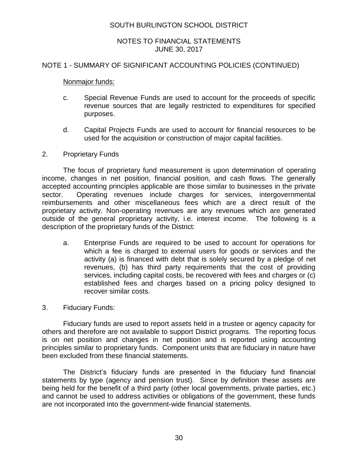## NOTES TO FINANCIAL STATEMENTS JUNE 30, 2017

## NOTE 1 - SUMMARY OF SIGNIFICANT ACCOUNTING POLICIES (CONTINUED)

## Nonmajor funds:

- c. Special Revenue Funds are used to account for the proceeds of specific revenue sources that are legally restricted to expenditures for specified purposes.
- d. Capital Projects Funds are used to account for financial resources to be used for the acquisition or construction of major capital facilities.

## 2. Proprietary Funds

The focus of proprietary fund measurement is upon determination of operating income, changes in net position, financial position, and cash flows. The generally accepted accounting principles applicable are those similar to businesses in the private sector. Operating revenues include charges for services, intergovernmental reimbursements and other miscellaneous fees which are a direct result of the proprietary activity. Non-operating revenues are any revenues which are generated outside of the general proprietary activity, i.e. interest income. The following is a description of the proprietary funds of the District:

a. Enterprise Funds are required to be used to account for operations for which a fee is charged to external users for goods or services and the activity (a) is financed with debt that is solely secured by a pledge of net revenues, (b) has third party requirements that the cost of providing services, including capital costs, be recovered with fees and charges or (c) established fees and charges based on a pricing policy designed to recover similar costs.

## 3. Fiduciary Funds:

Fiduciary funds are used to report assets held in a trustee or agency capacity for others and therefore are not available to support District programs. The reporting focus is on net position and changes in net position and is reported using accounting principles similar to proprietary funds. Component units that are fiduciary in nature have been excluded from these financial statements.

The District's fiduciary funds are presented in the fiduciary fund financial statements by type (agency and pension trust). Since by definition these assets are being held for the benefit of a third party (other local governments, private parties, etc.) and cannot be used to address activities or obligations of the government, these funds are not incorporated into the government-wide financial statements.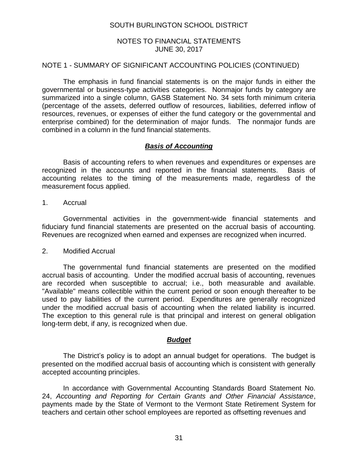## NOTES TO FINANCIAL STATEMENTS JUNE 30, 2017

#### NOTE 1 - SUMMARY OF SIGNIFICANT ACCOUNTING POLICIES (CONTINUED)

The emphasis in fund financial statements is on the major funds in either the governmental or business-type activities categories. Nonmajor funds by category are summarized into a single column, GASB Statement No. 34 sets forth minimum criteria (percentage of the assets, deferred outflow of resources, liabilities, deferred inflow of resources, revenues, or expenses of either the fund category or the governmental and enterprise combined) for the determination of major funds. The nonmajor funds are combined in a column in the fund financial statements.

## *Basis of Accounting*

Basis of accounting refers to when revenues and expenditures or expenses are recognized in the accounts and reported in the financial statements. Basis of accounting relates to the timing of the measurements made, regardless of the measurement focus applied.

1. Accrual

Governmental activities in the government-wide financial statements and fiduciary fund financial statements are presented on the accrual basis of accounting. Revenues are recognized when earned and expenses are recognized when incurred.

## 2. Modified Accrual

The governmental fund financial statements are presented on the modified accrual basis of accounting. Under the modified accrual basis of accounting, revenues are recorded when susceptible to accrual; i.e., both measurable and available. "Available" means collectible within the current period or soon enough thereafter to be used to pay liabilities of the current period. Expenditures are generally recognized under the modified accrual basis of accounting when the related liability is incurred. The exception to this general rule is that principal and interest on general obligation long-term debt, if any, is recognized when due.

#### *Budget*

The District's policy is to adopt an annual budget for operations. The budget is presented on the modified accrual basis of accounting which is consistent with generally accepted accounting principles.

In accordance with Governmental Accounting Standards Board Statement No. 24, *Accounting and Reporting for Certain Grants and Other Financial Assistance*, payments made by the State of Vermont to the Vermont State Retirement System for teachers and certain other school employees are reported as offsetting revenues and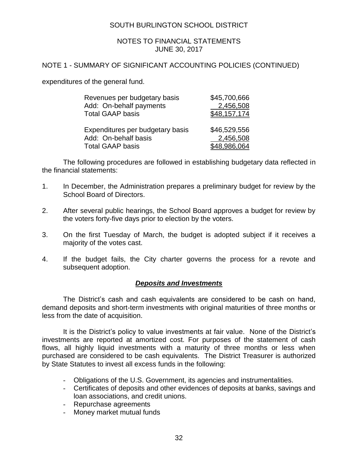## NOTES TO FINANCIAL STATEMENTS JUNE 30, 2017

## NOTE 1 - SUMMARY OF SIGNIFICANT ACCOUNTING POLICIES (CONTINUED)

expenditures of the general fund.

| Revenues per budgetary basis     | \$45,700,666 |
|----------------------------------|--------------|
| Add: On-behalf payments          | 2,456,508    |
| <b>Total GAAP basis</b>          | \$48,157,174 |
| Expenditures per budgetary basis | \$46,529,556 |
| Add: On-behalf basis             | 2,456,508    |
| <b>Total GAAP basis</b>          | \$48,986,064 |

The following procedures are followed in establishing budgetary data reflected in the financial statements:

- 1. In December, the Administration prepares a preliminary budget for review by the School Board of Directors.
- 2. After several public hearings, the School Board approves a budget for review by the voters forty-five days prior to election by the voters.
- 3. On the first Tuesday of March, the budget is adopted subject if it receives a majority of the votes cast.
- 4. If the budget fails, the City charter governs the process for a revote and subsequent adoption.

#### *Deposits and Investments*

The District's cash and cash equivalents are considered to be cash on hand, demand deposits and short-term investments with original maturities of three months or less from the date of acquisition.

It is the District's policy to value investments at fair value. None of the District's investments are reported at amortized cost. For purposes of the statement of cash flows, all highly liquid investments with a maturity of three months or less when purchased are considered to be cash equivalents. The District Treasurer is authorized by State Statutes to invest all excess funds in the following:

- Obligations of the U.S. Government, its agencies and instrumentalities.
- Certificates of deposits and other evidences of deposits at banks, savings and loan associations, and credit unions.
- Repurchase agreements
- Money market mutual funds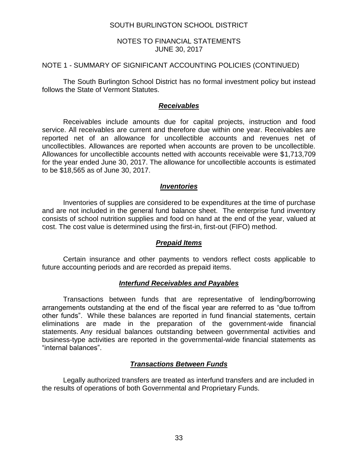## NOTES TO FINANCIAL STATEMENTS JUNE 30, 2017

### NOTE 1 - SUMMARY OF SIGNIFICANT ACCOUNTING POLICIES (CONTINUED)

The South Burlington School District has no formal investment policy but instead follows the State of Vermont Statutes.

### *Receivables*

Receivables include amounts due for capital projects, instruction and food service. All receivables are current and therefore due within one year. Receivables are reported net of an allowance for uncollectible accounts and revenues net of uncollectibles. Allowances are reported when accounts are proven to be uncollectible. Allowances for uncollectible accounts netted with accounts receivable were \$1,713,709 for the year ended June 30, 2017. The allowance for uncollectible accounts is estimated to be \$18,565 as of June 30, 2017.

#### *Inventories*

Inventories of supplies are considered to be expenditures at the time of purchase and are not included in the general fund balance sheet. The enterprise fund inventory consists of school nutrition supplies and food on hand at the end of the year, valued at cost. The cost value is determined using the first-in, first-out (FIFO) method.

#### *Prepaid Items*

Certain insurance and other payments to vendors reflect costs applicable to future accounting periods and are recorded as prepaid items.

#### *Interfund Receivables and Payables*

Transactions between funds that are representative of lending/borrowing arrangements outstanding at the end of the fiscal year are referred to as "due to/from other funds". While these balances are reported in fund financial statements, certain eliminations are made in the preparation of the government-wide financial statements. Any residual balances outstanding between governmental activities and business-type activities are reported in the governmental-wide financial statements as "internal balances".

## *Transactions Between Funds*

Legally authorized transfers are treated as interfund transfers and are included in the results of operations of both Governmental and Proprietary Funds.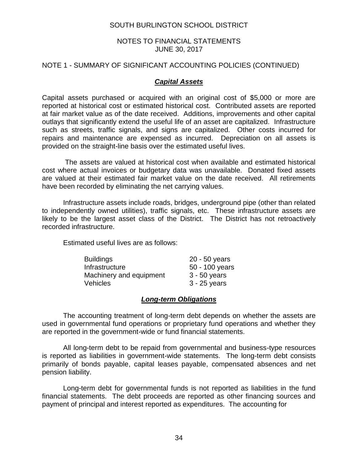## NOTES TO FINANCIAL STATEMENTS JUNE 30, 2017

### NOTE 1 - SUMMARY OF SIGNIFICANT ACCOUNTING POLICIES (CONTINUED)

## *Capital Assets*

Capital assets purchased or acquired with an original cost of \$5,000 or more are reported at historical cost or estimated historical cost. Contributed assets are reported at fair market value as of the date received. Additions, improvements and other capital outlays that significantly extend the useful life of an asset are capitalized. Infrastructure such as streets, traffic signals, and signs are capitalized. Other costs incurred for repairs and maintenance are expensed as incurred. Depreciation on all assets is provided on the straight-line basis over the estimated useful lives.

The assets are valued at historical cost when available and estimated historical cost where actual invoices or budgetary data was unavailable. Donated fixed assets are valued at their estimated fair market value on the date received. All retirements have been recorded by eliminating the net carrying values.

Infrastructure assets include roads, bridges, underground pipe (other than related to independently owned utilities), traffic signals, etc. These infrastructure assets are likely to be the largest asset class of the District. The District has not retroactively recorded infrastructure.

Estimated useful lives are as follows:

| 20 - 50 years  |
|----------------|
| 50 - 100 years |
| $3 - 50$ years |
| $3 - 25$ years |
|                |

## *Long-term Obligations*

The accounting treatment of long-term debt depends on whether the assets are used in governmental fund operations or proprietary fund operations and whether they are reported in the government-wide or fund financial statements.

All long-term debt to be repaid from governmental and business-type resources is reported as liabilities in government-wide statements. The long-term debt consists primarily of bonds payable, capital leases payable, compensated absences and net pension liability.

Long-term debt for governmental funds is not reported as liabilities in the fund financial statements. The debt proceeds are reported as other financing sources and payment of principal and interest reported as expenditures. The accounting for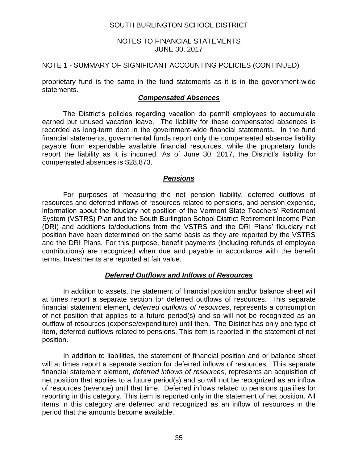#### NOTES TO FINANCIAL STATEMENTS JUNE 30, 2017

#### NOTE 1 - SUMMARY OF SIGNIFICANT ACCOUNTING POLICIES (CONTINUED)

proprietary fund is the same in the fund statements as it is in the government-wide statements.

#### *Compensated Absences*

The District's policies regarding vacation do permit employees to accumulate earned but unused vacation leave. The liability for these compensated absences is recorded as long-term debt in the government-wide financial statements. In the fund financial statements, governmental funds report only the compensated absence liability payable from expendable available financial resources, while the proprietary funds report the liability as it is incurred. As of June 30, 2017, the District's liability for compensated absences is \$28,873.

#### *Pensions*

For purposes of measuring the net pension liability, deferred outflows of resources and deferred inflows of resources related to pensions, and pension expense, information about the fiduciary net position of the Vermont State Teachers' Retirement System (VSTRS) Plan and the South Burlington School District Retirement Income Plan (DRI) and additions to/deductions from the VSTRS and the DRI Plans' fiduciary net position have been determined on the same basis as they are reported by the VSTRS and the DRI Plans. For this purpose, benefit payments (including refunds of employee contributions) are recognized when due and payable in accordance with the benefit terms. Investments are reported at fair value.

## *Deferred Outflows and Inflows of Resources*

In addition to assets, the statement of financial position and/or balance sheet will at times report a separate section for deferred outflows of resources. This separate financial statement element, *deferred outflows of resources*, represents a consumption of net position that applies to a future period(s) and so will not be recognized as an outflow of resources (expense/expenditure) until then. The District has only one type of item, deferred outflows related to pensions. This item is reported in the statement of net position.

In addition to liabilities, the statement of financial position and or balance sheet will at times report a separate section for deferred inflows of resources. This separate financial statement element, *deferred inflows of resources*, represents an acquisition of net position that applies to a future period(s) and so will not be recognized as an inflow of resources (revenue) until that time. Deferred inflows related to pensions qualifies for reporting in this category. This item is reported only in the statement of net position. All items in this category are deferred and recognized as an inflow of resources in the period that the amounts become available.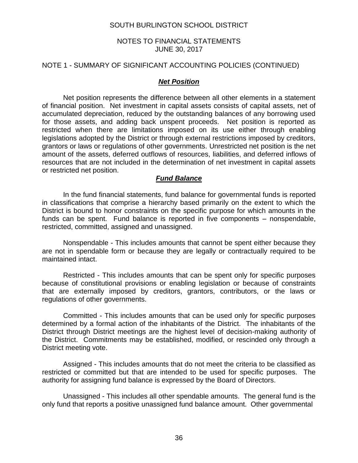#### NOTES TO FINANCIAL STATEMENTS JUNE 30, 2017

#### NOTE 1 - SUMMARY OF SIGNIFICANT ACCOUNTING POLICIES (CONTINUED)

### *Net Position*

Net position represents the difference between all other elements in a statement of financial position. Net investment in capital assets consists of capital assets, net of accumulated depreciation, reduced by the outstanding balances of any borrowing used for those assets, and adding back unspent proceeds. Net position is reported as restricted when there are limitations imposed on its use either through enabling legislations adopted by the District or through external restrictions imposed by creditors, grantors or laws or regulations of other governments. Unrestricted net position is the net amount of the assets, deferred outflows of resources, liabilities, and deferred inflows of resources that are not included in the determination of net investment in capital assets or restricted net position.

## *Fund Balance*

In the fund financial statements, fund balance for governmental funds is reported in classifications that comprise a hierarchy based primarily on the extent to which the District is bound to honor constraints on the specific purpose for which amounts in the funds can be spent. Fund balance is reported in five components – nonspendable, restricted, committed, assigned and unassigned.

Nonspendable - This includes amounts that cannot be spent either because they are not in spendable form or because they are legally or contractually required to be maintained intact.

Restricted - This includes amounts that can be spent only for specific purposes because of constitutional provisions or enabling legislation or because of constraints that are externally imposed by creditors, grantors, contributors, or the laws or regulations of other governments.

Committed - This includes amounts that can be used only for specific purposes determined by a formal action of the inhabitants of the District. The inhabitants of the District through District meetings are the highest level of decision-making authority of the District. Commitments may be established, modified, or rescinded only through a District meeting vote.

Assigned - This includes amounts that do not meet the criteria to be classified as restricted or committed but that are intended to be used for specific purposes. The authority for assigning fund balance is expressed by the Board of Directors.

Unassigned - This includes all other spendable amounts. The general fund is the only fund that reports a positive unassigned fund balance amount. Other governmental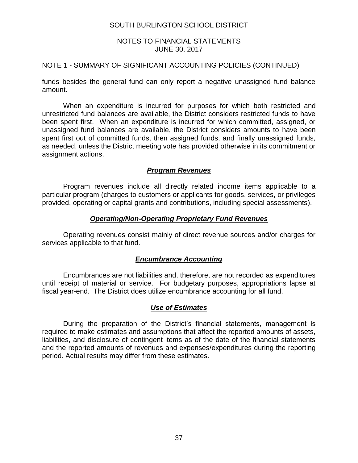## NOTES TO FINANCIAL STATEMENTS JUNE 30, 2017

### NOTE 1 - SUMMARY OF SIGNIFICANT ACCOUNTING POLICIES (CONTINUED)

funds besides the general fund can only report a negative unassigned fund balance amount.

When an expenditure is incurred for purposes for which both restricted and unrestricted fund balances are available, the District considers restricted funds to have been spent first. When an expenditure is incurred for which committed, assigned, or unassigned fund balances are available, the District considers amounts to have been spent first out of committed funds, then assigned funds, and finally unassigned funds, as needed, unless the District meeting vote has provided otherwise in its commitment or assignment actions.

## *Program Revenues*

Program revenues include all directly related income items applicable to a particular program (charges to customers or applicants for goods, services, or privileges provided, operating or capital grants and contributions, including special assessments).

## *Operating/Non-Operating Proprietary Fund Revenues*

Operating revenues consist mainly of direct revenue sources and/or charges for services applicable to that fund.

## *Encumbrance Accounting*

Encumbrances are not liabilities and, therefore, are not recorded as expenditures until receipt of material or service. For budgetary purposes, appropriations lapse at fiscal year-end. The District does utilize encumbrance accounting for all fund.

## *Use of Estimates*

During the preparation of the District's financial statements, management is required to make estimates and assumptions that affect the reported amounts of assets, liabilities, and disclosure of contingent items as of the date of the financial statements and the reported amounts of revenues and expenses/expenditures during the reporting period. Actual results may differ from these estimates.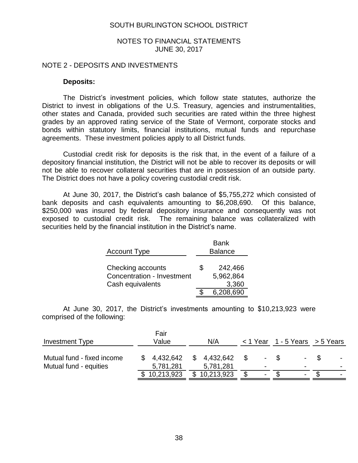#### NOTES TO FINANCIAL STATEMENTS JUNE 30, 2017

#### NOTE 2 - DEPOSITS AND INVESTMENTS

#### **Deposits:**

The District's investment policies, which follow state statutes, authorize the District to invest in obligations of the U.S. Treasury, agencies and instrumentalities, other states and Canada, provided such securities are rated within the three highest grades by an approved rating service of the State of Vermont, corporate stocks and bonds within statutory limits, financial institutions, mutual funds and repurchase agreements. These investment policies apply to all District funds.

Custodial credit risk for deposits is the risk that, in the event of a failure of a depository financial institution, the District will not be able to recover its deposits or will not be able to recover collateral securities that are in possession of an outside party. The District does not have a policy covering custodial credit risk.

At June 30, 2017, the District's cash balance of \$5,755,272 which consisted of bank deposits and cash equivalents amounting to \$6,208,690. Of this balance, \$250,000 was insured by federal depository insurance and consequently was not exposed to custodial credit risk. The remaining balance was collateralized with securities held by the financial institution in the District's name.

| <b>Account Type</b>                                                        | <b>Bank</b><br><b>Balance</b>       |
|----------------------------------------------------------------------------|-------------------------------------|
| Checking accounts<br><b>Concentration - Investment</b><br>Cash equivalents | \$<br>242,466<br>5,962,864<br>3,360 |
|                                                                            | 6,208,690                           |

At June 30, 2017, the District's investments amounting to \$10,213,923 were comprised of the following:

| <b>Investment Type</b>     | Fair<br>Value             | N/A                       |  |      | $<$ 1 Year 1 - 5 Years $>$ 5 Years         |      |                          |
|----------------------------|---------------------------|---------------------------|--|------|--------------------------------------------|------|--------------------------|
| Mutual fund - fixed income | \$4,432,642               | \$4,432,642               |  | - \$ |                                            | - \$ | $\overline{\phantom{0}}$ |
| Mutual fund - equities     | 5,781,281<br>\$10,213,923 | 5,781,281<br>\$10,213,923 |  |      | $\overline{\phantom{0}}$<br>$\blacksquare$ |      | $\overline{\phantom{0}}$ |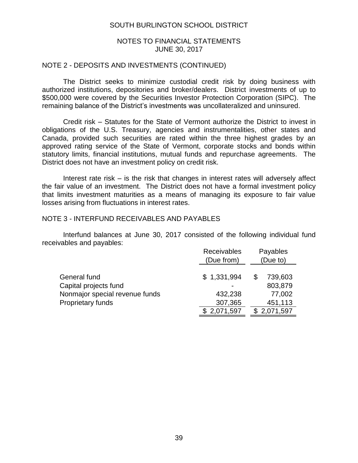#### NOTES TO FINANCIAL STATEMENTS JUNE 30, 2017

#### NOTE 2 - DEPOSITS AND INVESTMENTS (CONTINUED)

The District seeks to minimize custodial credit risk by doing business with authorized institutions, depositories and broker/dealers. District investments of up to \$500,000 were covered by the Securities Investor Protection Corporation (SIPC). The remaining balance of the District's investments was uncollateralized and uninsured.

Credit risk – Statutes for the State of Vermont authorize the District to invest in obligations of the U.S. Treasury, agencies and instrumentalities, other states and Canada, provided such securities are rated within the three highest grades by an approved rating service of the State of Vermont, corporate stocks and bonds within statutory limits, financial institutions, mutual funds and repurchase agreements. The District does not have an investment policy on credit risk.

Interest rate risk – is the risk that changes in interest rates will adversely affect the fair value of an investment. The District does not have a formal investment policy that limits investment maturities as a means of managing its exposure to fair value losses arising from fluctuations in interest rates.

#### NOTE 3 - INTERFUND RECEIVABLES AND PAYABLES

Interfund balances at June 30, 2017 consisted of the following individual fund receivables and payables:

|                                | <b>Receivables</b><br>(Due from) | Payables<br>(Due to) |
|--------------------------------|----------------------------------|----------------------|
| General fund                   | \$1,331,994                      | 739,603              |
| Capital projects fund          |                                  | 803,879              |
| Nonmajor special revenue funds | 432,238                          | 77,002               |
| Proprietary funds              | 307,365                          | 451,113              |
|                                | 2,071,597                        | \$2,071,597          |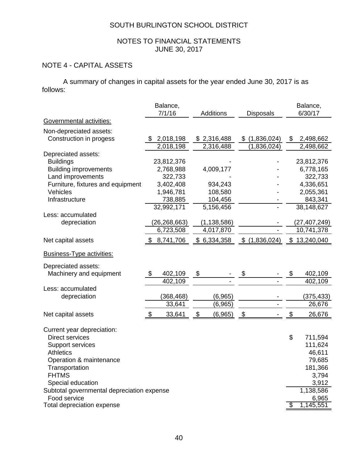## NOTES TO FINANCIAL STATEMENTS JUNE 30, 2017

# NOTE 4 - CAPITAL ASSETS

A summary of changes in capital assets for the year ended June 30, 2017 is as follows:

|                                            | Balance,<br>7/1/16 | Additions      | <b>Disposals</b>           | Balance,<br>6/30/17 |
|--------------------------------------------|--------------------|----------------|----------------------------|---------------------|
| Governmental activities:                   |                    |                |                            |                     |
| Non-depreciated assets:                    |                    |                |                            |                     |
| Construction in progess                    | 2,018,198          | \$2,316,488    | (1,836,024)<br>\$          | \$<br>2,498,662     |
|                                            | 2,018,198          | 2,316,488      | (1,836,024)                | 2,498,662           |
| Depreciated assets:                        |                    |                |                            |                     |
| <b>Buildings</b>                           | 23,812,376         |                |                            | 23,812,376          |
| <b>Building improvements</b>               | 2,768,988          | 4,009,177      |                            | 6,778,165           |
| Land improvements                          | 322,733            |                |                            | 322,733             |
| Furniture, fixtures and equipment          | 3,402,408          | 934,243        |                            | 4,336,651           |
| Vehicles                                   | 1,946,781          | 108,580        |                            | 2,055,361           |
| Infrastructure                             | 738,885            | 104,456        |                            | 843,341             |
|                                            | 32,992,171         | 5,156,456      |                            | 38,148,627          |
| Less: accumulated                          |                    |                |                            |                     |
| depreciation                               | (26,268,663)       | (1, 138, 586)  |                            | (27,407,249)        |
|                                            | 6,723,508          | 4,017,870      |                            | 10,741,378          |
| Net capital assets                         | 8,741,706<br>\$    | \$6,334,358    | \$(1,836,024)              | \$13,240,040        |
| <b>Business-Type activities:</b>           |                    |                |                            |                     |
| Depreciated assets:                        |                    |                |                            |                     |
| Machinery and equipment                    | \$<br>402,109      | \$             | \$                         | \$<br>402,109       |
|                                            | 402,109            |                |                            | 402,109             |
| Less: accumulated                          |                    |                |                            |                     |
| depreciation                               | (368, 468)         | (6,965)        |                            | (375,433)           |
|                                            | 33,641             | (6,965)        |                            | 26,676              |
| Net capital assets                         | \$<br>33,641       | \$<br>(6, 965) | $\boldsymbol{\mathsf{\$}}$ | \$<br>26,676        |
| Current year depreciation:                 |                    |                |                            |                     |
| Direct services                            |                    |                |                            | \$<br>711,594       |
| Support services                           |                    |                |                            | 111,624             |
| <b>Athletics</b>                           |                    |                |                            | 46,611              |
| Operation & maintenance                    |                    |                |                            | 79,685              |
| Transportation                             |                    |                |                            | 181,366             |
| <b>FHTMS</b>                               |                    |                |                            | 3,794               |
| Special education                          |                    |                |                            | 3,912               |
| Subtotal governmental depreciation expense |                    |                |                            | 1,138,586           |
| Food service                               |                    |                |                            | 6,965               |
| Total depreciation expense                 |                    |                |                            | 1,145,551<br>\$     |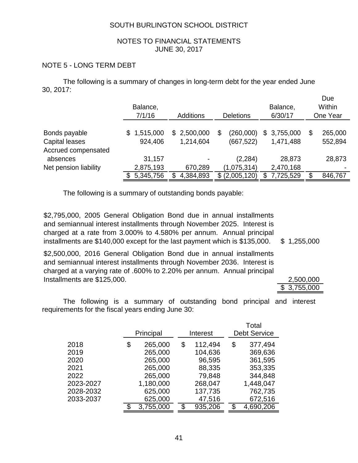#### NOTES TO FINANCIAL STATEMENTS JUNE 30, 2017

#### NOTE 5 - LONG TERM DEBT

The following is a summary of changes in long-term debt for the year ended June 30, 2017:

|                                                        | Balance,<br>7/1/16         | <b>Additions</b>          | <b>Deletions</b>        | Balance,<br>6/30/17          | Due<br>Within<br>One Year |
|--------------------------------------------------------|----------------------------|---------------------------|-------------------------|------------------------------|---------------------------|
| Bonds payable<br>Capital leases<br>Accrued compensated | 1,515,000<br>\$<br>924,406 | \$2,500,000<br>1,214,604  | (260,000)<br>(667, 522) | 3,755,000<br>\$<br>1,471,488 | \$<br>265,000<br>552,894  |
| absences<br>Net pension liability                      | 31,157<br>2,875,193        | $\blacksquare$<br>670,289 | (2, 284)<br>(1,075,314) | 28,873<br>2,470,168          | 28,873                    |
|                                                        | 5,345,756                  | 4,384,893                 | \$ (2,005,120)          | 7,725,529                    | \$<br>846,767             |

The following is a summary of outstanding bonds payable:

\$2,795,000, 2005 General Obligation Bond due in annual installments and semiannual interest installments through November 2025. Interest is charged at a rate from 3.000% to 4.580% per annum. Annual principal installments are \$140,000 except for the last payment which is \$135,000. \$ 1,255,000

\$2,500,000, 2016 General Obligation Bond due in annual installments and semiannual interest installments through November 2036. Interest is charged at a varying rate of .600% to 2.20% per annum. Annual principal Installments are \$125,000. 2,500,000

\$ 3,755,000

The following is a summary of outstanding bond principal and interest requirements for the fiscal years ending June 30:

|           | Principal     | Interest      | Total<br><b>Debt Service</b> |
|-----------|---------------|---------------|------------------------------|
| 2018      | \$<br>265,000 | \$<br>112,494 | \$<br>377,494                |
| 2019      | 265,000       | 104,636       | 369,636                      |
| 2020      | 265,000       | 96,595        | 361,595                      |
| 2021      | 265,000       | 88,335        | 353,335                      |
| 2022      | 265,000       | 79,848        | 344,848                      |
| 2023-2027 | 1,180,000     | 268,047       | 1,448,047                    |
| 2028-2032 | 625,000       | 137,735       | 762,735                      |
| 2033-2037 | 625,000       | 47,516        | 672,516                      |
|           | 3,755,000     | 935,206       | $\overline{690,}206$         |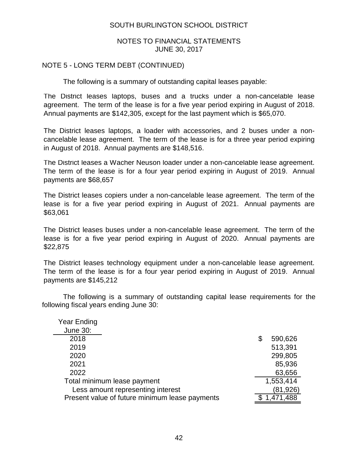### NOTES TO FINANCIAL STATEMENTS JUNE 30, 2017

## NOTE 5 - LONG TERM DEBT (CONTINUED)

The following is a summary of outstanding capital leases payable:

The District leases laptops, buses and a trucks under a non-cancelable lease agreement. The term of the lease is for a five year period expiring in August of 2018. Annual payments are \$142,305, except for the last payment which is \$65,070.

The District leases laptops, a loader with accessories, and 2 buses under a noncancelable lease agreement. The term of the lease is for a three year period expiring in August of 2018. Annual payments are \$148,516.

The District leases a Wacher Neuson loader under a non-cancelable lease agreement. The term of the lease is for a four year period expiring in August of 2019. Annual payments are \$68,657

The District leases copiers under a non-cancelable lease agreement. The term of the lease is for a five year period expiring in August of 2021. Annual payments are \$63,061

The District leases buses under a non-cancelable lease agreement. The term of the lease is for a five year period expiring in August of 2020. Annual payments are \$22,875

The District leases technology equipment under a non-cancelable lease agreement. The term of the lease is for a four year period expiring in August of 2019. Annual payments are \$145,212

The following is a summary of outstanding capital lease requirements for the following fiscal years ending June 30:

| Year Ending                                    |               |
|------------------------------------------------|---------------|
| June 30:                                       |               |
| 2018                                           | \$<br>590,626 |
| 2019                                           | 513,391       |
| 2020                                           | 299,805       |
| 2021                                           | 85,936        |
| 2022                                           | 63,656        |
| Total minimum lease payment                    | 1,553,414     |
| Less amount representing interest              | (81, 926)     |
| Present value of future minimum lease payments | .488          |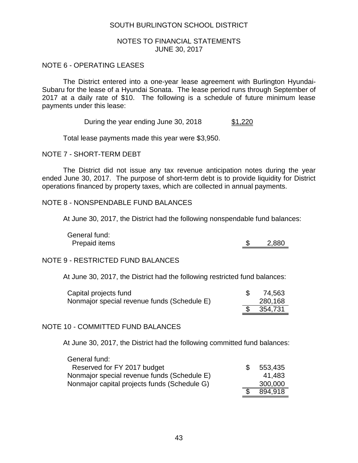#### NOTES TO FINANCIAL STATEMENTS JUNE 30, 2017

#### NOTE 6 - OPERATING LEASES

The District entered into a one-year lease agreement with Burlington Hyundai-Subaru for the lease of a Hyundai Sonata. The lease period runs through September of 2017 at a daily rate of \$10. The following is a schedule of future minimum lease payments under this lease:

During the year ending June 30, 2018 \$1,220

Total lease payments made this year were \$3,950.

NOTE 7 - SHORT-TERM DEBT

The District did not issue any tax revenue anticipation notes during the year ended June 30, 2017. The purpose of short-term debt is to provide liquidity for District operations financed by property taxes, which are collected in annual payments.

#### NOTE 8 - NONSPENDABLE FUND BALANCES

At June 30, 2017, the District had the following nonspendable fund balances:

General fund: Prepaid items  $\qquad \qquad$  2,880

### NOTE 9 - RESTRICTED FUND BALANCES

At June 30, 2017, the District had the following restricted fund balances:

| Capital projects fund                       | 74,563  |
|---------------------------------------------|---------|
| Nonmajor special revenue funds (Schedule E) | 280,168 |
|                                             | 354,731 |

#### NOTE 10 - COMMITTED FUND BALANCES

At June 30, 2017, the District had the following committed fund balances:

| General fund:                                |    |         |
|----------------------------------------------|----|---------|
| Reserved for FY 2017 budget                  | S. | 553,435 |
| Nonmajor special revenue funds (Schedule E)  |    | 41,483  |
| Nonmajor capital projects funds (Schedule G) |    | 300,000 |
|                                              |    | 894.918 |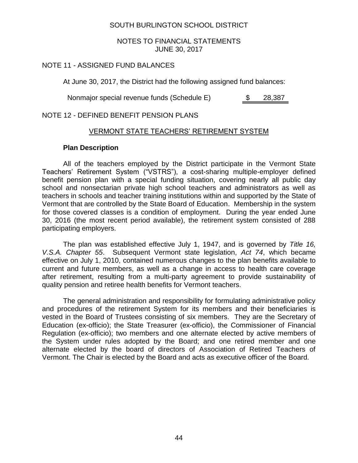#### NOTES TO FINANCIAL STATEMENTS JUNE 30, 2017

#### NOTE 11 - ASSIGNED FUND BALANCES

At June 30, 2017, the District had the following assigned fund balances:

Nonmajor special revenue funds (Schedule E)  $$28,387$ 

### NOTE 12 - DEFINED BENEFIT PENSION PLANS

## VERMONT STATE TEACHERS' RETIREMENT SYSTEM

#### **Plan Description**

All of the teachers employed by the District participate in the Vermont State Teachers' Retirement System ("VSTRS"), a cost-sharing multiple-employer defined benefit pension plan with a special funding situation, covering nearly all public day school and nonsectarian private high school teachers and administrators as well as teachers in schools and teacher training institutions within and supported by the State of Vermont that are controlled by the State Board of Education. Membership in the system for those covered classes is a condition of employment. During the year ended June 30, 2016 (the most recent period available), the retirement system consisted of 288 participating employers.

The plan was established effective July 1, 1947, and is governed by *Title 16, V.S.A. Chapter 55*. Subsequent Vermont state legislation, *Act 74*, which became effective on July 1, 2010, contained numerous changes to the plan benefits available to current and future members, as well as a change in access to health care coverage after retirement, resulting from a multi-party agreement to provide sustainability of quality pension and retiree health benefits for Vermont teachers.

The general administration and responsibility for formulating administrative policy and procedures of the retirement System for its members and their beneficiaries is vested in the Board of Trustees consisting of six members. They are the Secretary of Education (ex-officio); the State Treasurer (ex-officio), the Commissioner of Financial Regulation (ex-officio); two members and one alternate elected by active members of the System under rules adopted by the Board; and one retired member and one alternate elected by the board of directors of Association of Retired Teachers of Vermont. The Chair is elected by the Board and acts as executive officer of the Board.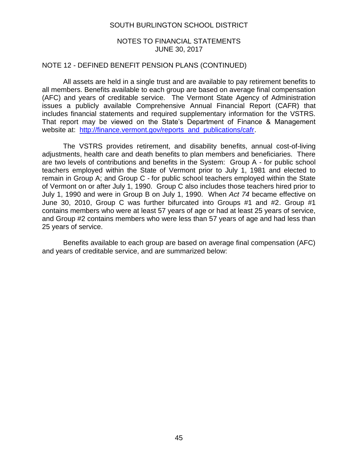#### NOTES TO FINANCIAL STATEMENTS JUNE 30, 2017

#### NOTE 12 - DEFINED BENEFIT PENSION PLANS (CONTINUED)

All assets are held in a single trust and are available to pay retirement benefits to all members. Benefits available to each group are based on average final compensation (AFC) and years of creditable service. The Vermont State Agency of Administration issues a publicly available Comprehensive Annual Financial Report (CAFR) that includes financial statements and required supplementary information for the VSTRS. That report may be viewed on the State's Department of Finance & Management website at: [http://finance.vermont.gov/reports\\_and\\_publications/cafr.](http://finance.vermont.gov/reports_and_publications/cafr)

The VSTRS provides retirement, and disability benefits, annual cost-of-living adjustments, health care and death benefits to plan members and beneficiaries. There are two levels of contributions and benefits in the System: Group A - for public school teachers employed within the State of Vermont prior to July 1, 1981 and elected to remain in Group A; and Group C - for public school teachers employed within the State of Vermont on or after July 1, 1990. Group C also includes those teachers hired prior to July 1, 1990 and were in Group B on July 1, 1990. When *Act 74* became effective on June 30, 2010, Group C was further bifurcated into Groups #1 and #2. Group #1 contains members who were at least 57 years of age or had at least 25 years of service, and Group #2 contains members who were less than 57 years of age and had less than 25 years of service.

Benefits available to each group are based on average final compensation (AFC) and years of creditable service, and are summarized below: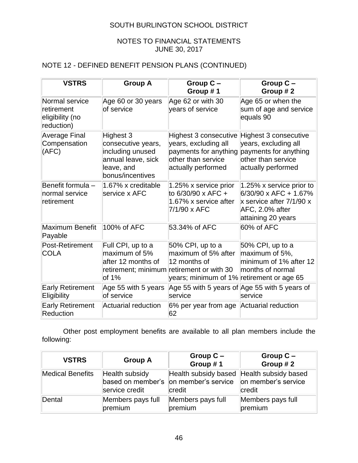## NOTES TO FINANCIAL STATEMENTS JUNE 30, 2017

# NOTE 12 - DEFINED BENEFIT PENSION PLANS (CONTINUED)

| <b>VSTRS</b>                                                  | <b>Group A</b>                                                                                              | Group C-<br>Group #1                                                                                                                              | Group C-<br>Group #2                                                                                                            |
|---------------------------------------------------------------|-------------------------------------------------------------------------------------------------------------|---------------------------------------------------------------------------------------------------------------------------------------------------|---------------------------------------------------------------------------------------------------------------------------------|
| Normal service<br>retirement<br>eligibility (no<br>reduction) | Age 60 or 30 years<br>of service                                                                            | Age 62 or with 30<br>years of service                                                                                                             | Age 65 or when the<br>sum of age and service<br>equals 90                                                                       |
| <b>Average Final</b><br>Compensation<br>(AFC)                 | Highest 3<br>consecutive years,<br>including unused<br>annual leave, sick<br>leave, and<br>bonus/incentives | Highest 3 consecutive<br>years, excluding all<br>payments for anything<br>other than service<br>actually performed                                | Highest 3 consecutive<br>years, excluding all<br>payments for anything<br>other than service<br>actually performed              |
| Benefit formula -<br>normal service<br>retirement             | 1.67% x creditable<br>service x AFC                                                                         | 1.25% x service prior<br>to 6/30/90 x AFC +<br>1.67% x service after<br>7/1/90 x AFC                                                              | 1.25% x service prior to<br>$6/30/90 \times$ AFC + 1.67%<br>x service after $7/1/90$ x<br>AFC, 2.0% after<br>attaining 20 years |
| Maximum Benefit<br>Payable                                    | 100% of AFC                                                                                                 | 53.34% of AFC                                                                                                                                     | 60% of AFC                                                                                                                      |
| Post-Retirement<br><b>COLA</b>                                | Full CPI, up to a<br>maximum of 5%<br>after 12 months of<br>of $1%$                                         | 50% CPI, up to a<br>maximum of 5% after<br>12 months of<br>retirement; minimum retirement or with 30<br>years; minimum of 1% retirement or age 65 | $50\%$ CPI, up to a<br>maximum of 5%,<br>minimum of 1% after 12<br>months of normal                                             |
| <b>Early Retirement</b><br>Eligibility                        | Age 55 with 5 years<br>of service                                                                           | service                                                                                                                                           | Age 55 with 5 years of Age 55 with 5 years of<br>service                                                                        |
| <b>Early Retirement</b><br>Reduction                          | Actuarial reduction                                                                                         | 6% per year from age<br>62                                                                                                                        | Actuarial reduction                                                                                                             |

Other post employment benefits are available to all plan members include the following:

| <b>VSTRS</b>            | <b>Group A</b>                   | Group $C -$<br>Group #1                                                                                          | Group $C -$<br>Group #2      |
|-------------------------|----------------------------------|------------------------------------------------------------------------------------------------------------------|------------------------------|
| <b>Medical Benefits</b> | Health subsidy<br>service credit | Health subsidy based Health subsidy based<br>based on member's on member's service on member's service<br>credit | credit                       |
| Dental                  | Members pays full<br>premium     | Members pays full<br>premium                                                                                     | Members pays full<br>premium |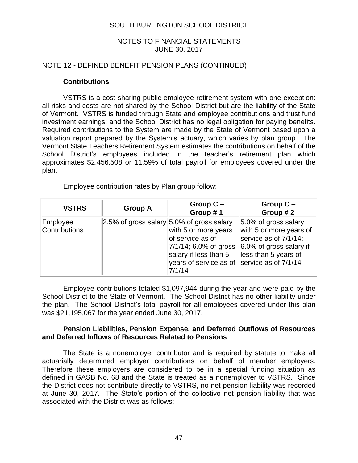## NOTES TO FINANCIAL STATEMENTS JUNE 30, 2017

#### NOTE 12 - DEFINED BENEFIT PENSION PLANS (CONTINUED)

#### **Contributions**

VSTRS is a cost-sharing public employee retirement system with one exception: all risks and costs are not shared by the School District but are the liability of the State of Vermont. VSTRS is funded through State and employee contributions and trust fund investment earnings; and the School District has no legal obligation for paying benefits. Required contributions to the System are made by the State of Vermont based upon a valuation report prepared by the System's actuary, which varies by plan group. The Vermont State Teachers Retirement System estimates the contributions on behalf of the School District's employees included in the teacher's retirement plan which approximates \$2,456,508 or 11.59% of total payroll for employees covered under the plan.

Employee contribution rates by Plan group follow:

| <b>VSTRS</b>              | <b>Group A</b>                            | Group $C -$<br>Group #1                                                                                                                                  | Group $C -$<br>Group #2                                                                                                        |
|---------------------------|-------------------------------------------|----------------------------------------------------------------------------------------------------------------------------------------------------------|--------------------------------------------------------------------------------------------------------------------------------|
| Employee<br>Contributions | 2.5% of gross salary 5.0% of gross salary | with 5 or more years<br>of service as of<br>$7/1/14$ ; 6.0% of gross<br>salary if less than 5<br>years of service as of service as of $7/1/14$<br>7/1/14 | 5.0% of gross salary<br>with 5 or more years of<br>service as of $7/1/14$ ;<br>6.0% of gross salary if<br>less than 5 years of |

Employee contributions totaled \$1,097,944 during the year and were paid by the School District to the State of Vermont. The School District has no other liability under the plan. The School District's total payroll for all employees covered under this plan was \$21,195,067 for the year ended June 30, 2017.

#### **Pension Liabilities, Pension Expense, and Deferred Outflows of Resources and Deferred Inflows of Resources Related to Pensions**

The State is a nonemployer contributor and is required by statute to make all actuarially determined employer contributions on behalf of member employers. Therefore these employers are considered to be in a special funding situation as defined in GASB No. 68 and the State is treated as a nonemployer to VSTRS. Since the District does not contribute directly to VSTRS, no net pension liability was recorded at June 30, 2017. The State's portion of the collective net pension liability that was associated with the District was as follows: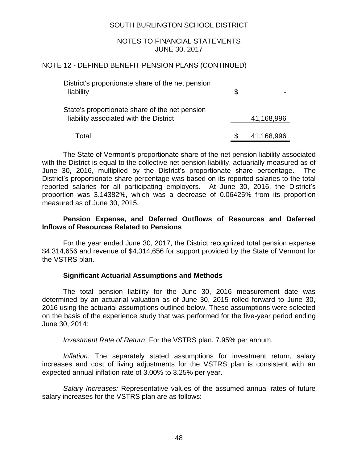#### NOTES TO FINANCIAL STATEMENTS JUNE 30, 2017

#### NOTE 12 - DEFINED BENEFIT PENSION PLANS (CONTINUED)

| District's proportionate share of the net pension<br>liability                           | \$         |
|------------------------------------------------------------------------------------------|------------|
| State's proportionate share of the net pension<br>liability associated with the District | 41,168,996 |
| Total                                                                                    | 41,168,996 |

The State of Vermont's proportionate share of the net pension liability associated with the District is equal to the collective net pension liability, actuarially measured as of June 30, 2016, multiplied by the District's proportionate share percentage. The District's proportionate share percentage was based on its reported salaries to the total reported salaries for all participating employers. At June 30, 2016, the District's proportion was 3.14382%, which was a decrease of 0.06425% from its proportion measured as of June 30, 2015.

### **Pension Expense, and Deferred Outflows of Resources and Deferred Inflows of Resources Related to Pensions**

For the year ended June 30, 2017, the District recognized total pension expense \$4,314,656 and revenue of \$4,314,656 for support provided by the State of Vermont for the VSTRS plan.

#### **Significant Actuarial Assumptions and Methods**

The total pension liability for the June 30, 2016 measurement date was determined by an actuarial valuation as of June 30, 2015 rolled forward to June 30, 2016 using the actuarial assumptions outlined below. These assumptions were selected on the basis of the experience study that was performed for the five-year period ending June 30, 2014:

*Investment Rate of Return*: For the VSTRS plan, 7.95% per annum.

*Inflation:* The separately stated assumptions for investment return, salary increases and cost of living adjustments for the VSTRS plan is consistent with an expected annual inflation rate of 3.00% to 3.25% per year.

*Salary Increases:* Representative values of the assumed annual rates of future salary increases for the VSTRS plan are as follows: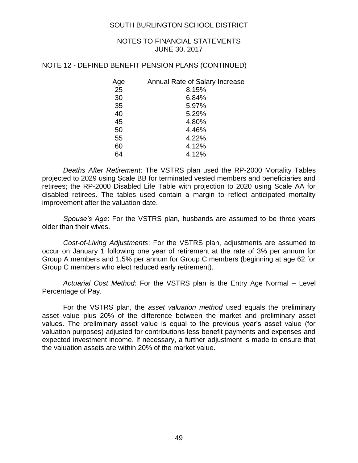#### NOTES TO FINANCIAL STATEMENTS JUNE 30, 2017

| ١ge | <b>Annual Rate of Salary Increase</b> |
|-----|---------------------------------------|
| 25  | 8.15%                                 |
| 30  | 6.84%                                 |
| 35  | 5.97%                                 |
| 40  | 5.29%                                 |
| 45  | 4.80%                                 |
| 50  | 4.46%                                 |
| 55  | 4.22%                                 |
| 60  | 4.12%                                 |
| 64  | 4.12%                                 |

#### NOTE 12 - DEFINED BENEFIT PENSION PLANS (CONTINUED)

*Deaths After Retirement*: The VSTRS plan used the RP-2000 Mortality Tables projected to 2029 using Scale BB for terminated vested members and beneficiaries and retirees; the RP-2000 Disabled Life Table with projection to 2020 using Scale AA for disabled retirees. The tables used contain a margin to reflect anticipated mortality improvement after the valuation date.

*Spouse's Age*: For the VSTRS plan, husbands are assumed to be three years older than their wives.

*Cost-of-Living Adjustments*: For the VSTRS plan, adjustments are assumed to occur on January 1 following one year of retirement at the rate of 3% per annum for Group A members and 1.5% per annum for Group C members (beginning at age 62 for Group C members who elect reduced early retirement).

*Actuarial Cost Method*: For the VSTRS plan is the Entry Age Normal – Level Percentage of Pay.

For the VSTRS plan, the *asset valuation method* used equals the preliminary asset value plus 20% of the difference between the market and preliminary asset values. The preliminary asset value is equal to the previous year's asset value (for valuation purposes) adjusted for contributions less benefit payments and expenses and expected investment income. If necessary, a further adjustment is made to ensure that the valuation assets are within 20% of the market value.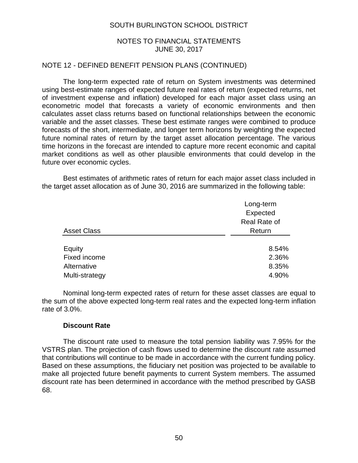#### NOTES TO FINANCIAL STATEMENTS JUNE 30, 2017

#### NOTE 12 - DEFINED BENEFIT PENSION PLANS (CONTINUED)

The long-term expected rate of return on System investments was determined using best-estimate ranges of expected future real rates of return (expected returns, net of investment expense and inflation) developed for each major asset class using an econometric model that forecasts a variety of economic environments and then calculates asset class returns based on functional relationships between the economic variable and the asset classes. These best estimate ranges were combined to produce forecasts of the short, intermediate, and longer term horizons by weighting the expected future nominal rates of return by the target asset allocation percentage. The various time horizons in the forecast are intended to capture more recent economic and capital market conditions as well as other plausible environments that could develop in the future over economic cycles.

Best estimates of arithmetic rates of return for each major asset class included in the target asset allocation as of June 30, 2016 are summarized in the following table:

|                    | Long-term<br>Expected |
|--------------------|-----------------------|
|                    | Real Rate of          |
| <b>Asset Class</b> | Return                |
|                    |                       |
| Equity             | 8.54%                 |
| Fixed income       | 2.36%                 |
| Alternative        | 8.35%                 |
| Multi-strategy     | 4.90%                 |

Nominal long-term expected rates of return for these asset classes are equal to the sum of the above expected long-term real rates and the expected long-term inflation rate of 3.0%.

#### **Discount Rate**

The discount rate used to measure the total pension liability was 7.95% for the VSTRS plan. The projection of cash flows used to determine the discount rate assumed that contributions will continue to be made in accordance with the current funding policy. Based on these assumptions, the fiduciary net position was projected to be available to make all projected future benefit payments to current System members. The assumed discount rate has been determined in accordance with the method prescribed by GASB 68.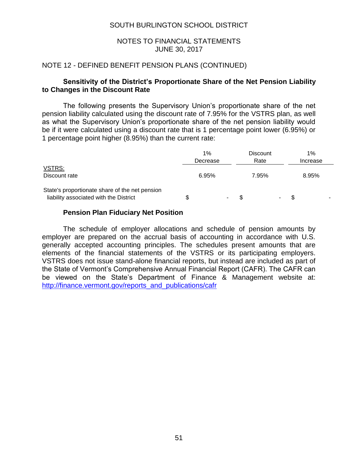#### NOTES TO FINANCIAL STATEMENTS JUNE 30, 2017

#### NOTE 12 - DEFINED BENEFIT PENSION PLANS (CONTINUED)

### **Sensitivity of the District's Proportionate Share of the Net Pension Liability to Changes in the Discount Rate**

The following presents the Supervisory Union's proportionate share of the net pension liability calculated using the discount rate of 7.95% for the VSTRS plan, as well as what the Supervisory Union's proportionate share of the net pension liability would be if it were calculated using a discount rate that is 1 percentage point lower (6.95%) or 1 percentage point higher (8.95%) than the current rate:

|                                                                                          | $1\%$<br>Decrease |        | <b>Discount</b><br>Rate |   |    | $1\%$<br>Increase |  |
|------------------------------------------------------------------------------------------|-------------------|--------|-------------------------|---|----|-------------------|--|
| VSTRS:<br>Discount rate                                                                  | 6.95%             |        | 7.95%                   |   |    | 8.95%             |  |
| State's proportionate share of the net pension<br>liability associated with the District |                   | $\sim$ |                         | ۰ | ß. |                   |  |

#### **Pension Plan Fiduciary Net Position**

The schedule of employer allocations and schedule of pension amounts by employer are prepared on the accrual basis of accounting in accordance with U.S. generally accepted accounting principles. The schedules present amounts that are elements of the financial statements of the VSTRS or its participating employers. VSTRS does not issue stand-alone financial reports, but instead are included as part of the State of Vermont's Comprehensive Annual Financial Report (CAFR). The CAFR can be viewed on the State's Department of Finance & Management website at: [http://finance.vermont.gov/reports\\_and\\_publications/cafr](http://finance.vermont.gov/reports_and_publications/cafr)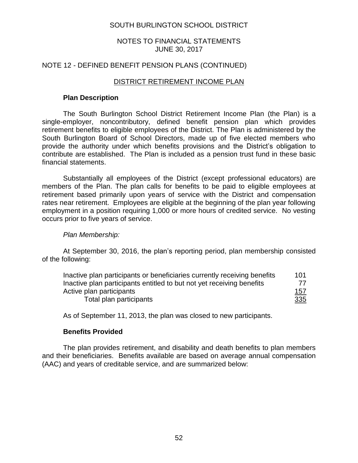## NOTES TO FINANCIAL STATEMENTS JUNE 30, 2017

### NOTE 12 - DEFINED BENEFIT PENSION PLANS (CONTINUED)

### DISTRICT RETIREMENT INCOME PLAN

#### **Plan Description**

The South Burlington School District Retirement Income Plan (the Plan) is a single-employer, noncontributory, defined benefit pension plan which provides retirement benefits to eligible employees of the District. The Plan is administered by the South Burlington Board of School Directors, made up of five elected members who provide the authority under which benefits provisions and the District's obligation to contribute are established. The Plan is included as a pension trust fund in these basic financial statements.

Substantially all employees of the District (except professional educators) are members of the Plan. The plan calls for benefits to be paid to eligible employees at retirement based primarily upon years of service with the District and compensation rates near retirement. Employees are eligible at the beginning of the plan year following employment in a position requiring 1,000 or more hours of credited service. No vesting occurs prior to five years of service.

#### *Plan Membership:*

At September 30, 2016, the plan's reporting period, plan membership consisted of the following:

| Inactive plan participants or beneficiaries currently receiving benefits | 101        |
|--------------------------------------------------------------------------|------------|
| Inactive plan participants entitled to but not yet receiving benefits    |            |
| Active plan participants                                                 | 157        |
| Total plan participants                                                  | <u>335</u> |

As of September 11, 2013, the plan was closed to new participants.

#### **Benefits Provided**

The plan provides retirement, and disability and death benefits to plan members and their beneficiaries. Benefits available are based on average annual compensation (AAC) and years of creditable service, and are summarized below: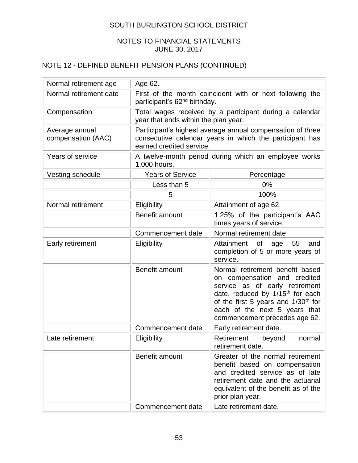## NOTES TO FINANCIAL STATEMENTS JUNE 30, 2017

# NOTE 12 - DEFINED BENEFIT PENSION PLANS (CONTINUED)

| Normal retirement age                | Age 62.                                                                                                                                           |                                                                                                                                                                                                                                                                        |  |  |
|--------------------------------------|---------------------------------------------------------------------------------------------------------------------------------------------------|------------------------------------------------------------------------------------------------------------------------------------------------------------------------------------------------------------------------------------------------------------------------|--|--|
| Normal retirement date               | First of the month coincident with or next following the<br>participant's 62 <sup>nd</sup> birthday.                                              |                                                                                                                                                                                                                                                                        |  |  |
| Compensation                         | Total wages received by a participant during a calendar<br>year that ends within the plan year.                                                   |                                                                                                                                                                                                                                                                        |  |  |
| Average annual<br>compensation (AAC) | Participant's highest average annual compensation of three<br>consecutive calendar years in which the participant has<br>earned credited service. |                                                                                                                                                                                                                                                                        |  |  |
| Years of service                     | 1,000 hours.                                                                                                                                      | A twelve-month period during which an employee works                                                                                                                                                                                                                   |  |  |
| Vesting schedule                     | <b>Years of Service</b>                                                                                                                           | Percentage                                                                                                                                                                                                                                                             |  |  |
|                                      | Less than 5                                                                                                                                       | 0%                                                                                                                                                                                                                                                                     |  |  |
|                                      | 5                                                                                                                                                 | 100%                                                                                                                                                                                                                                                                   |  |  |
| Normal retirement                    | Eligibility                                                                                                                                       | Attainment of age 62.                                                                                                                                                                                                                                                  |  |  |
|                                      | Benefit amount                                                                                                                                    | 1.25% of the participant's AAC<br>times years of service.                                                                                                                                                                                                              |  |  |
|                                      | Commencement date                                                                                                                                 | Normal retirement date                                                                                                                                                                                                                                                 |  |  |
| Early retirement                     | Eligibility                                                                                                                                       | Attainment of age<br>55<br>and<br>completion of 5 or more years of<br>service.                                                                                                                                                                                         |  |  |
|                                      | Benefit amount                                                                                                                                    | Normal retirement benefit based<br>on compensation and credited<br>service as of early retirement<br>date, reduced by 1/15 <sup>th</sup> for each<br>of the first 5 years and 1/30 <sup>th</sup> for<br>each of the next 5 years that<br>commencement precedes age 62. |  |  |
|                                      | Commencement date                                                                                                                                 | Early retirement date.                                                                                                                                                                                                                                                 |  |  |
| Late retirement                      | Eligibility                                                                                                                                       | Retirement<br>beyond<br>normal<br>retirement date.                                                                                                                                                                                                                     |  |  |
|                                      | Benefit amount                                                                                                                                    | Greater of the normal retirement<br>benefit based on compensation<br>and credited service as of late<br>retirement date and the actuarial<br>equivalent of the benefit as of the<br>prior plan year.                                                                   |  |  |
|                                      | Commencement date                                                                                                                                 | Late retirement date.                                                                                                                                                                                                                                                  |  |  |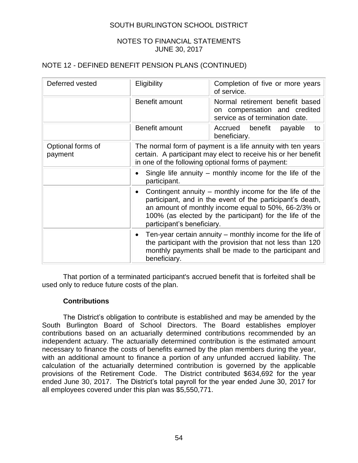## NOTES TO FINANCIAL STATEMENTS JUNE 30, 2017

| NOTE 12 - DEFINED BENEFIT PENSION PLANS (CONTINUED) |  |
|-----------------------------------------------------|--|
|-----------------------------------------------------|--|

| Deferred vested              | Eligibility                                                                                                                                                                         | Completion of five or more years<br>of service.                                                                                                                                                                                          |  |
|------------------------------|-------------------------------------------------------------------------------------------------------------------------------------------------------------------------------------|------------------------------------------------------------------------------------------------------------------------------------------------------------------------------------------------------------------------------------------|--|
|                              | Benefit amount                                                                                                                                                                      | Normal retirement benefit based<br>on compensation and credited<br>service as of termination date.                                                                                                                                       |  |
|                              | Benefit amount                                                                                                                                                                      | Accrued benefit<br>payable<br>to<br>beneficiary.                                                                                                                                                                                         |  |
| Optional forms of<br>payment | The normal form of payment is a life annuity with ten years<br>certain. A participant may elect to receive his or her benefit<br>in one of the following optional forms of payment: |                                                                                                                                                                                                                                          |  |
|                              | Single life annuity $-$ monthly income for the life of the<br>participant.                                                                                                          |                                                                                                                                                                                                                                          |  |
|                              | participant's beneficiary.                                                                                                                                                          | Contingent annuity – monthly income for the life of the<br>participant, and in the event of the participant's death,<br>an amount of monthly income equal to 50%, 66-2/3% or<br>100% (as elected by the participant) for the life of the |  |
|                              | $\bullet$<br>beneficiary.                                                                                                                                                           | Ten-year certain annuity – monthly income for the life of<br>the participant with the provision that not less than 120<br>monthly payments shall be made to the participant and                                                          |  |

That portion of a terminated participant's accrued benefit that is forfeited shall be used only to reduce future costs of the plan.

## **Contributions**

The District's obligation to contribute is established and may be amended by the South Burlington Board of School Directors. The Board establishes employer contributions based on an actuarially determined contributions recommended by an independent actuary. The actuarially determined contribution is the estimated amount necessary to finance the costs of benefits earned by the plan members during the year, with an additional amount to finance a portion of any unfunded accrued liability. The calculation of the actuarially determined contribution is governed by the applicable provisions of the Retirement Code. The District contributed \$634,692 for the year ended June 30, 2017. The District's total payroll for the year ended June 30, 2017 for all employees covered under this plan was \$5,550,771.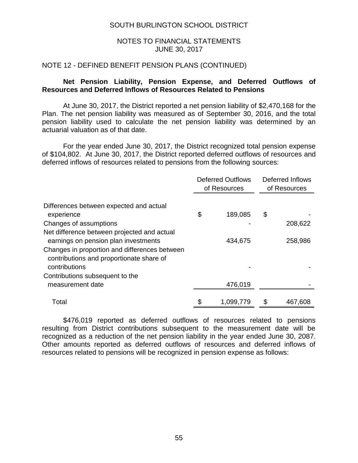#### NOTES TO FINANCIAL STATEMENTS JUNE 30, 2017

#### NOTE 12 - DEFINED BENEFIT PENSION PLANS (CONTINUED)

#### **Net Pension Liability, Pension Expense, and Deferred Outflows of Resources and Deferred Inflows of Resources Related to Pensions**

At June 30, 2017, the District reported a net pension liability of \$2,470,168 for the Plan. The net pension liability was measured as of September 30, 2016, and the total pension liability used to calculate the net pension liability was determined by an actuarial valuation as of that date.

For the year ended June 30, 2017, the District recognized total pension expense of \$104,802. At June 30, 2017, the District reported deferred outflows of resources and deferred inflows of resources related to pensions from the following sources:

|                                                                                           | <b>Deferred Outflows</b><br>of Resources |           | Deferred Inflows<br>of Resources |         |
|-------------------------------------------------------------------------------------------|------------------------------------------|-----------|----------------------------------|---------|
|                                                                                           |                                          |           |                                  |         |
| Differences between expected and actual<br>experience                                     | \$                                       | 189,085   | \$                               |         |
| Changes of assumptions                                                                    |                                          |           |                                  | 208,622 |
| Net difference between projected and actual<br>earnings on pension plan investments       |                                          | 434,675   |                                  | 258,986 |
| Changes in proportion and differences between<br>contributions and proportionate share of |                                          |           |                                  |         |
| contributions                                                                             |                                          |           |                                  |         |
| Contributions subsequent to the                                                           |                                          |           |                                  |         |
| measurement date                                                                          |                                          | 476,019   |                                  |         |
| Total                                                                                     |                                          | 1,099,779 |                                  | 467,608 |

\$476,019 reported as deferred outflows of resources related to pensions resulting from District contributions subsequent to the measurement date will be recognized as a reduction of the net pension liability in the year ended June 30, 2087. Other amounts reported as deferred outflows of resources and deferred inflows of resources related to pensions will be recognized in pension expense as follows: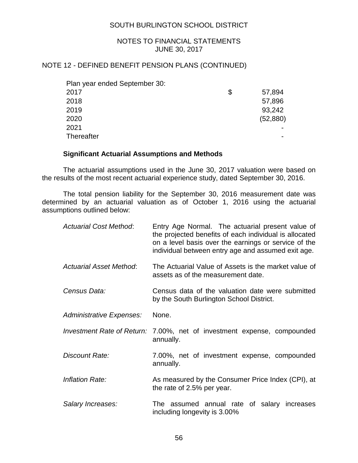### NOTES TO FINANCIAL STATEMENTS JUNE 30, 2017

## NOTE 12 - DEFINED BENEFIT PENSION PLANS (CONTINUED)

| \$<br>57,894 |
|--------------|
| 57,896       |
| 93,242       |
| (52, 880)    |
|              |
|              |
|              |

#### **Significant Actuarial Assumptions and Methods**

The actuarial assumptions used in the June 30, 2017 valuation were based on the results of the most recent actuarial experience study, dated September 30, 2016.

The total pension liability for the September 30, 2016 measurement date was determined by an actuarial valuation as of October 1, 2016 using the actuarial assumptions outlined below:

| <b>Actuarial Cost Method:</b>  | Entry Age Normal. The actuarial present value of<br>the projected benefits of each individual is allocated<br>on a level basis over the earnings or service of the<br>individual between entry age and assumed exit age. |
|--------------------------------|--------------------------------------------------------------------------------------------------------------------------------------------------------------------------------------------------------------------------|
| <b>Actuarial Asset Method:</b> | The Actuarial Value of Assets is the market value of<br>assets as of the measurement date.                                                                                                                               |
| Census Data:                   | Census data of the valuation date were submitted<br>by the South Burlington School District.                                                                                                                             |
| Administrative Expenses:       | None.                                                                                                                                                                                                                    |
|                                | <i>Investment Rate of Return: 7.00%</i> , net of investment expense, compounded<br>annually.                                                                                                                             |
| Discount Rate:                 | 7.00%, net of investment expense, compounded<br>annually.                                                                                                                                                                |
| Inflation Rate:                | As measured by the Consumer Price Index (CPI), at<br>the rate of 2.5% per year.                                                                                                                                          |
| Salary Increases:              | The assumed annual rate of salary increases<br>including longevity is 3.00%                                                                                                                                              |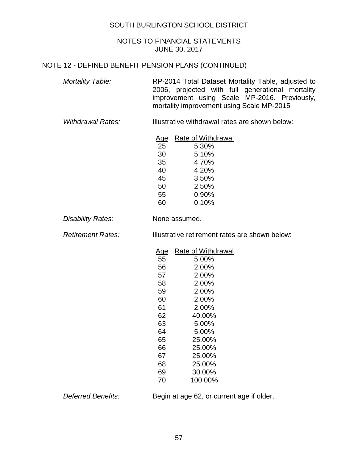### NOTES TO FINANCIAL STATEMENTS JUNE 30, 2017

### NOTE 12 - DEFINED BENEFIT PENSION PLANS (CONTINUED)

*Mortality Table:* RP-2014 Total Dataset Mortality Table, adjusted to 2006, projected with full generational mortality improvement using Scale MP-2016. Previously, mortality improvement using Scale MP-2015

## *Withdrawal Rates:* Illustrative withdrawal rates are shown below:

| Age | Rate of Withdrawal |
|-----|--------------------|
| 25  | 5.30%              |
| 30  | 5.10%              |
| 35  | 4.70%              |
| 40  | 4.20%              |
| 45  | 3.50%              |
| 50  | 2.50%              |
| 55  | 0.90%              |
| 60  | 0.10%              |
|     |                    |

*Disability Rates:* None assumed.

*Retirement Rates:* Illustrative retirement rates are shown below:

| Age | <b>Rate of Withdrawal</b> |
|-----|---------------------------|
| 55  | 5.00%                     |
| 56  | 2.00%                     |
| 57  | 2.00%                     |
| 58  | 2.00%                     |
| 59  | 2.00%                     |
| 60  | 2.00%                     |
| 61  | 2.00%                     |
| 62  | 40.00%                    |
| 63  | 5.00%                     |
| 64  | 5.00%                     |
| 65  | 25.00%                    |
| 66  | 25.00%                    |
| 67  | 25.00%                    |
| 68  | 25.00%                    |
| 69  | 30.00%                    |
| 70  | 100.00%                   |

*Deferred Benefits:* Begin at age 62, or current age if older.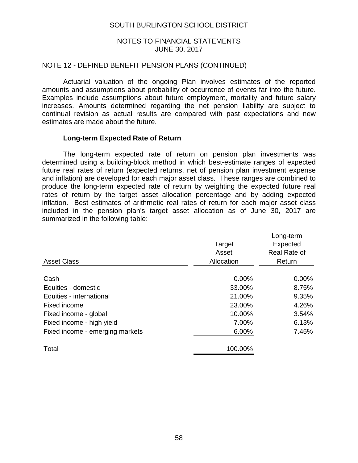#### NOTES TO FINANCIAL STATEMENTS JUNE 30, 2017

#### NOTE 12 - DEFINED BENEFIT PENSION PLANS (CONTINUED)

Actuarial valuation of the ongoing Plan involves estimates of the reported amounts and assumptions about probability of occurrence of events far into the future. Examples include assumptions about future employment, mortality and future salary increases. Amounts determined regarding the net pension liability are subject to continual revision as actual results are compared with past expectations and new estimates are made about the future.

#### **Long-term Expected Rate of Return**

The long-term expected rate of return on pension plan investments was determined using a building-block method in which best-estimate ranges of expected future real rates of return (expected returns, net of pension plan investment expense and inflation) are developed for each major asset class. These ranges are combined to produce the long-term expected rate of return by weighting the expected future real rates of return by the target asset allocation percentage and by adding expected inflation. Best estimates of arithmetic real rates of return for each major asset class included in the pension plan's target asset allocation as of June 30, 2017 are summarized in the following table:

|                                 | Target     | Long-term<br>Expected |  |  |  |
|---------------------------------|------------|-----------------------|--|--|--|
|                                 | Asset      | <b>Real Rate of</b>   |  |  |  |
| <b>Asset Class</b>              | Allocation | Return                |  |  |  |
|                                 |            |                       |  |  |  |
| Cash                            | 0.00%      | $0.00\%$              |  |  |  |
| Equities - domestic             | 33.00%     | 8.75%                 |  |  |  |
| Equities - international        | 21.00%     | 9.35%                 |  |  |  |
| Fixed income                    | 23.00%     | 4.26%                 |  |  |  |
| Fixed income - global           | 10.00%     | 3.54%                 |  |  |  |
| Fixed income - high yield       | 7.00%      | 6.13%                 |  |  |  |
| Fixed income - emerging markets | 6.00%      | 7.45%                 |  |  |  |
| Total                           | 100.00%    |                       |  |  |  |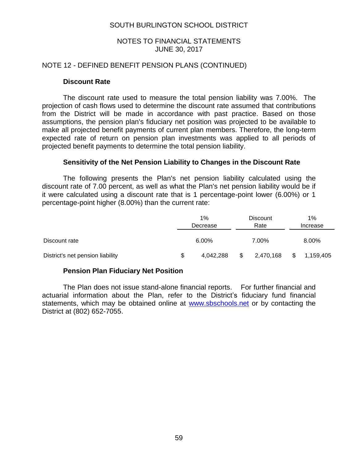## NOTES TO FINANCIAL STATEMENTS JUNE 30, 2017

#### NOTE 12 - DEFINED BENEFIT PENSION PLANS (CONTINUED)

#### **Discount Rate**

The discount rate used to measure the total pension liability was 7.00%. The projection of cash flows used to determine the discount rate assumed that contributions from the District will be made in accordance with past practice. Based on those assumptions, the pension plan's fiduciary net position was projected to be available to make all projected benefit payments of current plan members. Therefore, the long-term expected rate of return on pension plan investments was applied to all periods of projected benefit payments to determine the total pension liability.

#### **Sensitivity of the Net Pension Liability to Changes in the Discount Rate**

The following presents the Plan's net pension liability calculated using the discount rate of 7.00 percent, as well as what the Plan's net pension liability would be if it were calculated using a discount rate that is 1 percentage-point lower (6.00%) or 1 percentage-point higher (8.00%) than the current rate:

|                                  | $1\%$<br>Decrease |  |       | <b>Discount</b><br>Rate | $1\%$<br>Increase |           |  |
|----------------------------------|-------------------|--|-------|-------------------------|-------------------|-----------|--|
| Discount rate                    | 6.00%             |  | 7.00% |                         | 8.00%             |           |  |
| District's net pension liability | \$.<br>4.042.288  |  | \$    | 2,470,168               | \$                | 1,159,405 |  |

## **Pension Plan Fiduciary Net Position**

The Plan does not issue stand-alone financial reports. For further financial and actuarial information about the Plan, refer to the District's fiduciary fund financial statements, which may be obtained online at [www.sbschools.net](http://www.sbschools.net/) or by contacting the District at (802) 652-7055.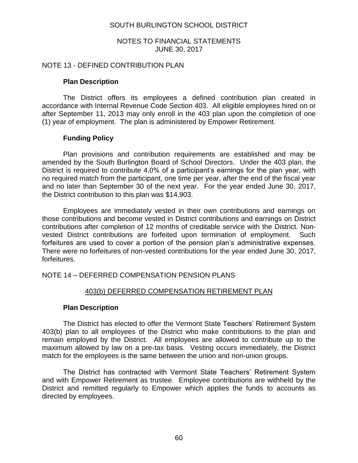#### NOTES TO FINANCIAL STATEMENTS JUNE 30, 2017

#### NOTE 13 - DEFINED CONTRIBUTION PLAN

#### **Plan Description**

The District offers its employees a defined contribution plan created in accordance with Internal Revenue Code Section 403. All eligible employees hired on or after September 11, 2013 may only enroll in the 403 plan upon the completion of one (1) year of employment. The plan is administered by Empower Retirement.

#### **Funding Policy**

Plan provisions and contribution requirements are established and may be amended by the South Burlington Board of School Directors. Under the 403 plan, the District is required to contribute 4.0% of a participant's earnings for the plan year, with no required match from the participant, one time per year, after the end of the fiscal year and no later than September 30 of the next year. For the year ended June 30, 2017, the District contribution to this plan was \$14,903.

Employees are immediately vested in their own contributions and earnings on those contributions and become vested in District contributions and earnings on District contributions after completion of 12 months of creditable service with the District. Nonvested District contributions are forfeited upon termination of employment. Such forfeitures are used to cover a portion of the pension plan's administrative expenses. There were no forfeitures of non-vested contributions for the year ended June 30, 2017, forfeitures.

## NOTE 14 – DEFERRED COMPENSATION PENSION PLANS

## 403(b) DEFERRED COMPENSATION RETIREMENT PLAN

#### **Plan Description**

The District has elected to offer the Vermont State Teachers' Retirement System 403(b) plan to all employees of the District who make contributions to the plan and remain employed by the District. All employees are allowed to contribute up to the maximum allowed by law on a pre-tax basis. Vesting occurs immediately, the District match for the employees is the same between the union and non-union groups.

The District has contracted with Vermont State Teachers' Retirement System and with Empower Retirement as trustee. Employee contributions are withheld by the District and remitted regularly to Empower which applies the funds to accounts as directed by employees.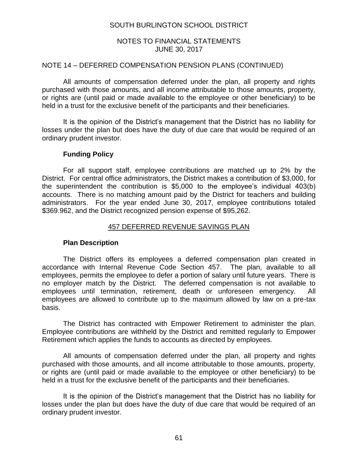## NOTES TO FINANCIAL STATEMENTS JUNE 30, 2017

#### NOTE 14 – DEFERRED COMPENSATION PENSION PLANS (CONTINUED)

All amounts of compensation deferred under the plan, all property and rights purchased with those amounts, and all income attributable to those amounts, property, or rights are (until paid or made available to the employee or other beneficiary) to be held in a trust for the exclusive benefit of the participants and their beneficiaries.

It is the opinion of the District's management that the District has no liability for losses under the plan but does have the duty of due care that would be required of an ordinary prudent investor.

#### **Funding Policy**

For all support staff, employee contributions are matched up to 2% by the District. For central office administrators, the District makes a contribution of \$3,000, for the superintendent the contribution is \$5,000 to the employee's individual 403(b) accounts. There is no matching amount paid by the District for teachers and building administrators. For the year ended June 30, 2017, employee contributions totaled \$369.962, and the District recognized pension expense of \$95,262.

#### 457 DEFERRED REVENUE SAVINGS PLAN

#### **Plan Description**

The District offers its employees a deferred compensation plan created in accordance with Internal Revenue Code Section 457. The plan, available to all employees, permits the employee to defer a portion of salary until future years. There is no employer match by the District. The deferred compensation is not available to employees until termination, retirement, death or unforeseen emergency. All employees are allowed to contribute up to the maximum allowed by law on a pre-tax basis.

The District has contracted with Empower Retirement to administer the plan. Employee contributions are withheld by the District and remitted regularly to Empower Retirement which applies the funds to accounts as directed by employees.

All amounts of compensation deferred under the plan, all property and rights purchased with those amounts, and all income attributable to those amounts, property, or rights are (until paid or made available to the employee or other beneficiary) to be held in a trust for the exclusive benefit of the participants and their beneficiaries.

It is the opinion of the District's management that the District has no liability for losses under the plan but does have the duty of due care that would be required of an ordinary prudent investor.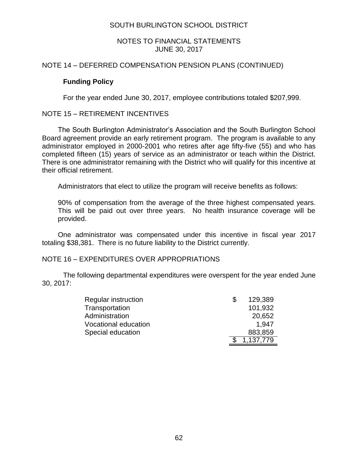## NOTES TO FINANCIAL STATEMENTS JUNE 30, 2017

## NOTE 14 – DEFERRED COMPENSATION PENSION PLANS (CONTINUED)

## **Funding Policy**

For the year ended June 30, 2017, employee contributions totaled \$207,999.

## NOTE 15 – RETIREMENT INCENTIVES

The South Burlington Administrator's Association and the South Burlington School Board agreement provide an early retirement program. The program is available to any administrator employed in 2000-2001 who retires after age fifty-five (55) and who has completed fifteen (15) years of service as an administrator or teach within the District. There is one administrator remaining with the District who will qualify for this incentive at their official retirement.

Administrators that elect to utilize the program will receive benefits as follows:

90% of compensation from the average of the three highest compensated years. This will be paid out over three years. No health insurance coverage will be provided.

One administrator was compensated under this incentive in fiscal year 2017 totaling \$38,381. There is no future liability to the District currently.

## NOTE 16 – EXPENDITURES OVER APPROPRIATIONS

The following departmental expenditures were overspent for the year ended June 30, 2017:

| <b>Regular instruction</b> | \$<br>129,389 |
|----------------------------|---------------|
| Transportation             | 101,932       |
| Administration             | 20,652        |
| Vocational education       | 1.947         |
| Special education          | 883,859       |
|                            | 1,137,779     |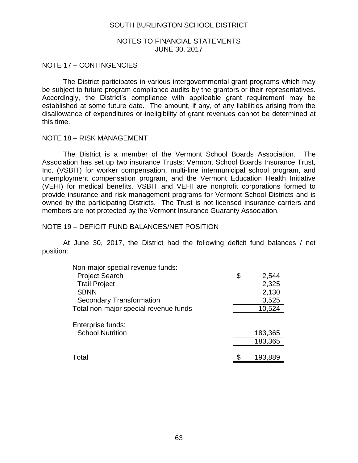#### NOTES TO FINANCIAL STATEMENTS JUNE 30, 2017

#### NOTE 17 – CONTINGENCIES

The District participates in various intergovernmental grant programs which may be subject to future program compliance audits by the grantors or their representatives. Accordingly, the District's compliance with applicable grant requirement may be established at some future date. The amount, if any, of any liabilities arising from the disallowance of expenditures or ineligibility of grant revenues cannot be determined at this time.

#### NOTE 18 – RISK MANAGEMENT

The District is a member of the Vermont School Boards Association. The Association has set up two insurance Trusts; Vermont School Boards Insurance Trust, Inc. (VSBIT) for worker compensation, multi-line intermunicipal school program, and unemployment compensation program, and the Vermont Education Health Initiative (VEHI) for medical benefits. VSBIT and VEHI are nonprofit corporations formed to provide insurance and risk management programs for Vermont School Districts and is owned by the participating Districts. The Trust is not licensed insurance carriers and members are not protected by the Vermont Insurance Guaranty Association.

#### NOTE 19 – DEFICIT FUND BALANCES/NET POSITION

At June 30, 2017, the District had the following deficit fund balances / net position:

| Non-major special revenue funds:      |             |
|---------------------------------------|-------------|
| <b>Project Search</b>                 | \$<br>2,544 |
| <b>Trail Project</b>                  | 2,325       |
| <b>SBNN</b>                           | 2,130       |
| <b>Secondary Transformation</b>       | 3,525       |
| Total non-major special revenue funds | 10,524      |
| Enterprise funds:                     |             |
| <b>School Nutrition</b>               | 183,365     |
|                                       | 183,365     |
|                                       |             |
| Total                                 | 193,889     |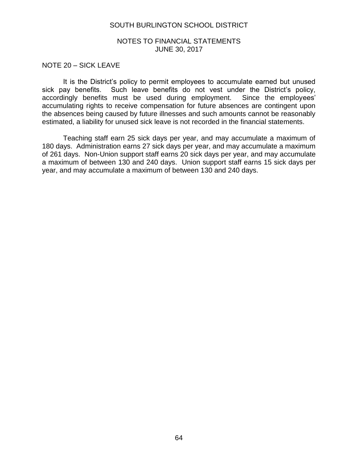#### NOTES TO FINANCIAL STATEMENTS JUNE 30, 2017

#### NOTE 20 – SICK LEAVE

It is the District's policy to permit employees to accumulate earned but unused sick pay benefits. Such leave benefits do not vest under the District's policy, accordingly benefits must be used during employment. Since the employees' accumulating rights to receive compensation for future absences are contingent upon the absences being caused by future illnesses and such amounts cannot be reasonably estimated, a liability for unused sick leave is not recorded in the financial statements.

Teaching staff earn 25 sick days per year, and may accumulate a maximum of 180 days. Administration earns 27 sick days per year, and may accumulate a maximum of 261 days. Non-Union support staff earns 20 sick days per year, and may accumulate a maximum of between 130 and 240 days. Union support staff earns 15 sick days per year, and may accumulate a maximum of between 130 and 240 days.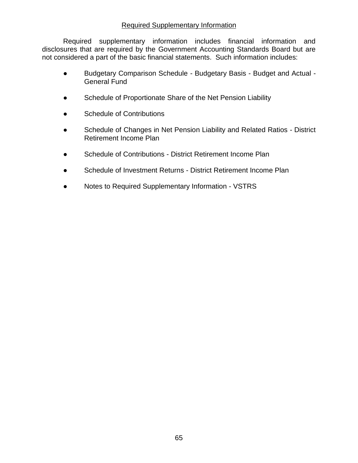## Required Supplementary Information

Required supplementary information includes financial information and disclosures that are required by the Government Accounting Standards Board but are not considered a part of the basic financial statements. Such information includes:

- Budgetary Comparison Schedule Budgetary Basis Budget and Actual General Fund
- Schedule of Proportionate Share of the Net Pension Liability
- Schedule of Contributions
- Schedule of Changes in Net Pension Liability and Related Ratios District Retirement Income Plan
- Schedule of Contributions District Retirement Income Plan
- Schedule of Investment Returns District Retirement Income Plan
- Notes to Required Supplementary Information VSTRS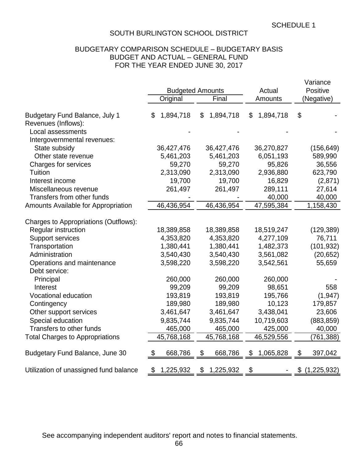## BUDGETARY COMPARISON SCHEDULE – BUDGETARY BASIS BUDGET AND ACTUAL – GENERAL FUND FOR THE YEAR ENDED JUNE 30, 2017

|                                                              |                 |                         | Variance        |               |  |  |
|--------------------------------------------------------------|-----------------|-------------------------|-----------------|---------------|--|--|
|                                                              |                 | <b>Budgeted Amounts</b> | Actual          | Positive      |  |  |
|                                                              | Original        | Final                   | Amounts         | (Negative)    |  |  |
| <b>Budgetary Fund Balance, July 1</b><br>Revenues (Inflows): | 1,894,718<br>\$ | 1,894,718<br>\$         | 1,894,718<br>S  | \$            |  |  |
| Local assessments<br>Intergovernmental revenues:             |                 |                         |                 |               |  |  |
| State subsidy                                                | 36,427,476      | 36,427,476              | 36,270,827      | (156, 649)    |  |  |
| Other state revenue                                          | 5,461,203       | 5,461,203               | 6,051,193       | 589,990       |  |  |
| Charges for services                                         | 59,270          | 59,270                  | 95,826          | 36,556        |  |  |
| Tuition                                                      | 2,313,090       | 2,313,090               | 2,936,880       | 623,790       |  |  |
| Interest income                                              | 19,700          | 19,700                  | 16,829          | (2,871)       |  |  |
| Miscellaneous revenue                                        | 261,497         | 261,497                 | 289,111         | 27,614        |  |  |
| Transfers from other funds                                   |                 |                         | 40,000          | 40,000        |  |  |
| Amounts Available for Appropriation                          | 46,436,954      | 46,436,954              | 47,595,384      | 1,158,430     |  |  |
| Charges to Appropriations (Outflows):                        |                 |                         |                 |               |  |  |
| <b>Regular instruction</b>                                   | 18,389,858      | 18,389,858              | 18,519,247      | (129, 389)    |  |  |
| <b>Support services</b>                                      | 4,353,820       | 4,353,820               | 4,277,109       | 76,711        |  |  |
| Transportation                                               | 1,380,441       | 1,380,441               | 1,482,373       | (101, 932)    |  |  |
| Administration                                               | 3,540,430       | 3,540,430               | 3,561,082       | (20, 652)     |  |  |
| Operations and maintenance<br>Debt service:                  | 3,598,220       | 3,598,220               | 3,542,561       | 55,659        |  |  |
| Principal                                                    | 260,000         | 260,000                 | 260,000         |               |  |  |
| Interest                                                     | 99,209          | 99,209                  | 98,651          | 558           |  |  |
| Vocational education                                         | 193,819         | 193,819                 | 195,766         | (1, 947)      |  |  |
| Contingency                                                  | 189,980         | 189,980                 | 10,123          | 179,857       |  |  |
| Other support services                                       | 3,461,647       | 3,461,647               | 3,438,041       | 23,606        |  |  |
| Special education                                            | 9,835,744       | 9,835,744               | 10,719,603      | (883, 859)    |  |  |
| Transfers to other funds                                     | 465,000         | 465,000                 | 425,000         | 40,000        |  |  |
| <b>Total Charges to Appropriations</b>                       | 45,768,168      | 45,768,168              | 46,529,556      | (761, 388)    |  |  |
| Budgetary Fund Balance, June 30                              | \$<br>668,786   | 668,786<br>\$           | 1,065,828<br>\$ | 397,042<br>\$ |  |  |
| Utilization of unassigned fund balance                       | 1,225,932<br>\$ | 1,225,932<br>\$         | \$              | \$(1,225,932) |  |  |

See accompanying independent auditors' report and notes to financial statements.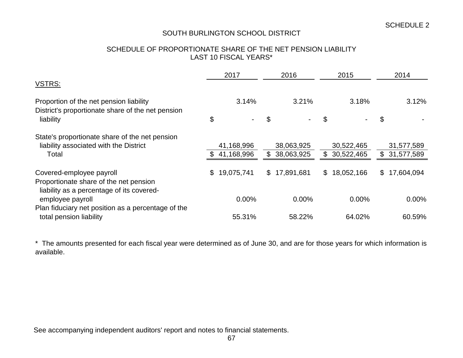### SCHEDULE OF PROPORTIONATE SHARE OF THE NET PENSION LIABILITY LAST 10 FISCAL YEARS\*

|                                                                                              | 2017 |                | 2016  |            | 2015         |            | 2014 |              |
|----------------------------------------------------------------------------------------------|------|----------------|-------|------------|--------------|------------|------|--------------|
| <b>VSTRS:</b>                                                                                |      |                |       |            |              |            |      |              |
| Proportion of the net pension liability<br>District's proportionate share of the net pension |      | 3.14%          |       | 3.21%      |              | 3.18%      |      | 3.12%        |
| liability                                                                                    | \$   | $\blacksquare$ | \$    |            | \$           |            | \$   |              |
| State's proportionate share of the net pension                                               |      |                |       |            |              |            |      |              |
| liability associated with the District                                                       |      | 41,168,996     |       | 38,063,925 |              | 30,522,465 |      | 31,577,589   |
| Total                                                                                        |      | 41,168,996     | $\$\$ | 38,063,925 | \$           | 30,522,465 |      | \$31,577,589 |
| Covered-employee payroll                                                                     | \$   | 19,075,741     | \$    | 17,891,681 | $\mathbb{S}$ | 18,052,166 | \$   | 17,604,094   |
| Proportionate share of the net pension<br>liability as a percentage of its covered-          |      |                |       |            |              |            |      |              |
| employee payroll                                                                             |      | $0.00\%$       |       | 0.00%      |              | $0.00\%$   |      | 0.00%        |
| Plan fiduciary net position as a percentage of the                                           |      |                |       |            |              |            |      |              |
| total pension liability                                                                      |      | 55.31%         |       | 58.22%     |              | 64.02%     |      | 60.59%       |

\* The amounts presented for each fiscal year were determined as of June 30, and are for those years for which information is available.

See accompanying independent auditors' report and notes to financial statements.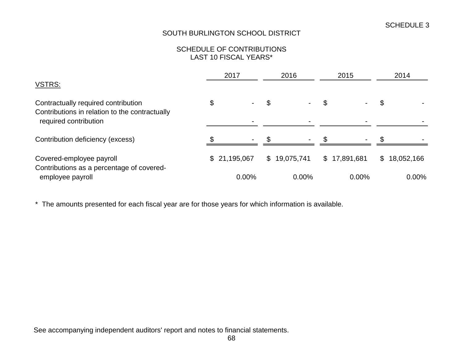#### SCHEDULE OF CONTRIBUTIONS LAST 10 FISCAL YEARS\*

|                                                                         | 2017         |                | 2016 |              | 2015         |       | 2014 |            |
|-------------------------------------------------------------------------|--------------|----------------|------|--------------|--------------|-------|------|------------|
| VSTRS:                                                                  |              |                |      |              |              |       |      |            |
| Contractually required contribution                                     | \$           | -              | \$   |              | \$           |       | \$   |            |
| Contributions in relation to the contractually<br>required contribution |              | $\blacksquare$ |      |              |              |       |      |            |
| Contribution deficiency (excess)                                        |              | $\blacksquare$ |      | $\sim$       |              |       |      |            |
| Covered-employee payroll                                                | \$21,195,067 |                |      | \$19,075,741 | \$17,891,681 |       | \$   | 18,052,166 |
| Contributions as a percentage of covered-<br>employee payroll           |              | 0.00%          |      | 0.00%        |              | 0.00% |      | $0.00\%$   |

\* The amounts presented for each fiscal year are for those years for which information is available.

See accompanying independent auditors' report and notes to financial statements.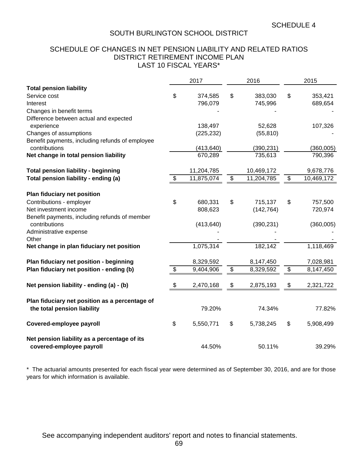### SCHEDULE OF CHANGES IN NET PENSION LIABILITY AND RELATED RATIOS DISTRICT RETIREMENT INCOME PLAN LAST 10 FISCAL YEARS\*

|                                                                |                           | 2017                  | 2016                  |                           | 2015                  |  |
|----------------------------------------------------------------|---------------------------|-----------------------|-----------------------|---------------------------|-----------------------|--|
| <b>Total pension liability</b>                                 |                           |                       |                       |                           |                       |  |
| Service cost                                                   | \$                        | 374,585               | \$<br>383,030         | \$                        | 353,421               |  |
| Interest                                                       |                           | 796,079               | 745,996               |                           | 689,654               |  |
| Changes in benefit terms                                       |                           |                       |                       |                           |                       |  |
| Difference between actual and expected                         |                           |                       |                       |                           |                       |  |
| experience                                                     |                           | 138,497               | 52,628                |                           | 107,326               |  |
| Changes of assumptions                                         |                           | (225, 232)            | (55, 810)             |                           |                       |  |
| Benefit payments, including refunds of employee                |                           |                       |                       |                           |                       |  |
| contributions                                                  |                           | (413, 640)<br>670,289 | (390, 231)<br>735,613 |                           | (360, 005)<br>790,396 |  |
| Net change in total pension liability                          |                           |                       |                       |                           |                       |  |
| <b>Total pension liability - beginning</b>                     |                           | 11,204,785            | 10,469,172            |                           | 9,678,776             |  |
| Total pension liability - ending (a)                           | $\boldsymbol{\mathsf{S}}$ | 11,875,074            | \$<br>11,204,785      | $\boldsymbol{\mathsf{S}}$ | 10,469,172            |  |
|                                                                |                           |                       |                       |                           |                       |  |
| Plan fiduciary net position                                    |                           |                       |                       |                           |                       |  |
| Contributions - employer                                       | \$                        | 680,331               | \$<br>715,137         | \$                        | 757,500               |  |
| Net investment income                                          |                           | 808,623               | (142, 764)            |                           | 720,974               |  |
| Benefit payments, including refunds of member<br>contributions |                           |                       |                       |                           |                       |  |
|                                                                |                           | (413, 640)            | (390, 231)            |                           | (360,005)             |  |
| Administrative expense<br>Other                                |                           |                       |                       |                           |                       |  |
| Net change in plan fiduciary net position                      |                           | 1,075,314             | 182,142               |                           | 1,118,469             |  |
|                                                                |                           |                       |                       |                           |                       |  |
| Plan fiduciary net position - beginning                        |                           | 8,329,592             | 8,147,450             |                           | 7,028,981             |  |
| Plan fiduciary net position - ending (b)                       | \$                        | 9,404,906             | \$<br>8,329,592       | \$                        | 8,147,450             |  |
| Net pension liability - ending (a) - (b)                       | \$                        | 2,470,168             | \$<br>2,875,193       | \$                        | 2,321,722             |  |
|                                                                |                           |                       |                       |                           |                       |  |
| Plan fiduciary net position as a percentage of                 |                           |                       |                       |                           |                       |  |
| the total pension liability                                    |                           | 79.20%                | 74.34%                |                           | 77.82%                |  |
| Covered-employee payroll                                       | \$                        | 5,550,771             | \$<br>5,738,245       | \$                        | 5,908,499             |  |
| Net pension liability as a percentage of its                   |                           |                       |                       |                           |                       |  |
| covered-employee payroll                                       |                           | 44.50%                | 50.11%                |                           | 39.29%                |  |

\* The actuarial amounts presented for each fiscal year were determined as of September 30, 2016, and are for those years for which information is available.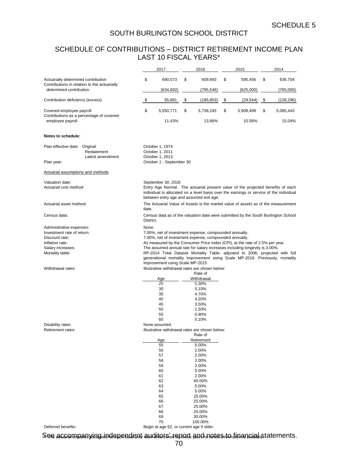### SCHEDULE OF CONTRIBUTIONS – DISTRICT RETIREMENT INCOME PLAN LAST 10 FISCAL YEARS\*

|                                                                                                                                      |           | 2017                                                                                          | 2016                                                                                                                                                               | 2015                                                                                                                                                                                                                                                                                                                        | 2014            |
|--------------------------------------------------------------------------------------------------------------------------------------|-----------|-----------------------------------------------------------------------------------------------|--------------------------------------------------------------------------------------------------------------------------------------------------------------------|-----------------------------------------------------------------------------------------------------------------------------------------------------------------------------------------------------------------------------------------------------------------------------------------------------------------------------|-----------------|
| Actuarially determined contribution                                                                                                  | \$        | 690,573                                                                                       | \$<br>609,693                                                                                                                                                      | \$<br>595,456                                                                                                                                                                                                                                                                                                               | \$<br>636,704   |
| Contributions in relation to the actuarially<br>determined contribution                                                              |           | (634, 692)                                                                                    | (795,546)                                                                                                                                                          | (625,000)                                                                                                                                                                                                                                                                                                                   | (765,000)       |
| Contribution deficiency (excess)                                                                                                     | \$        | 55,881                                                                                        | \$<br>(185, 853)                                                                                                                                                   | \$<br>(29, 544)                                                                                                                                                                                                                                                                                                             | \$<br>(128,296) |
| Covered-employee payroll                                                                                                             | \$        | 5,550,771                                                                                     | \$<br>5,738,245                                                                                                                                                    | \$<br>5,908,499                                                                                                                                                                                                                                                                                                             | \$<br>5,085,443 |
| Contributions as a percentage of covered-<br>employee payroll                                                                        |           | 11.43%                                                                                        | 13.86%                                                                                                                                                             | 10.58%                                                                                                                                                                                                                                                                                                                      | 15.04%          |
| Notes to schedule:                                                                                                                   |           |                                                                                               |                                                                                                                                                                    |                                                                                                                                                                                                                                                                                                                             |                 |
| Plan effective date: Original<br>Restatement<br>Latest amendment                                                                     |           | October 1, 1974<br>October 1, 2011<br>October 1, 2013                                         |                                                                                                                                                                    |                                                                                                                                                                                                                                                                                                                             |                 |
| Plan year:                                                                                                                           |           | October 1 - September 30                                                                      |                                                                                                                                                                    |                                                                                                                                                                                                                                                                                                                             |                 |
| Actuarial assumptions and methods                                                                                                    |           |                                                                                               |                                                                                                                                                                    |                                                                                                                                                                                                                                                                                                                             |                 |
| Valuation date:<br>Actuarial cost method:                                                                                            |           | September 30, 2016                                                                            | between entry age and assumed exit age.                                                                                                                            | Entry Age Normal. The actuarial present value of the projected benefits of each<br>individual is allocated on a level basis over the earnings or service of the individual                                                                                                                                                  |                 |
| Actuarial asset method:                                                                                                              | date.     |                                                                                               |                                                                                                                                                                    | The Actuarial Value of Assets is the market value of assets as of the measurement                                                                                                                                                                                                                                           |                 |
| Census data:                                                                                                                         | District. |                                                                                               |                                                                                                                                                                    | Census data as of the valuation date were submitted by the South Burlington School                                                                                                                                                                                                                                          |                 |
| Administrative expenses:<br>Investment rate of return:<br>Discount rate:<br>Inflation rate:<br>Salary increases:<br>Mortality table: | None.     | improvement using Scale MP-2015                                                               | 7.00%, net of investment expense, compounded annually.<br>7.00%, net of investment expense, compounded annually.                                                   | As measured by the Consumer Price Index (CPI), at the rate of 2.5% per year.<br>The assumed annual rate for salary increases including longevity is 3.00%.<br>RP-2014 Total Dataset Mortality Table, adjusted to 2006, projected with full<br>generational mortality improvement using Scale MP-2016. Previously, mortality |                 |
| Withdrawal rates:                                                                                                                    |           |                                                                                               | Illustrative withdrawal rates are shown below:<br>Rate of                                                                                                          |                                                                                                                                                                                                                                                                                                                             |                 |
|                                                                                                                                      |           | Age<br>25<br>30<br>35<br>40<br>45<br>50<br>55<br>60                                           | Withdrawal<br>5.30%<br>5.10%<br>4.70%<br>4.20%<br>3.50%<br>2.50%<br>0.90%<br>0.10%                                                                                 |                                                                                                                                                                                                                                                                                                                             |                 |
| Disability rates:<br>Retirement rates:                                                                                               |           | None assumed.                                                                                 | Illustrative withdrawal rates are shown below:                                                                                                                     |                                                                                                                                                                                                                                                                                                                             |                 |
|                                                                                                                                      |           | Age<br>55<br>56<br>57<br>58<br>59<br>60<br>61<br>62<br>63<br>64<br>65<br>66<br>67<br>68<br>69 | Rate of<br>Retirement<br>5.00%<br>2.00%<br>2.00%<br>2.00%<br>2.00%<br>5.00%<br>2.00%<br>40.00%<br>5.00%<br>5.00%<br>25.00%<br>25.00%<br>25.00%<br>25.00%<br>30.00% |                                                                                                                                                                                                                                                                                                                             |                 |
| Deferred benefits:                                                                                                                   |           | 70<br>Begin at age 62, or current age if older.                                               | 100.00%                                                                                                                                                            |                                                                                                                                                                                                                                                                                                                             |                 |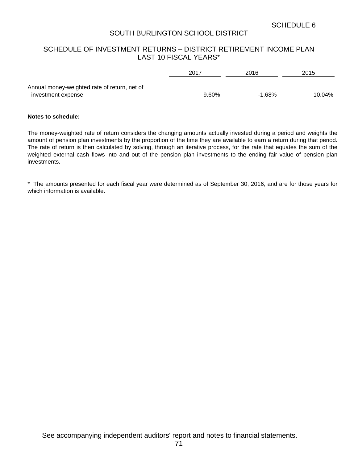### SCHEDULE OF INVESTMENT RETURNS – DISTRICT RETIREMENT INCOME PLAN LAST 10 FISCAL YEARS\*

|                                                                    | 2017     | 2016     | 2015   |
|--------------------------------------------------------------------|----------|----------|--------|
| Annual money-weighted rate of return, net of<br>investment expense | $9.60\%$ | $-1.68%$ | 10.04% |

#### **Notes to schedule:**

The money-weighted rate of return considers the changing amounts actually invested during a period and weights the amount of pension plan investments by the proportion of the time they are available to earn a return during that period. The rate of return is then calculated by solving, through an iterative process, for the rate that equates the sum of the weighted external cash flows into and out of the pension plan investments to the ending fair value of pension plan investments.

\* The amounts presented for each fiscal year were determined as of September 30, 2016, and are for those years for which information is available.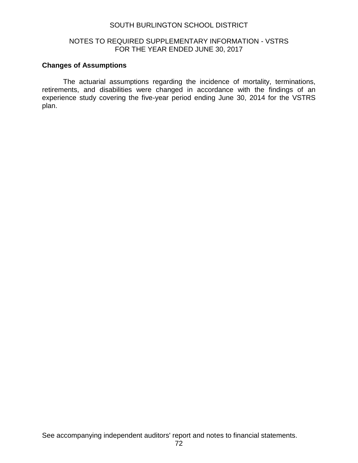#### NOTES TO REQUIRED SUPPLEMENTARY INFORMATION - VSTRS FOR THE YEAR ENDED JUNE 30, 2017

## **Changes of Assumptions**

The actuarial assumptions regarding the incidence of mortality, terminations, retirements, and disabilities were changed in accordance with the findings of an experience study covering the five-year period ending June 30, 2014 for the VSTRS plan.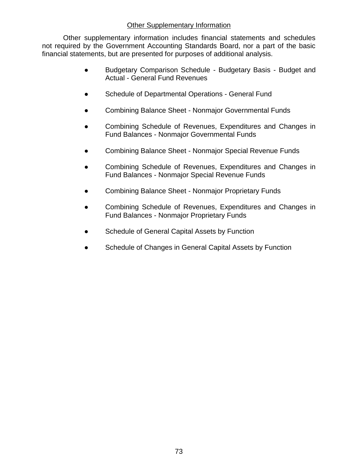### Other Supplementary Information

Other supplementary information includes financial statements and schedules not required by the Government Accounting Standards Board, nor a part of the basic financial statements, but are presented for purposes of additional analysis.

- Budgetary Comparison Schedule Budgetary Basis Budget and Actual - General Fund Revenues
- Schedule of Departmental Operations General Fund
- Combining Balance Sheet Nonmajor Governmental Funds
- Combining Schedule of Revenues, Expenditures and Changes in Fund Balances - Nonmajor Governmental Funds
- Combining Balance Sheet Nonmajor Special Revenue Funds
- Combining Schedule of Revenues, Expenditures and Changes in Fund Balances - Nonmajor Special Revenue Funds
- Combining Balance Sheet Nonmajor Proprietary Funds
- Combining Schedule of Revenues, Expenditures and Changes in Fund Balances - Nonmajor Proprietary Funds
- Schedule of General Capital Assets by Function
- Schedule of Changes in General Capital Assets by Function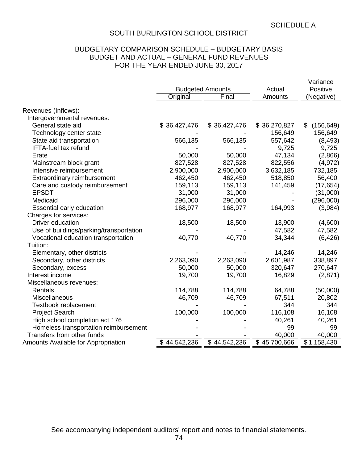### BUDGETARY COMPARISON SCHEDULE – BUDGETARY BASIS BUDGET AND ACTUAL – GENERAL FUND REVENUES FOR THE YEAR ENDED JUNE 30, 2017

|                                         |              |                         |              | Variance         |
|-----------------------------------------|--------------|-------------------------|--------------|------------------|
|                                         |              | <b>Budgeted Amounts</b> | Actual       | Positive         |
|                                         | Original     | Final                   | Amounts      | (Negative)       |
| Revenues (Inflows):                     |              |                         |              |                  |
| Intergovernmental revenues:             |              |                         |              |                  |
| General state aid                       | \$36,427,476 | \$36,427,476            | \$36,270,827 | \$<br>(156, 649) |
| Technology center state                 |              |                         | 156,649      | 156,649          |
| State aid transportation                | 566,135      | 566,135                 | 557,642      | (8, 493)         |
| IFTA-fuel tax refund                    |              |                         | 9,725        | 9,725            |
| Erate                                   | 50,000       | 50,000                  | 47,134       | (2,866)          |
| Mainstream block grant                  | 827,528      | 827,528                 | 822,556      | (4, 972)         |
| Intensive reimbursement                 | 2,900,000    | 2,900,000               | 3,632,185    | 732,185          |
| Extraordinary reimbursement             | 462,450      | 462,450                 | 518,850      | 56,400           |
| Care and custody reimbursement          | 159,113      | 159,113                 | 141,459      | (17, 654)        |
| <b>EPSDT</b>                            | 31,000       | 31,000                  |              | (31,000)         |
| Medicaid                                | 296,000      | 296,000                 |              | (296,000)        |
| Essential early education               | 168,977      | 168,977                 | 164,993      | (3,984)          |
| Charges for services:                   |              |                         |              |                  |
| Driver education                        | 18,500       | 18,500                  | 13,900       | (4,600)          |
| Use of buildings/parking/transportation |              |                         | 47,582       | 47,582           |
| Vocational education transportation     | 40,770       | 40,770                  | 34,344       | (6, 426)         |
| Tuition:                                |              |                         |              |                  |
| Elementary, other districts             |              |                         | 14,246       | 14,246           |
| Secondary, other districts              | 2,263,090    | 2,263,090               | 2,601,987    | 338,897          |
| Secondary, excess                       | 50,000       | 50,000                  | 320,647      | 270,647          |
| Interest income                         | 19,700       | 19,700                  | 16,829       | (2,871)          |
| Miscellaneous revenues:                 |              |                         |              |                  |
| Rentals                                 | 114,788      | 114,788                 | 64,788       | (50,000)         |
| Miscellaneous                           | 46,709       | 46,709                  | 67,511       | 20,802           |
| Textbook replacement                    |              |                         | 344          | 344              |
| <b>Project Search</b>                   | 100,000      | 100,000                 | 116,108      | 16,108           |
| High school completion act 176          |              |                         | 40,261       | 40,261           |
| Homeless transportation reimbursement   |              |                         | 99           | 99               |
| Transfers from other funds              |              |                         | 40,000       | 40,000           |
| Amounts Available for Appropriation     | \$44,542,236 | \$44,542,236            | \$45,700,666 | \$1,158,430      |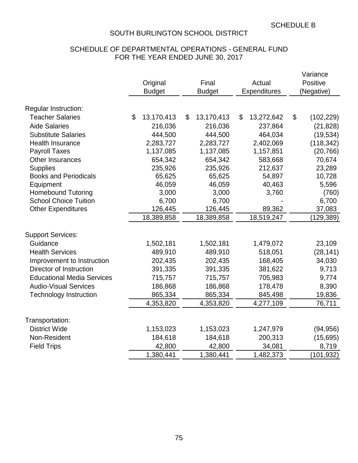## SCHEDULE OF DEPARTMENTAL OPERATIONS - GENERAL FUND FOR THE YEAR ENDED JUNE 30, 2017

|                                   |                  |                  |                     | Variance         |
|-----------------------------------|------------------|------------------|---------------------|------------------|
|                                   | Original         | Final            | Actual              | Positive         |
|                                   | <b>Budget</b>    | <b>Budget</b>    | <b>Expenditures</b> | (Negative)       |
| Regular Instruction:              |                  |                  |                     |                  |
| <b>Teacher Salaries</b>           | \$<br>13,170,413 | \$<br>13,170,413 | \$<br>13,272,642    | \$<br>(102, 229) |
| <b>Aide Salaries</b>              | 216,036          | 216,036          | 237,864             | (21, 828)        |
| <b>Substitute Salaries</b>        | 444,500          | 444,500          | 464,034             | (19, 534)        |
| Health Insurance                  | 2,283,727        | 2,283,727        | 2,402,069           | (118, 342)       |
| <b>Payroll Taxes</b>              | 1,137,085        | 1,137,085        | 1,157,851           | (20, 766)        |
| Other Insurances                  | 654,342          | 654,342          | 583,668             | 70,674           |
| <b>Supplies</b>                   | 235,926          | 235,926          | 212,637             | 23,289           |
| <b>Books and Periodicals</b>      | 65,625           | 65,625           | 54,897              | 10,728           |
| Equipment                         | 46,059           | 46,059           | 40,463              | 5,596            |
| <b>Homebound Tutoring</b>         | 3,000            | 3,000            | 3,760               | (760)            |
| <b>School Choice Tuition</b>      | 6,700            | 6,700            |                     | 6,700            |
| <b>Other Expenditures</b>         | 126,445          | 126,445          | 89,362              | 37,083           |
|                                   | 18,389,858       | 18,389,858       | 18,519,247          | (129, 389)       |
| <b>Support Services:</b>          |                  |                  |                     |                  |
| Guidance                          | 1,502,181        | 1,502,181        | 1,479,072           | 23,109           |
| <b>Health Services</b>            | 489,910          | 489,910          | 518,051             | (28, 141)        |
| Improvement to Instruction        | 202,435          | 202,435          | 168,405             | 34,030           |
| Director of Instruction           | 391,335          | 391,335          | 381,622             | 9,713            |
| <b>Educational Media Services</b> | 715,757          | 715,757          | 705,983             | 9,774            |
| <b>Audio-Visual Services</b>      | 186,868          | 186,868          | 178,478             | 8,390            |
| <b>Technology Instruction</b>     | 865,334          | 865,334          | 845,498             | 19,836           |
|                                   | 4,353,820        | 4,353,820        | 4,277,109           | 76,711           |
| Transportation:                   |                  |                  |                     |                  |
| <b>District Wide</b>              | 1,153,023        | 1,153,023        | 1,247,979           | (94, 956)        |
| Non-Resident                      | 184,618          | 184,618          | 200,313             | (15, 695)        |
| <b>Field Trips</b>                | 42,800           | 42,800           | 34,081              | 8,719            |
|                                   | 1,380,441        | 1,380,441        | 1,482,373           | (101, 932)       |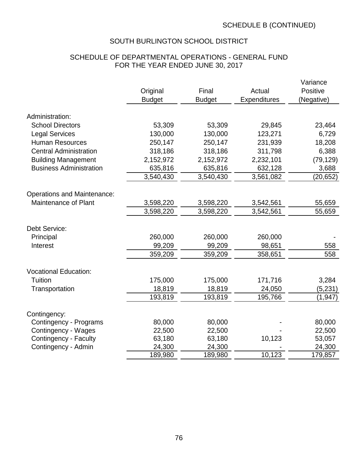# SCHEDULE OF DEPARTMENTAL OPERATIONS - GENERAL FUND FOR THE YEAR ENDED JUNE 30, 2017

|                                    |               |               |              | Variance   |
|------------------------------------|---------------|---------------|--------------|------------|
|                                    | Original      | Final         | Actual       | Positive   |
|                                    | <b>Budget</b> | <b>Budget</b> | Expenditures | (Negative) |
| Administration:                    |               |               |              |            |
| <b>School Directors</b>            | 53,309        | 53,309        | 29,845       | 23,464     |
| <b>Legal Services</b>              | 130,000       | 130,000       | 123,271      | 6,729      |
| <b>Human Resources</b>             | 250,147       | 250,147       | 231,939      | 18,208     |
| <b>Central Administration</b>      | 318,186       | 318,186       | 311,798      | 6,388      |
| <b>Building Management</b>         | 2,152,972     | 2,152,972     | 2,232,101    | (79, 129)  |
| <b>Business Administration</b>     | 635,816       | 635,816       | 632,128      | 3,688      |
|                                    | 3,540,430     | 3,540,430     | 3,561,082    | (20, 652)  |
| <b>Operations and Maintenance:</b> |               |               |              |            |
| Maintenance of Plant               | 3,598,220     | 3,598,220     | 3,542,561    | 55,659     |
|                                    | 3,598,220     | 3,598,220     | 3,542,561    | 55,659     |
| Debt Service:                      |               |               |              |            |
| Principal                          | 260,000       | 260,000       | 260,000      |            |
| Interest                           | 99,209        | 99,209        | 98,651       | 558        |
|                                    | 359,209       | 359,209       | 358,651      | 558        |
|                                    |               |               |              |            |
| <b>Vocational Education:</b>       |               |               |              |            |
| Tuition                            | 175,000       | 175,000       | 171,716      | 3,284      |
| Transportation                     | 18,819        | 18,819        | 24,050       | (5,231)    |
|                                    | 193,819       | 193,819       | 195,766      | (1, 947)   |
| Contingency:                       |               |               |              |            |
| Contingency - Programs             | 80,000        | 80,000        |              | 80,000     |
| Contingency - Wages                | 22,500        | 22,500        |              | 22,500     |
| Contingency - Faculty              | 63,180        | 63,180        | 10,123       | 53,057     |
| Contingency - Admin                | 24,300        | 24,300        |              | 24,300     |
|                                    | 189,980       | 189,980       | 10,123       | 179,857    |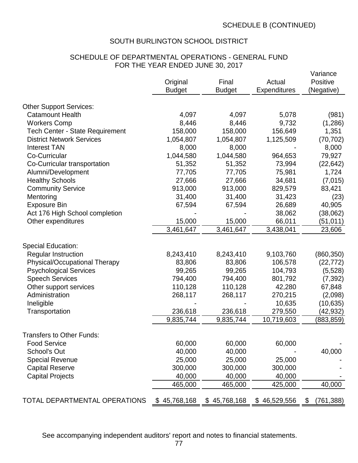# SCHEDULE OF DEPARTMENTAL OPERATIONS - GENERAL FUND FOR THE YEAR ENDED JUNE 30, 2017

| Final<br>Positive<br>Original<br>Actual<br>Expenditures<br><b>Budget</b><br><b>Budget</b><br><b>Other Support Services:</b><br><b>Catamount Health</b><br>4,097<br>4,097<br>5,078<br>8,446<br>8,446<br>9,732<br><b>Workers Comp</b><br>(1,286)<br><b>Tech Center - State Requirement</b><br>158,000<br>158,000<br>156,649<br>1,351<br><b>District Network Services</b><br>1,054,807<br>1,054,807<br>1,125,509<br>(70, 702)<br><b>Interest TAN</b><br>8,000<br>8,000<br>Co-Curricular<br>1,044,580<br>1,044,580<br>964,653<br>Co-Curricular transportation<br>73,994<br>51,352<br>51,352 |  |  | Variance                |
|-----------------------------------------------------------------------------------------------------------------------------------------------------------------------------------------------------------------------------------------------------------------------------------------------------------------------------------------------------------------------------------------------------------------------------------------------------------------------------------------------------------------------------------------------------------------------------------------|--|--|-------------------------|
|                                                                                                                                                                                                                                                                                                                                                                                                                                                                                                                                                                                         |  |  |                         |
|                                                                                                                                                                                                                                                                                                                                                                                                                                                                                                                                                                                         |  |  | (Negative)              |
|                                                                                                                                                                                                                                                                                                                                                                                                                                                                                                                                                                                         |  |  |                         |
|                                                                                                                                                                                                                                                                                                                                                                                                                                                                                                                                                                                         |  |  | (981)                   |
|                                                                                                                                                                                                                                                                                                                                                                                                                                                                                                                                                                                         |  |  |                         |
|                                                                                                                                                                                                                                                                                                                                                                                                                                                                                                                                                                                         |  |  |                         |
|                                                                                                                                                                                                                                                                                                                                                                                                                                                                                                                                                                                         |  |  |                         |
|                                                                                                                                                                                                                                                                                                                                                                                                                                                                                                                                                                                         |  |  | 8,000                   |
|                                                                                                                                                                                                                                                                                                                                                                                                                                                                                                                                                                                         |  |  | 79,927                  |
|                                                                                                                                                                                                                                                                                                                                                                                                                                                                                                                                                                                         |  |  | (22, 642)               |
| Alumni/Development<br>77,705<br>77,705<br>75,981                                                                                                                                                                                                                                                                                                                                                                                                                                                                                                                                        |  |  | 1,724                   |
| <b>Healthy Schools</b><br>27,666<br>27,666<br>34,681                                                                                                                                                                                                                                                                                                                                                                                                                                                                                                                                    |  |  | (7,015)                 |
| 913,000<br>913,000<br><b>Community Service</b><br>829,579                                                                                                                                                                                                                                                                                                                                                                                                                                                                                                                               |  |  | 83,421                  |
| 31,423<br>Mentoring<br>31,400<br>31,400                                                                                                                                                                                                                                                                                                                                                                                                                                                                                                                                                 |  |  | (23)                    |
| <b>Exposure Bin</b><br>26,689<br>67,594<br>67,594                                                                                                                                                                                                                                                                                                                                                                                                                                                                                                                                       |  |  | 40,905                  |
| Act 176 High School completion<br>38,062                                                                                                                                                                                                                                                                                                                                                                                                                                                                                                                                                |  |  | (38,062)                |
| Other expenditures<br>15,000<br>66,011<br>15,000                                                                                                                                                                                                                                                                                                                                                                                                                                                                                                                                        |  |  | (51,011)                |
| 3,461,647<br>3,461,647<br>3,438,041                                                                                                                                                                                                                                                                                                                                                                                                                                                                                                                                                     |  |  | 23,606                  |
|                                                                                                                                                                                                                                                                                                                                                                                                                                                                                                                                                                                         |  |  |                         |
| <b>Special Education:</b><br>8,243,410<br>8,243,410<br>9,103,760                                                                                                                                                                                                                                                                                                                                                                                                                                                                                                                        |  |  |                         |
| <b>Regular Instruction</b><br>Physical/Occupational Therapy<br>83,806<br>83,806<br>106,578                                                                                                                                                                                                                                                                                                                                                                                                                                                                                              |  |  | (860, 350)<br>(22, 772) |
| <b>Psychological Services</b><br>99,265<br>99,265<br>104,793                                                                                                                                                                                                                                                                                                                                                                                                                                                                                                                            |  |  | (5, 528)                |
| <b>Speech Services</b><br>794,400<br>794,400<br>801,792                                                                                                                                                                                                                                                                                                                                                                                                                                                                                                                                 |  |  | (7, 392)                |
| 110,128<br>110,128<br>42,280<br>Other support services                                                                                                                                                                                                                                                                                                                                                                                                                                                                                                                                  |  |  | 67,848                  |
| Administration<br>268,117<br>268,117<br>270,215                                                                                                                                                                                                                                                                                                                                                                                                                                                                                                                                         |  |  | (2,098)                 |
| Ineligible<br>10,635                                                                                                                                                                                                                                                                                                                                                                                                                                                                                                                                                                    |  |  | (10, 635)               |
| 236,618<br>279,550<br>Transportation<br>236,618                                                                                                                                                                                                                                                                                                                                                                                                                                                                                                                                         |  |  | (42,932)                |
| 9,835,744<br>9,835,744<br>10,719,603                                                                                                                                                                                                                                                                                                                                                                                                                                                                                                                                                    |  |  | (883,859)               |
|                                                                                                                                                                                                                                                                                                                                                                                                                                                                                                                                                                                         |  |  |                         |
| <b>Transfers to Other Funds:</b>                                                                                                                                                                                                                                                                                                                                                                                                                                                                                                                                                        |  |  |                         |
| <b>Food Service</b><br>60,000<br>60,000<br>60,000                                                                                                                                                                                                                                                                                                                                                                                                                                                                                                                                       |  |  |                         |
| <b>School's Out</b><br>40,000<br>40,000                                                                                                                                                                                                                                                                                                                                                                                                                                                                                                                                                 |  |  | 40,000                  |
| 25,000<br>25,000<br><b>Special Revenue</b><br>25,000                                                                                                                                                                                                                                                                                                                                                                                                                                                                                                                                    |  |  |                         |
| <b>Capital Reserve</b><br>300,000<br>300,000<br>300,000                                                                                                                                                                                                                                                                                                                                                                                                                                                                                                                                 |  |  |                         |
| <b>Capital Projects</b><br>40,000<br>40,000<br>40,000                                                                                                                                                                                                                                                                                                                                                                                                                                                                                                                                   |  |  |                         |
| 465,000<br>425,000<br>465,000                                                                                                                                                                                                                                                                                                                                                                                                                                                                                                                                                           |  |  | 40,000                  |
| TOTAL DEPARTMENTAL OPERATIONS<br>45,768,168<br>\$45,768,168<br>\$46,529,556<br>\$<br>\$                                                                                                                                                                                                                                                                                                                                                                                                                                                                                                 |  |  | (761, 388)              |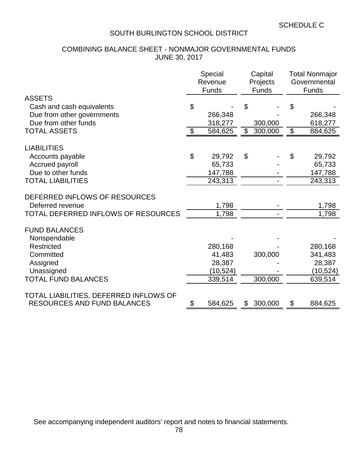## COMBINING BALANCE SHEET - NONMAJOR GOVERNMENTAL FUNDS JUNE 30, 2017

|                                            | Special<br>Revenue<br>Funds |           |                           | Capital<br>Projects<br>Funds | <b>Total Nonmajor</b><br>Governmental<br>Funds |           |  |
|--------------------------------------------|-----------------------------|-----------|---------------------------|------------------------------|------------------------------------------------|-----------|--|
| <b>ASSETS</b>                              |                             |           |                           |                              |                                                |           |  |
| Cash and cash equivalents                  | \$                          |           | \$                        |                              | S                                              |           |  |
| Due from other governments                 |                             | 266,348   |                           |                              |                                                | 266,348   |  |
| Due from other funds                       |                             | 318,277   |                           | 300,000                      |                                                | 618,277   |  |
| <b>TOTAL ASSETS</b>                        |                             | 584,625   | $\overline{\mathbf{e}}$   | 300,000                      | $\overline{\$}$                                | 884,625   |  |
| <b>LIABILITIES</b>                         |                             |           |                           |                              |                                                |           |  |
| Accounts payable                           | \$                          | 29,792    | $\boldsymbol{\mathsf{S}}$ |                              | \$                                             | 29,792    |  |
| Accrued payroll                            |                             | 65,733    |                           |                              |                                                | 65,733    |  |
| Due to other funds                         |                             | 147,788   |                           |                              |                                                | 147,788   |  |
| <b>TOTAL LIABILITIES</b>                   |                             | 243,313   |                           |                              |                                                | 243,313   |  |
| DEFERRED INFLOWS OF RESOURCES              |                             |           |                           |                              |                                                |           |  |
| Deferred revenue                           |                             | 1,798     |                           |                              |                                                | 1,798     |  |
| <b>TOTAL DEFERRED INFLOWS OF RESOURCES</b> |                             | 1,798     |                           |                              |                                                | 1,798     |  |
|                                            |                             |           |                           |                              |                                                |           |  |
| <b>FUND BALANCES</b><br>Nonspendable       |                             |           |                           |                              |                                                |           |  |
| <b>Restricted</b>                          |                             | 280,168   |                           |                              |                                                | 280,168   |  |
| Committed                                  |                             | 41,483    |                           | 300,000                      |                                                | 341,483   |  |
| Assigned                                   |                             | 28,387    |                           |                              |                                                | 28,387    |  |
| Unassigned                                 |                             | (10, 524) |                           |                              |                                                | (10, 524) |  |
| <b>TOTAL FUND BALANCES</b>                 |                             | 339,514   |                           | 300,000                      |                                                | 639,514   |  |
|                                            |                             |           |                           |                              |                                                |           |  |
| TOTAL LIABILITIES, DEFERRED INFLOWS OF     |                             |           |                           |                              |                                                |           |  |
| RESOURCES AND FUND BALANCES                | \$                          | 584,625   | \$                        | 300,000                      | \$                                             | 884,625   |  |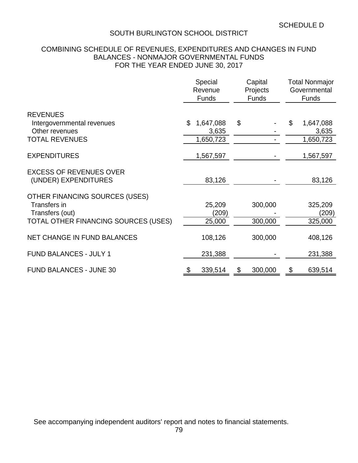## COMBINING SCHEDULE OF REVENUES, EXPENDITURES AND CHANGES IN FUND BALANCES - NONMAJOR GOVERNMENTAL FUNDS FOR THE YEAR ENDED JUNE 30, 2017

|                                                                                                           | Special<br>Revenue<br><b>Funds</b>    | Capital<br>Projects<br><b>Funds</b> | <b>Total Nonmajor</b><br>Governmental<br>Funds |
|-----------------------------------------------------------------------------------------------------------|---------------------------------------|-------------------------------------|------------------------------------------------|
| <b>REVENUES</b><br>Intergovernmental revenues<br>Other revenues<br><b>TOTAL REVENUES</b>                  | \$<br>1,647,088<br>3,635<br>1,650,723 | \$                                  | \$<br>1,647,088<br>3,635<br>1,650,723          |
| <b>EXPENDITURES</b>                                                                                       | 1,567,597                             |                                     | 1,567,597                                      |
| <b>EXCESS OF REVENUES OVER</b><br>(UNDER) EXPENDITURES                                                    | 83,126                                |                                     | 83,126                                         |
| OTHER FINANCING SOURCES (USES)<br>Transfers in<br>Transfers (out)<br>TOTAL OTHER FINANCING SOURCES (USES) | 25,209<br>(209)<br>25,000             | 300,000<br>300,000                  | 325,209<br>(209)<br>325,000                    |
| <b>NET CHANGE IN FUND BALANCES</b>                                                                        | 108,126                               | 300,000                             | 408,126                                        |
| <b>FUND BALANCES - JULY 1</b>                                                                             | 231,388                               |                                     | 231,388                                        |
| <b>FUND BALANCES - JUNE 30</b>                                                                            | 339,514                               | 300,000<br>\$                       | 639,514<br>\$                                  |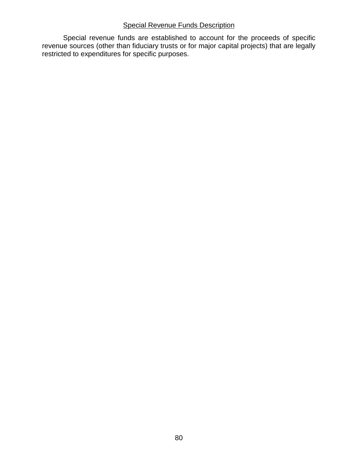### Special Revenue Funds Description

Special revenue funds are established to account for the proceeds of specific revenue sources (other than fiduciary trusts or for major capital projects) that are legally restricted to expenditures for specific purposes.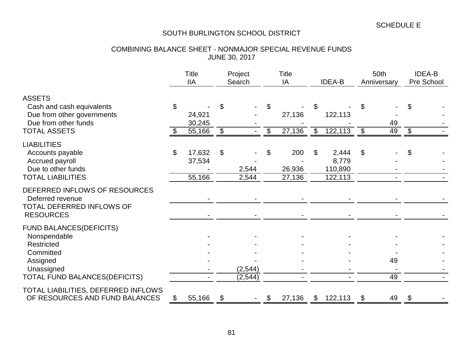|                                                                                                                                      | <b>Title</b><br><b>IIA</b>       |                           | Project<br>Search    |                               | <b>Title</b><br>IA      |                           | <b>IDEA-B</b>                        |                                | 50th<br>Anniversary | <b>IDEA-B</b><br>Pre School |  |
|--------------------------------------------------------------------------------------------------------------------------------------|----------------------------------|---------------------------|----------------------|-------------------------------|-------------------------|---------------------------|--------------------------------------|--------------------------------|---------------------|-----------------------------|--|
| <b>ASSETS</b><br>Cash and cash equivalents<br>Due from other governments<br>Due from other funds<br><b>TOTAL ASSETS</b>              | \$<br>24,921<br>30,245<br>55,166 | \$<br>\$                  |                      | \$<br>$\overline{\mathbf{e}}$ | 27,136<br>27,136        | \$<br>$\overline{\theta}$ | 122,113<br>122,113                   | \$<br>$\overline{\mathcal{F}}$ | 49<br>49            | $\overline{\mathcal{S}}$    |  |
| <b>LIABILITIES</b><br>Accounts payable<br>Accrued payroll<br>Due to other funds<br><b>TOTAL LIABILITIES</b>                          | \$<br>17,632<br>37,534<br>55,166 | $\boldsymbol{\mathsf{S}}$ | 2,544<br>2,544       | \$                            | 200<br>26,936<br>27,136 | \$                        | 2,444<br>8,779<br>110,890<br>122,113 | \$                             |                     | \$                          |  |
| DEFERRED INFLOWS OF RESOURCES<br>Deferred revenue<br>TOTAL DEFERRED INFLOWS OF<br><b>RESOURCES</b>                                   |                                  |                           |                      |                               |                         |                           |                                      |                                |                     |                             |  |
| <b>FUND BALANCES(DEFICITS)</b><br>Nonspendable<br>Restricted<br>Committed<br>Assigned<br>Unassigned<br>TOTAL FUND BALANCES(DEFICITS) |                                  |                           | (2, 544)<br>(2, 544) |                               |                         |                           |                                      |                                | 49<br>49            |                             |  |
| TOTAL LIABILITIES, DEFERRED INFLOWS<br>OF RESOURCES AND FUND BALANCES                                                                | \$<br>55,166                     | \$                        |                      | \$                            | 27,136                  | $\mathfrak{S}$            | 122,113                              | \$                             | 49                  |                             |  |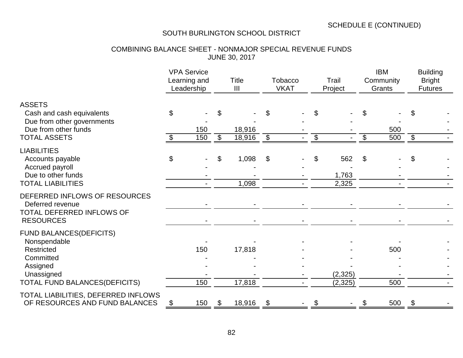# SOUTH BURLINGTON SCHOOL DISTRICT

|                                                                                                                                      |          | <b>VPA Service</b><br>Learning and<br>Leadership |                           | <b>Title</b><br>III |                            | Tobacco<br><b>VKAT</b> | Trail<br>Project            |          | <b>IBM</b><br>Community<br>Grants |                               | <b>Building</b><br><b>Bright</b><br><b>Futures</b> |
|--------------------------------------------------------------------------------------------------------------------------------------|----------|--------------------------------------------------|---------------------------|---------------------|----------------------------|------------------------|-----------------------------|----------|-----------------------------------|-------------------------------|----------------------------------------------------|
| <b>ASSETS</b><br>Cash and cash equivalents<br>Due from other governments<br>Due from other funds<br><b>TOTAL ASSETS</b>              | \$<br>\$ | 150<br>150                                       | $\boldsymbol{\mathsf{S}}$ | 18,916<br>18,916    | $\boldsymbol{\mathcal{F}}$ |                        | \$                          | \$<br>\$ | 500<br>500                        | \$<br>$\overline{\mathbf{3}}$ |                                                    |
| <b>LIABILITIES</b><br>Accounts payable<br>Accrued payroll<br>Due to other funds<br><b>TOTAL LIABILITIES</b>                          | \$       |                                                  | \$                        | 1,098<br>1,098      | $\mathcal{S}$              |                        | \$<br>562<br>1,763<br>2,325 | \$       |                                   | \$                            |                                                    |
| DEFERRED INFLOWS OF RESOURCES<br>Deferred revenue<br>TOTAL DEFERRED INFLOWS OF<br><b>RESOURCES</b>                                   |          |                                                  |                           |                     |                            |                        |                             |          |                                   |                               |                                                    |
| <b>FUND BALANCES(DEFICITS)</b><br>Nonspendable<br>Restricted<br>Committed<br>Assigned<br>Unassigned<br>TOTAL FUND BALANCES(DEFICITS) |          | 150<br>150                                       |                           | 17,818<br>17,818    |                            |                        | (2, 325)<br>(2, 325)        |          | 500<br>500                        |                               |                                                    |
| TOTAL LIABILITIES, DEFERRED INFLOWS<br>OF RESOURCES AND FUND BALANCES                                                                | \$       | 150                                              | \$                        | 18,916              | \$                         |                        |                             |          | 500                               | $\mathfrak{S}$                |                                                    |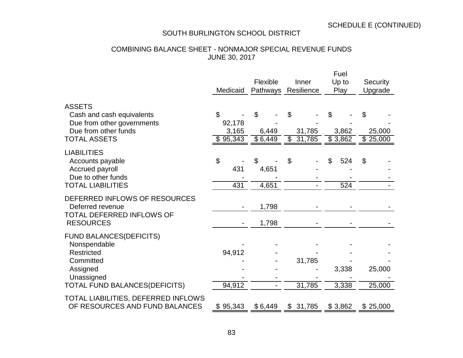# SOUTH BURLINGTON SCHOOL DISTRICT

|                                                         |                           |                     |                                    | Fuel                |                       |
|---------------------------------------------------------|---------------------------|---------------------|------------------------------------|---------------------|-----------------------|
|                                                         |                           | Flexible            | Inner                              | Up to               | Security              |
|                                                         | Medicaid                  | Pathways            | Resilience                         | Play                | Upgrade               |
|                                                         |                           |                     |                                    |                     |                       |
| <b>ASSETS</b>                                           |                           |                     |                                    |                     |                       |
| Cash and cash equivalents<br>Due from other governments | $\mathfrak{S}$<br>92,178  | \$                  | \$                                 | \$                  | \$                    |
| Due from other funds                                    | 3,165                     | 6,449               | 31,785                             | 3,862               | 25,000                |
| <b>TOTAL ASSETS</b>                                     | \$95,343                  | $\overline{$6,449}$ | $\overline{\mathcal{G}}$<br>31,785 | $\overline{$3,862}$ | $\overline{$}$ 25,000 |
|                                                         |                           |                     |                                    |                     |                       |
| <b>LIABILITIES</b>                                      |                           |                     |                                    |                     |                       |
| Accounts payable                                        | $\boldsymbol{\mathsf{S}}$ | \$.                 | \$                                 | \$<br>524           | \$                    |
| Accrued payroll<br>Due to other funds                   | 431                       | 4,651               |                                    |                     |                       |
| <b>TOTAL LIABILITIES</b>                                | 431                       | 4,651               |                                    | 524                 |                       |
|                                                         |                           |                     |                                    |                     |                       |
| DEFERRED INFLOWS OF RESOURCES<br>Deferred revenue       |                           | 1,798               |                                    |                     |                       |
| <b>TOTAL DEFERRED INFLOWS OF</b><br><b>RESOURCES</b>    |                           | 1,798               |                                    |                     |                       |
| <b>FUND BALANCES(DEFICITS)</b>                          |                           |                     |                                    |                     |                       |
| Nonspendable                                            |                           |                     |                                    |                     |                       |
| <b>Restricted</b>                                       | 94,912                    |                     |                                    |                     |                       |
| Committed                                               |                           |                     | 31,785                             |                     |                       |
| Assigned                                                |                           |                     |                                    | 3,338               | 25,000                |
| Unassigned                                              |                           |                     |                                    |                     |                       |
| <b>TOTAL FUND BALANCES(DEFICITS)</b>                    | 94,912                    |                     | 31,785                             | 3,338               | 25,000                |
| TOTAL LIABILITIES, DEFERRED INFLOWS                     |                           |                     |                                    |                     |                       |
| OF RESOURCES AND FUND BALANCES                          | \$95,343                  | \$6,449             | \$31,785                           | \$3,862             | \$25,000              |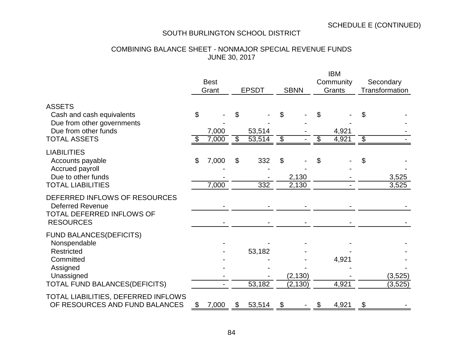# SOUTH BURLINGTON SCHOOL DISTRICT

|                                                    |             |              |                         |               | <b>IBM</b> |                |
|----------------------------------------------------|-------------|--------------|-------------------------|---------------|------------|----------------|
|                                                    | <b>Best</b> |              |                         |               | Community  | Secondary      |
|                                                    | Grant       | <b>EPSDT</b> | <b>SBNN</b>             |               | Grants     | Transformation |
|                                                    |             |              |                         |               |            |                |
| <b>ASSETS</b>                                      |             |              |                         |               |            |                |
| Cash and cash equivalents                          | \$          |              | \$                      |               |            |                |
| Due from other governments<br>Due from other funds | 7,000       | 53,514       |                         |               | 4,921      |                |
| <b>TOTAL ASSETS</b>                                | \$<br>7,000 | \$<br>53,514 | $\overline{\mathbf{G}}$ | $\mathbf{\$}$ | 4,921      | \$             |
| <b>LIABILITIES</b>                                 |             |              |                         |               |            |                |
| Accounts payable                                   | \$<br>7,000 | \$<br>332    | \$                      | \$            |            | \$             |
| Accrued payroll                                    |             |              |                         |               |            |                |
| Due to other funds                                 |             |              | 2,130                   |               |            | 3,525          |
| <b>TOTAL LIABILITIES</b>                           | 7,000       | 332          | 2,130                   |               |            | 3,525          |
| DEFERRED INFLOWS OF RESOURCES                      |             |              |                         |               |            |                |
| <b>Deferred Revenue</b>                            |             |              |                         |               |            |                |
| TOTAL DEFERRED INFLOWS OF<br><b>RESOURCES</b>      |             |              |                         |               |            |                |
|                                                    |             |              |                         |               |            |                |
| <b>FUND BALANCES(DEFICITS)</b>                     |             |              |                         |               |            |                |
| Nonspendable                                       |             |              |                         |               |            |                |
| <b>Restricted</b>                                  |             | 53,182       |                         |               |            |                |
| Committed                                          |             |              |                         |               | 4,921      |                |
| Assigned                                           |             |              |                         |               |            |                |
| Unassigned                                         |             |              | (2, 130)                |               |            | (3, 525)       |
| TOTAL FUND BALANCES(DEFICITS)                      |             | 53,182       | (2, 130)                |               | 4,921      | (3, 525)       |
| TOTAL LIABILITIES, DEFERRED INFLOWS                |             |              |                         |               |            |                |
| OF RESOURCES AND FUND BALANCES                     | \$<br>7,000 | \$<br>53,514 | \$                      | \$            | 4,921      | \$             |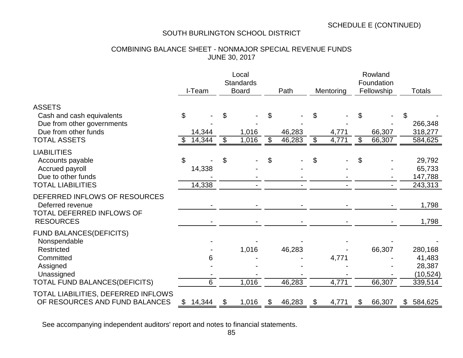# SOUTH BURLINGTON SCHOOL DISTRICT

#### COMBINING BALANCE SHEET - NONMAJOR SPECIAL REVENUE FUNDS JUNE 30, 2017

|                                                                                                                                      | I-Team                 | Local<br><b>Standards</b><br><b>Board</b> |                |          | Path             |          | Mentoring      |          | Rowland<br>Foundation<br>Fellowship | <b>Totals</b>                                       |
|--------------------------------------------------------------------------------------------------------------------------------------|------------------------|-------------------------------------------|----------------|----------|------------------|----------|----------------|----------|-------------------------------------|-----------------------------------------------------|
| <b>ASSETS</b><br>Cash and cash equivalents<br>Due from other governments<br>Due from other funds<br><b>TOTAL ASSETS</b>              | \$<br>14,344<br>14,344 | \$<br>\$                                  | 1,016<br>1,016 | \$<br>\$ | 46,283<br>46,283 | \$<br>\$ | 4,771<br>4,771 | \$<br>\$ | 66,307<br>66,307                    | \$<br>266,348<br>318,277<br>584,625                 |
| <b>LIABILITIES</b><br>Accounts payable<br>Accrued payroll<br>Due to other funds<br><b>TOTAL LIABILITIES</b>                          | \$<br>14,338<br>14,338 | \$                                        |                | \$       |                  | \$       |                | \$       |                                     | 29,792<br>65,733<br>147,788<br>243,313              |
| DEFERRED INFLOWS OF RESOURCES<br>Deferred revenue<br><b>TOTAL DEFERRED INFLOWS OF</b><br><b>RESOURCES</b>                            |                        |                                           |                |          |                  |          |                |          |                                     | 1,798<br>1,798                                      |
| <b>FUND BALANCES(DEFICITS)</b><br>Nonspendable<br>Restricted<br>Committed<br>Assigned<br>Unassigned<br>TOTAL FUND BALANCES(DEFICITS) | 6<br>6                 |                                           | 1,016<br>1,016 |          | 46,283<br>46,283 |          | 4,771<br>4,771 |          | 66,307<br>66,307                    | 280,168<br>41,483<br>28,387<br>(10, 524)<br>339,514 |
| TOTAL LIABILITIES, DEFERRED INFLOWS<br>OF RESOURCES AND FUND BALANCES                                                                | 14,344                 |                                           | 1,016          |          | 46,283           |          | 4,771          |          | 66,307                              | 584,625<br>\$                                       |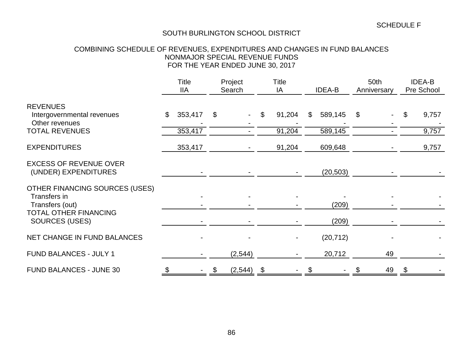|                                                                   |                | <b>Title</b><br><b>IIA</b> | Project<br>Search | <b>Title</b><br>IA |                | <b>IDEA-B</b> | 50th<br>Anniversary |    | <b>IDEA-B</b><br>Pre School |
|-------------------------------------------------------------------|----------------|----------------------------|-------------------|--------------------|----------------|---------------|---------------------|----|-----------------------------|
| <b>REVENUES</b><br>Intergovernmental revenues<br>Other revenues   | $\mathfrak{L}$ | 353,417                    | \$                | \$<br>91,204       | $\mathfrak{S}$ | 589,145       | \$                  |    | \$<br>9,757                 |
| <b>TOTAL REVENUES</b>                                             |                | 353,417                    |                   | 91,204             |                | 589,145       |                     |    | 9,757                       |
| <b>EXPENDITURES</b>                                               |                | 353,417                    |                   | 91,204             |                | 609,648       |                     |    | 9,757                       |
| <b>EXCESS OF REVENUE OVER</b><br>(UNDER) EXPENDITURES             |                |                            |                   |                    |                | (20, 503)     |                     |    |                             |
| OTHER FINANCING SOURCES (USES)<br>Transfers in<br>Transfers (out) |                |                            |                   |                    |                | (209)         |                     |    |                             |
| <b>TOTAL OTHER FINANCING</b><br><b>SOURCES (USES)</b>             |                |                            |                   |                    |                | (209)         |                     |    |                             |
| <b>NET CHANGE IN FUND BALANCES</b>                                |                |                            |                   |                    |                | (20, 712)     |                     |    |                             |
| <b>FUND BALANCES - JULY 1</b>                                     |                |                            | (2, 544)          |                    |                | 20,712        |                     | 49 |                             |
| FUND BALANCES - JUNE 30                                           |                |                            | (2, 544)          | \$                 |                |               |                     | 49 | \$                          |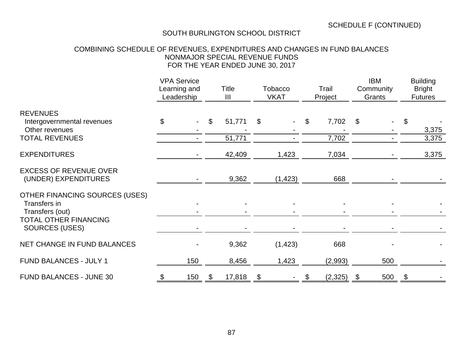|                                                                                                                            | <b>VPA Service</b><br>Learning and<br>Leadership |                | <b>Title</b><br>$\mathbf{III}$ |                            | Tobacco<br><b>VKAT</b> | Trail<br>Project |                | <b>IBM</b><br>Community<br>Grants |     |                            | <b>Building</b><br><b>Bright</b><br><b>Futures</b> |
|----------------------------------------------------------------------------------------------------------------------------|--------------------------------------------------|----------------|--------------------------------|----------------------------|------------------------|------------------|----------------|-----------------------------------|-----|----------------------------|----------------------------------------------------|
| <b>REVENUES</b><br>Intergovernmental revenues<br>Other revenues<br><b>TOTAL REVENUES</b>                                   | \$                                               | $\blacksquare$ | \$<br>51,771<br>51,771         | $\boldsymbol{\mathsf{\$}}$ |                        | \$               | 7,702<br>7,702 | \$                                |     | \$                         | 3,375<br>3,375                                     |
| <b>EXPENDITURES</b>                                                                                                        |                                                  |                | 42,409                         |                            | 1,423                  |                  | 7,034          |                                   |     |                            | 3,375                                              |
| <b>EXCESS OF REVENUE OVER</b><br>(UNDER) EXPENDITURES                                                                      |                                                  |                | 9,362                          |                            | (1, 423)               |                  | 668            |                                   |     |                            |                                                    |
| OTHER FINANCING SOURCES (USES)<br>Transfers in<br>Transfers (out)<br><b>TOTAL OTHER FINANCING</b><br><b>SOURCES (USES)</b> |                                                  |                |                                |                            |                        |                  |                |                                   |     |                            |                                                    |
| NET CHANGE IN FUND BALANCES                                                                                                |                                                  |                | 9,362                          |                            | (1, 423)               |                  | 668            |                                   |     |                            |                                                    |
| <b>FUND BALANCES - JULY 1</b>                                                                                              |                                                  | 150            | 8,456                          |                            | 1,423                  |                  | (2,993)        |                                   | 500 |                            |                                                    |
| <b>FUND BALANCES - JUNE 30</b>                                                                                             | \$                                               | 150            | \$<br>17,818                   | $\boldsymbol{\mathsf{\$}}$ |                        | \$               | $(2,325)$ \$   |                                   | 500 | $\boldsymbol{\mathcal{F}}$ |                                                    |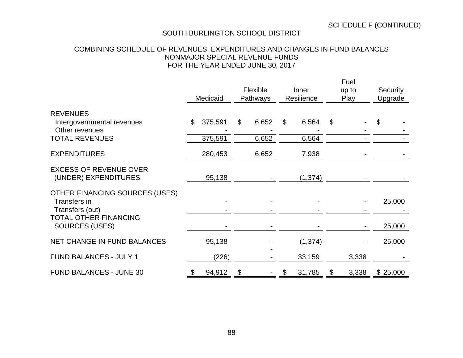|                                                                                                   | Medicaid                 |               | Flexible<br>Pathways | Inner<br>Resilience |                | Fuel<br>up to<br>Play |       | Security<br>Upgrade |
|---------------------------------------------------------------------------------------------------|--------------------------|---------------|----------------------|---------------------|----------------|-----------------------|-------|---------------------|
| <b>REVENUES</b><br>Intergovernmental revenues<br>Other revenues<br><b>TOTAL REVENUES</b>          | \$<br>375,591<br>375,591 | $\mathcal{L}$ | 6,652<br>6,652       | $\mathfrak{S}$      | 6,564<br>6,564 | \$                    |       | \$                  |
| <b>EXPENDITURES</b>                                                                               | 280,453                  |               | 6,652                |                     | 7,938          |                       |       |                     |
| <b>EXCESS OF REVENUE OVER</b><br>(UNDER) EXPENDITURES                                             | 95,138                   |               |                      |                     | (1, 374)       |                       |       |                     |
| OTHER FINANCING SOURCES (USES)<br>Transfers in<br>Transfers (out)<br><b>TOTAL OTHER FINANCING</b> |                          |               |                      |                     |                |                       |       | 25,000              |
| <b>SOURCES (USES)</b>                                                                             |                          |               |                      |                     |                |                       |       | 25,000              |
| NET CHANGE IN FUND BALANCES                                                                       | 95,138                   |               |                      |                     | (1, 374)       |                       |       | 25,000              |
| <b>FUND BALANCES - JULY 1</b>                                                                     | (226)                    |               |                      |                     | 33,159         |                       | 3,338 |                     |
| <b>FUND BALANCES - JUNE 30</b>                                                                    | \$<br>94,912             | \$            |                      | \$                  | 31,785         | \$                    | 3,338 | \$25,000            |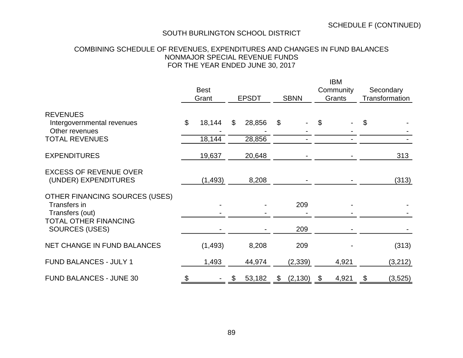|                                                                   | <b>Best</b><br>Grant |          | <b>EPSDT</b>   |        | <b>SBNN</b>    |          | <b>IBM</b><br>Community<br>Grants |       | Secondary<br>Transformation |
|-------------------------------------------------------------------|----------------------|----------|----------------|--------|----------------|----------|-----------------------------------|-------|-----------------------------|
| <b>REVENUES</b><br>Intergovernmental revenues<br>Other revenues   | \$                   | 18,144   | $\mathfrak{S}$ | 28,856 | $\mathfrak{S}$ |          | \$                                |       | \$                          |
| <b>TOTAL REVENUES</b>                                             |                      | 18,144   |                | 28,856 |                |          |                                   |       |                             |
| <b>EXPENDITURES</b>                                               |                      | 19,637   |                | 20,648 |                |          |                                   |       | 313                         |
| <b>EXCESS OF REVENUE OVER</b><br>(UNDER) EXPENDITURES             |                      | (1, 493) |                | 8,208  |                |          |                                   |       | (313)                       |
| OTHER FINANCING SOURCES (USES)<br>Transfers in<br>Transfers (out) |                      |          |                |        |                | 209      |                                   |       |                             |
| <b>TOTAL OTHER FINANCING</b><br><b>SOURCES (USES)</b>             |                      |          |                |        |                | 209      |                                   |       |                             |
| <b>NET CHANGE IN FUND BALANCES</b>                                |                      | (1, 493) |                | 8,208  |                | 209      |                                   |       | (313)                       |
| <b>FUND BALANCES - JULY 1</b>                                     |                      | 1,493    |                | 44,974 |                | (2, 339) |                                   | 4,921 | (3,212)                     |
| <b>FUND BALANCES - JUNE 30</b>                                    | \$                   |          | \$             | 53,182 | \$             | (2, 130) | \$                                | 4,921 | \$<br>(3, 525)              |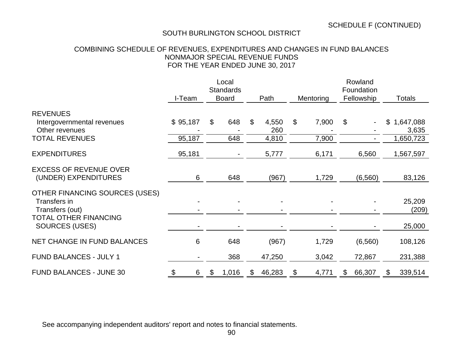#### COMBINING SCHEDULE OF REVENUES, EXPENDITURES AND CHANGES IN FUND BALANCES NONMAJOR SPECIAL REVENUE FUNDS FOR THE YEAR ENDED JUNE 30, 2017

|                                                                                                                            | I-Team                         | Local<br><b>Standards</b><br><b>Board</b> | Path                        | Mentoring                        | Rowland<br>Foundation<br>Fellowship | <b>Totals</b>                         |
|----------------------------------------------------------------------------------------------------------------------------|--------------------------------|-------------------------------------------|-----------------------------|----------------------------------|-------------------------------------|---------------------------------------|
| <b>REVENUES</b><br>Intergovernmental revenues<br>Other revenues<br><b>TOTAL REVENUES</b>                                   | \$95,187<br>95,187             | \$<br>648<br>648                          | \$<br>4,550<br>260<br>4,810 | $\mathfrak{L}$<br>7,900<br>7,900 | \$                                  | \$<br>1,647,088<br>3,635<br>1,650,723 |
| <b>EXPENDITURES</b>                                                                                                        | 95,181                         |                                           | 5,777                       | 6,171                            | 6,560                               | 1,567,597                             |
| <b>EXCESS OF REVENUE OVER</b><br>(UNDER) EXPENDITURES                                                                      | 6                              | 648                                       | (967)                       | 1,729                            | (6, 560)                            | 83,126                                |
| OTHER FINANCING SOURCES (USES)<br>Transfers in<br>Transfers (out)<br><b>TOTAL OTHER FINANCING</b><br><b>SOURCES (USES)</b> |                                |                                           |                             |                                  |                                     | 25,209<br>(209)<br>25,000             |
| <b>NET CHANGE IN FUND BALANCES</b>                                                                                         | 6                              | 648                                       | (967)                       | 1,729                            | (6, 560)                            | 108,126                               |
| <b>FUND BALANCES - JULY 1</b>                                                                                              |                                | 368                                       | 47,250                      | 3,042                            | 72,867                              | 231,388                               |
| <b>FUND BALANCES - JUNE 30</b>                                                                                             | $\boldsymbol{\mathsf{S}}$<br>6 | $\$\$<br>1,016                            | 46,283<br>\$                | 4,771<br>\$                      | 66,307<br>\$                        | 339,514<br>\$                         |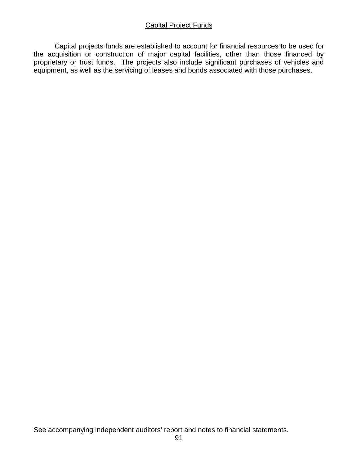### Capital Project Funds

Capital projects funds are established to account for financial resources to be used for the acquisition or construction of major capital facilities, other than those financed by proprietary or trust funds. The projects also include significant purchases of vehicles and equipment, as well as the servicing of leases and bonds associated with those purchases.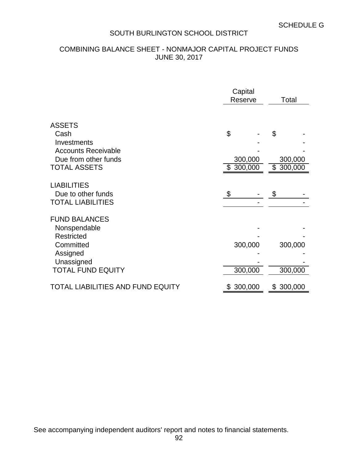# COMBINING BALANCE SHEET - NONMAJOR CAPITAL PROJECT FUNDS JUNE 30, 2017

|                                                                                                                              | Capital                   |                    |                           |                    |
|------------------------------------------------------------------------------------------------------------------------------|---------------------------|--------------------|---------------------------|--------------------|
|                                                                                                                              | Reserve                   |                    |                           | Total              |
|                                                                                                                              |                           |                    |                           |                    |
| <b>ASSETS</b><br>Cash<br>Investments<br><b>Accounts Receivable</b>                                                           | $\boldsymbol{\mathsf{S}}$ |                    | \$                        |                    |
| Due from other funds                                                                                                         |                           | 300,000            |                           | 300,000            |
| <b>TOTAL ASSETS</b>                                                                                                          | \$300,000                 |                    | $\overline{\mathfrak{s}}$ | 300,000            |
| <b>LIABILITIES</b><br>Due to other funds<br><b>TOTAL LIABILITIES</b>                                                         | \$                        |                    | \$                        |                    |
| <b>FUND BALANCES</b><br>Nonspendable<br><b>Restricted</b><br>Committed<br>Assigned<br>Unassigned<br><b>TOTAL FUND EQUITY</b> |                           | 300,000<br>300,000 |                           | 300,000<br>300,000 |
| TOTAL LIABILITIES AND FUND EQUITY                                                                                            | \$                        | 300,000            | \$                        | 300,000            |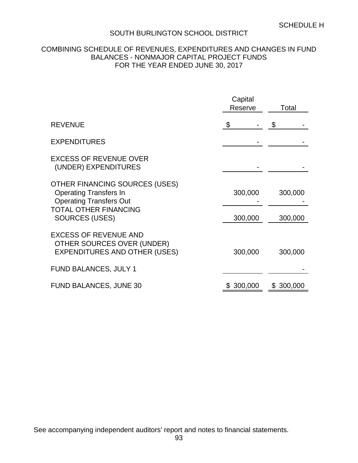|                                                                                                           | Capital<br>Reserve | Total        |
|-----------------------------------------------------------------------------------------------------------|--------------------|--------------|
| <b>REVENUE</b>                                                                                            | \$                 | \$           |
| <b>EXPENDITURES</b>                                                                                       |                    |              |
| <b>EXCESS OF REVENUE OVER</b><br>(UNDER) EXPENDITURES                                                     |                    |              |
| OTHER FINANCING SOURCES (USES)<br><b>Operating Transfers In</b><br><b>Operating Transfers Out</b>         | 300,000            | 300,000      |
| <b>TOTAL OTHER FINANCING</b><br><b>SOURCES (USES)</b>                                                     | 300,000            | 300,000      |
| <b>EXCESS OF REVENUE AND</b><br><b>OTHER SOURCES OVER (UNDER)</b><br><b>EXPENDITURES AND OTHER (USES)</b> | 300,000            | 300,000      |
| <b>FUND BALANCES, JULY 1</b>                                                                              |                    |              |
| <b>FUND BALANCES, JUNE 30</b>                                                                             | 300,000            | 300,000<br>Ъ |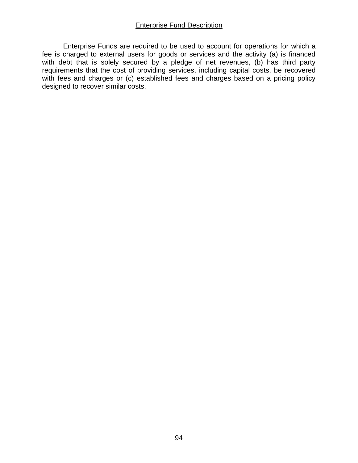### Enterprise Fund Description

Enterprise Funds are required to be used to account for operations for which a fee is charged to external users for goods or services and the activity (a) is financed with debt that is solely secured by a pledge of net revenues, (b) has third party requirements that the cost of providing services, including capital costs, be recovered with fees and charges or (c) established fees and charges based on a pricing policy designed to recover similar costs.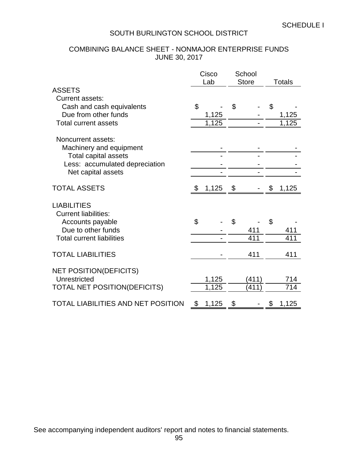# COMBINING BALANCE SHEET - NONMAJOR ENTERPRISE FUNDS JUNE 30, 2017

|                                           | Cisco<br>Lab       | School<br><b>Store</b> | <b>Totals</b> |       |  |
|-------------------------------------------|--------------------|------------------------|---------------|-------|--|
| <b>ASSETS</b>                             |                    |                        |               |       |  |
| <b>Current assets:</b>                    |                    |                        |               |       |  |
| Cash and cash equivalents                 | \$                 | \$                     | \$            |       |  |
| Due from other funds                      | 1,125              |                        |               | 1,125 |  |
| <b>Total current assets</b>               | $\overline{1,125}$ |                        |               | 1,125 |  |
| Noncurrent assets:                        |                    |                        |               |       |  |
| Machinery and equipment                   |                    |                        |               |       |  |
| Total capital assets                      |                    |                        |               |       |  |
| Less: accumulated depreciation            |                    |                        |               |       |  |
| Net capital assets                        |                    |                        |               |       |  |
| <b>TOTAL ASSETS</b>                       | \$<br>1,125        | \$                     | \$            | 1,125 |  |
| <b>LIABILITIES</b>                        |                    |                        |               |       |  |
| <b>Current liabilities:</b>               |                    |                        |               |       |  |
| Accounts payable                          | \$                 | \$                     | \$            |       |  |
| Due to other funds                        |                    | 411                    |               | 411   |  |
| <b>Total current liabilities</b>          |                    | 411                    |               | 411   |  |
| <b>TOTAL LIABILITIES</b>                  |                    | 411                    |               | 411   |  |
|                                           |                    |                        |               |       |  |
| <b>NET POSITION(DEFICITS)</b>             |                    |                        |               |       |  |
| Unrestricted                              | 1,125              | (411)                  |               | 714   |  |
| TOTAL NET POSITION(DEFICITS)              | 1,125              | (411)                  |               | 714   |  |
| <b>TOTAL LIABILITIES AND NET POSITION</b> | \$<br>1,125        | \$                     |               | 1,125 |  |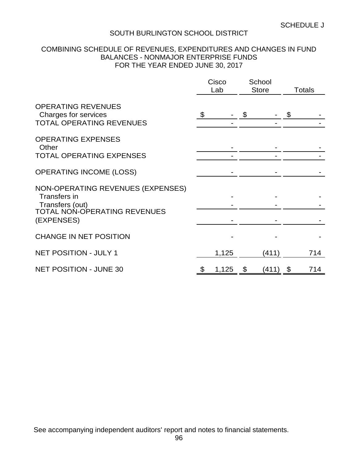|                                                                                                                    | Cisco<br>Lab | School<br><b>Store</b>     |       | <b>Totals</b> |
|--------------------------------------------------------------------------------------------------------------------|--------------|----------------------------|-------|---------------|
| <b>OPERATING REVENUES</b><br>Charges for services<br><b>TOTAL OPERATING REVENUES</b>                               | \$           | $\boldsymbol{\mathsf{\$}}$ |       | \$            |
| <b>OPERATING EXPENSES</b><br>Other<br><b>TOTAL OPERATING EXPENSES</b>                                              |              |                            |       |               |
| <b>OPERATING INCOME (LOSS)</b>                                                                                     |              |                            |       |               |
| NON-OPERATING REVENUES (EXPENSES)<br>Transfers in<br>Transfers (out)<br>TOTAL NON-OPERATING REVENUES<br>(EXPENSES) |              |                            |       |               |
| <b>CHANGE IN NET POSITION</b>                                                                                      |              |                            |       |               |
| <b>NET POSITION - JULY 1</b>                                                                                       | 1,125        |                            | (411) | 714           |
| <b>NET POSITION - JUNE 30</b>                                                                                      | 1,125        | \$                         | (411) | \$<br>714     |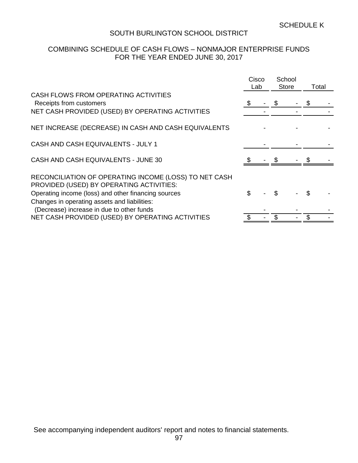## COMBINING SCHEDULE OF CASH FLOWS – NONMAJOR ENTERPRISE FUNDS FOR THE YEAR ENDED JUNE 30, 2017

|                                                                                                                                                                                                                                                       | Cisco<br>Lab |     | School<br><b>Store</b> | Total |
|-------------------------------------------------------------------------------------------------------------------------------------------------------------------------------------------------------------------------------------------------------|--------------|-----|------------------------|-------|
| CASH FLOWS FROM OPERATING ACTIVITIES<br>Receipts from customers<br>NET CASH PROVIDED (USED) BY OPERATING ACTIVITIES                                                                                                                                   | -\$          |     |                        |       |
| NET INCREASE (DECREASE) IN CASH AND CASH EQUIVALENTS                                                                                                                                                                                                  |              |     |                        |       |
| CASH AND CASH EQUIVALENTS - JULY 1                                                                                                                                                                                                                    |              |     |                        |       |
| CASH AND CASH EQUIVALENTS - JUNE 30                                                                                                                                                                                                                   |              |     |                        |       |
| RECONCILIATION OF OPERATING INCOME (LOSS) TO NET CASH<br>PROVIDED (USED) BY OPERATING ACTIVITIES:<br>Operating income (loss) and other financing sources<br>Changes in operating assets and liabilities:<br>(Decrease) increase in due to other funds | \$           | -\$ |                        | \$    |
| NET CASH PROVIDED (USED) BY OPERATING ACTIVITIES                                                                                                                                                                                                      |              |     |                        |       |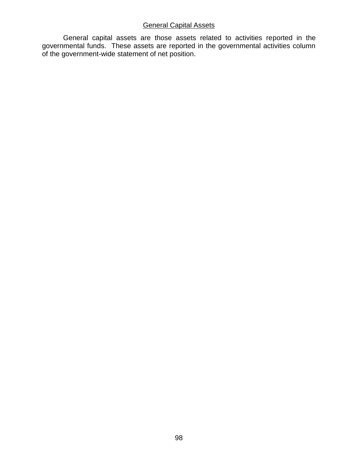### General Capital Assets

General capital assets are those assets related to activities reported in the governmental funds. These assets are reported in the governmental activities column of the government-wide statement of net position.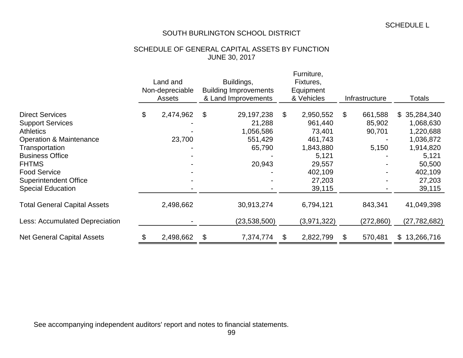### SCHEDULE OF GENERAL CAPITAL ASSETS BY FUNCTION JUNE 30, 2017

|                                     | Land and<br>Non-depreciable<br><b>Assets</b> |           | Buildings,<br><b>Building Improvements</b><br>& Land Improvements |                | Furniture,<br>Fixtures,<br>Equipment<br>& Vehicles |             | Infrastructure |            | <b>Totals</b>  |
|-------------------------------------|----------------------------------------------|-----------|-------------------------------------------------------------------|----------------|----------------------------------------------------|-------------|----------------|------------|----------------|
| <b>Direct Services</b>              | \$                                           | 2,474,962 | \$                                                                | 29,197,238     | \$                                                 | 2,950,552   | \$             | 661,588    | \$35,284,340   |
| <b>Support Services</b>             |                                              |           |                                                                   | 21,288         |                                                    | 961,440     |                | 85,902     | 1,068,630      |
| <b>Athletics</b>                    |                                              |           |                                                                   | 1,056,586      |                                                    | 73,401      |                | 90,701     | 1,220,688      |
| <b>Operation &amp; Maintenance</b>  |                                              | 23,700    |                                                                   | 551,429        |                                                    | 461,743     |                |            | 1,036,872      |
| Transportation                      |                                              |           |                                                                   | 65,790         |                                                    | 1,843,880   |                | 5,150      | 1,914,820      |
| <b>Business Office</b>              |                                              |           |                                                                   |                |                                                    | 5,121       |                |            | 5,121          |
| <b>FHTMS</b>                        |                                              |           |                                                                   | 20,943         |                                                    | 29,557      |                |            | 50,500         |
| <b>Food Service</b>                 |                                              |           |                                                                   |                |                                                    | 402,109     |                |            | 402,109        |
| <b>Superintendent Office</b>        |                                              |           |                                                                   |                |                                                    | 27,203      |                |            | 27,203         |
| <b>Special Education</b>            |                                              |           |                                                                   |                |                                                    | 39,115      |                |            | 39,115         |
| <b>Total General Capital Assets</b> |                                              | 2,498,662 |                                                                   | 30,913,274     |                                                    | 6,794,121   |                | 843,341    | 41,049,398     |
| Less: Accumulated Depreciation      |                                              |           |                                                                   | (23, 538, 500) |                                                    | (3,971,322) |                | (272, 860) | (27, 782, 682) |
| <b>Net General Capital Assets</b>   |                                              | 2,498,662 | \$                                                                | 7,374,774      | \$                                                 | 2,822,799   | æ.             | 570,481    | \$13,266,716   |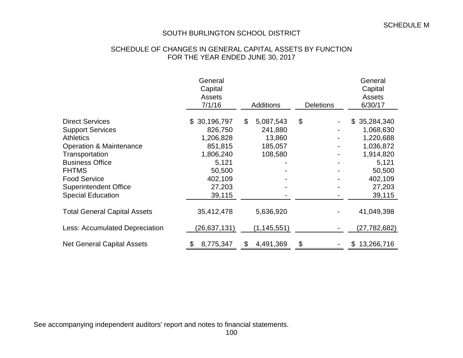#### SCHEDULE OF CHANGES IN GENERAL CAPITAL ASSETS BY FUNCTION FOR THE YEAR ENDED JUNE 30, 2017

|                                       | General<br>Capital<br><b>Assets</b><br>7/1/16 | <b>Additions</b> | <b>Deletions</b> | General<br>Capital<br>Assets<br>6/30/17 |  |
|---------------------------------------|-----------------------------------------------|------------------|------------------|-----------------------------------------|--|
| <b>Direct Services</b>                | \$30,196,797                                  | \$<br>5,087,543  | \$               | 35,284,340<br>\$                        |  |
| <b>Support Services</b>               | 826,750                                       | 241,880          |                  | 1,068,630                               |  |
| <b>Athletics</b>                      | 1,206,828                                     | 13,860           |                  | 1,220,688                               |  |
| <b>Operation &amp; Maintenance</b>    | 851,815                                       |                  |                  | 1,036,872                               |  |
|                                       |                                               | 185,057          |                  |                                         |  |
| Transportation                        | 1,806,240                                     | 108,580          |                  | 1,914,820                               |  |
| <b>Business Office</b>                | 5,121                                         |                  |                  | 5,121                                   |  |
| <b>FHTMS</b>                          | 50,500                                        |                  |                  | 50,500                                  |  |
| <b>Food Service</b>                   | 402,109                                       |                  |                  | 402,109                                 |  |
| <b>Superintendent Office</b>          | 27,203                                        |                  |                  | 27,203                                  |  |
| <b>Special Education</b>              | 39,115                                        |                  |                  | 39,115                                  |  |
| <b>Total General Capital Assets</b>   | 35,412,478                                    | 5,636,920        |                  | 41,049,398                              |  |
| <b>Less: Accumulated Depreciation</b> | (26, 637, 131)                                | (1, 145, 551)    |                  | (27, 782, 682)                          |  |
| <b>Net General Capital Assets</b>     | 8,775,347                                     | 4,491,369<br>\$  | \$               | 13,266,716<br>\$                        |  |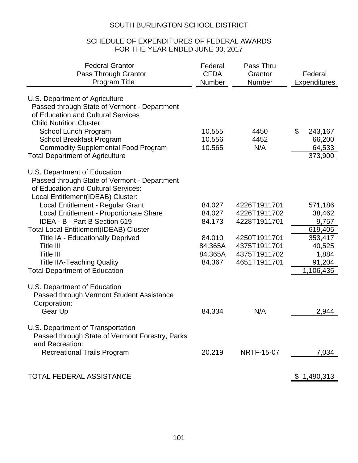## SCHEDULE OF EXPENDITURES OF FEDERAL AWARDS FOR THE YEAR ENDED JUNE 30, 2017

| <b>Federal Grantor</b><br>Pass Through Grantor<br><b>Program Title</b>                                                                                   | Federal<br><b>CFDA</b><br>Number | Pass Thru<br>Grantor<br>Number | Federal<br><b>Expenditures</b> |  |
|----------------------------------------------------------------------------------------------------------------------------------------------------------|----------------------------------|--------------------------------|--------------------------------|--|
| U.S. Department of Agriculture<br>Passed through State of Vermont - Department<br>of Education and Cultural Services<br><b>Child Nutrition Cluster:</b>  |                                  |                                |                                |  |
| School Lunch Program                                                                                                                                     | 10.555                           | 4450                           | \$<br>243,167                  |  |
| School Breakfast Program                                                                                                                                 | 10.556                           | 4452                           | 66,200                         |  |
| <b>Commodity Supplemental Food Program</b>                                                                                                               | 10.565                           | N/A                            | 64,533                         |  |
| <b>Total Department of Agriculture</b>                                                                                                                   |                                  |                                | 373,900                        |  |
| U.S. Department of Education<br>Passed through State of Vermont - Department<br>of Education and Cultural Services:<br>Local Entitlement(IDEAB) Cluster: |                                  |                                |                                |  |
| Local Entitlement - Regular Grant                                                                                                                        | 84.027                           | 4226T1911701                   | 571,186                        |  |
| Local Entitlement - Proportionate Share                                                                                                                  | 84.027                           | 4226T1911702                   | 38,462                         |  |
| IDEA - B - Part B Section 619                                                                                                                            | 84.173                           | 4228T1911701                   | 9,757                          |  |
| <b>Total Local Entitlement(IDEAB) Cluster</b>                                                                                                            |                                  |                                | 619,405                        |  |
| <b>Title IA - Educationally Deprived</b>                                                                                                                 | 84.010                           | 4250T1911701                   | 353,417                        |  |
| Title III                                                                                                                                                | 84.365A                          | 4375T1911701                   | 40,525                         |  |
| Title III                                                                                                                                                | 84.365A                          | 4375T1911702                   | 1,884                          |  |
| <b>Title IIA-Teaching Quality</b>                                                                                                                        | 84.367                           | 4651T1911701                   | 91,204                         |  |
| <b>Total Department of Education</b>                                                                                                                     |                                  |                                | 1,106,435                      |  |
| U.S. Department of Education<br>Passed through Vermont Student Assistance<br>Corporation:<br>Gear Up                                                     | 84.334                           | N/A                            | 2,944                          |  |
| U.S. Department of Transportation<br>Passed through State of Vermont Forestry, Parks<br>and Recreation:                                                  |                                  |                                |                                |  |
| <b>Recreational Trails Program</b>                                                                                                                       | 20.219                           | <b>NRTF-15-07</b>              | 7,034                          |  |
| TOTAL FEDERAL ASSISTANCE                                                                                                                                 |                                  |                                | 1,490,313<br>\$                |  |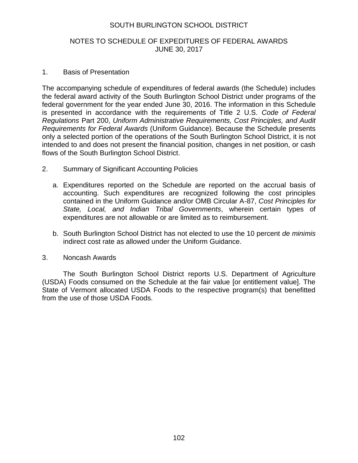### NOTES TO SCHEDULE OF EXPEDITURES OF FEDERAL AWARDS JUNE 30, 2017

### 1. Basis of Presentation

The accompanying schedule of expenditures of federal awards (the Schedule) includes the federal award activity of the South Burlington School District under programs of the federal government for the year ended June 30, 2016. The information in this Schedule is presented in accordance with the requirements of Title 2 U.S. *Code of Federal Regulations* Part 200, *Uniform Administrative Requirements, Cost Principles, and Audit Requirements for Federal Awards* (Uniform Guidance). Because the Schedule presents only a selected portion of the operations of the South Burlington School District, it is not intended to and does not present the financial position, changes in net position, or cash flows of the South Burlington School District.

- 2. Summary of Significant Accounting Policies
	- a. Expenditures reported on the Schedule are reported on the accrual basis of accounting. Such expenditures are recognized following the cost principles contained in the Uniform Guidance and/or OMB Circular A-87, *Cost Principles for State, Local, and Indian Tribal Governments*, wherein certain types of expenditures are not allowable or are limited as to reimbursement.
	- b. South Burlington School District has not elected to use the 10 percent *de minimis* indirect cost rate as allowed under the Uniform Guidance.
- 3. Noncash Awards

The South Burlington School District reports U.S. Department of Agriculture (USDA) Foods consumed on the Schedule at the fair value [or entitlement value]. The State of Vermont allocated USDA Foods to the respective program(s) that benefitted from the use of those USDA Foods.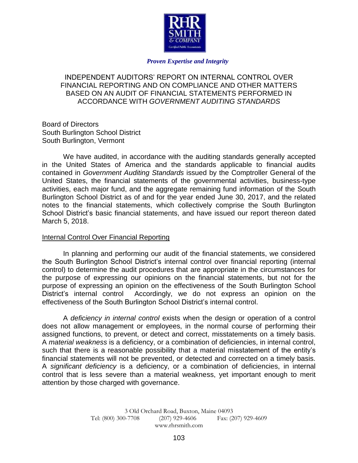

### *Proven Expertise and Integrity*

### INDEPENDENT AUDITORS' REPORT ON INTERNAL CONTROL OVER FINANCIAL REPORTING AND ON COMPLIANCE AND OTHER MATTERS BASED ON AN AUDIT OF FINANCIAL STATEMENTS PERFORMED IN ACCORDANCE WITH *GOVERNMENT AUDITING STANDARDS*

Board of Directors South Burlington School District South Burlington, Vermont

We have audited, in accordance with the auditing standards generally accepted in the United States of America and the standards applicable to financial audits contained in *Government Auditing Standards* issued by the Comptroller General of the United States, the financial statements of the governmental activities, business-type activities, each major fund, and the aggregate remaining fund information of the South Burlington School District as of and for the year ended June 30, 2017, and the related notes to the financial statements, which collectively comprise the South Burlington School District's basic financial statements, and have issued our report thereon dated March 5, 2018.

#### Internal Control Over Financial Reporting

In planning and performing our audit of the financial statements, we considered the South Burlington School District's internal control over financial reporting (internal control) to determine the audit procedures that are appropriate in the circumstances for the purpose of expressing our opinions on the financial statements, but not for the purpose of expressing an opinion on the effectiveness of the South Burlington School District's internal control Accordingly, we do not express an opinion on the effectiveness of the South Burlington School District's internal control.

A *deficiency in internal control* exists when the design or operation of a control does not allow management or employees, in the normal course of performing their assigned functions, to prevent, or detect and correct, misstatements on a timely basis. A *material weakness* is a deficiency, or a combination of deficiencies, in internal control, such that there is a reasonable possibility that a material misstatement of the entity's financial statements will not be prevented, or detected and corrected on a timely basis. A *significant deficiency* is a deficiency, or a combination of deficiencies, in internal control that is less severe than a material weakness, yet important enough to merit attention by those charged with governance.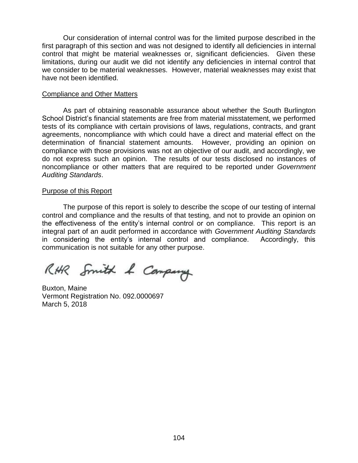Our consideration of internal control was for the limited purpose described in the first paragraph of this section and was not designed to identify all deficiencies in internal control that might be material weaknesses or, significant deficiencies. Given these limitations, during our audit we did not identify any deficiencies in internal control that we consider to be material weaknesses. However, material weaknesses may exist that have not been identified.

#### Compliance and Other Matters

As part of obtaining reasonable assurance about whether the South Burlington School District's financial statements are free from material misstatement, we performed tests of its compliance with certain provisions of laws, regulations, contracts, and grant agreements, noncompliance with which could have a direct and material effect on the determination of financial statement amounts. However, providing an opinion on compliance with those provisions was not an objective of our audit, and accordingly, we do not express such an opinion. The results of our tests disclosed no instances of noncompliance or other matters that are required to be reported under *Government Auditing Standards*.

#### Purpose of this Report

The purpose of this report is solely to describe the scope of our testing of internal control and compliance and the results of that testing, and not to provide an opinion on the effectiveness of the entity's internal control or on compliance. This report is an integral part of an audit performed in accordance with *Government Auditing Standards* in considering the entity's internal control and compliance. Accordingly, this communication is not suitable for any other purpose.

RHR Smith & Company

Buxton, Maine Vermont Registration No. 092.0000697 March 5, 2018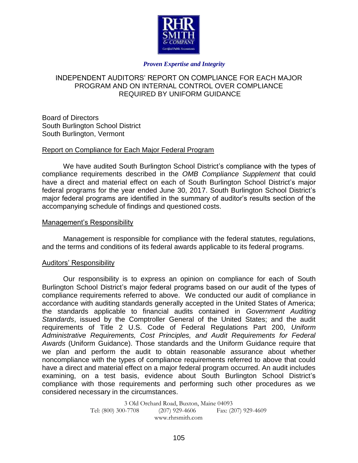

#### *Proven Expertise and Integrity*

### INDEPENDENT AUDITORS' REPORT ON COMPLIANCE FOR EACH MAJOR PROGRAM AND ON INTERNAL CONTROL OVER COMPLIANCE REQUIRED BY UNIFORM GUIDANCE

Board of Directors South Burlington School District South Burlington, Vermont

#### Report on Compliance for Each Major Federal Program

We have audited South Burlington School District's compliance with the types of compliance requirements described in the *OMB Compliance Supplement* that could have a direct and material effect on each of South Burlington School District's major federal programs for the year ended June 30, 2017. South Burlington School District's major federal programs are identified in the summary of auditor's results section of the accompanying schedule of findings and questioned costs.

#### Management's Responsibility

Management is responsible for compliance with the federal statutes, regulations, and the terms and conditions of its federal awards applicable to its federal programs.

### Auditors' Responsibility

Our responsibility is to express an opinion on compliance for each of South Burlington School District's major federal programs based on our audit of the types of compliance requirements referred to above. We conducted our audit of compliance in accordance with auditing standards generally accepted in the United States of America; the standards applicable to financial audits contained in *Government Auditing Standards*, issued by the Comptroller General of the United States; and the audit requirements of Title 2 U.S. Code of Federal Regulations Part 200, *Uniform Administrative Requirements, Cost Principles, and Audit Requirements for Federal Awards* (Uniform Guidance). Those standards and the Uniform Guidance require that we plan and perform the audit to obtain reasonable assurance about whether noncompliance with the types of compliance requirements referred to above that could have a direct and material effect on a major federal program occurred. An audit includes examining, on a test basis, evidence about South Burlington School District's compliance with those requirements and performing such other procedures as we considered necessary in the circumstances.

> 3 Old Orchard Road, Buxton, Maine 04093 Tel: (800) 300-7708 (207) 929-4606 Fax: (207) 929-4609 www.rhrsmith.com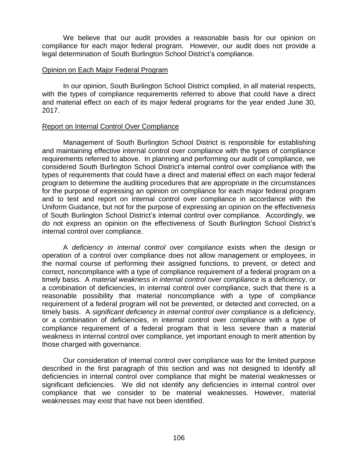We believe that our audit provides a reasonable basis for our opinion on compliance for each major federal program. However, our audit does not provide a legal determination of South Burlington School District's compliance.

### Opinion on Each Major Federal Program

In our opinion, South Burlington School District complied, in all material respects, with the types of compliance requirements referred to above that could have a direct and material effect on each of its major federal programs for the year ended June 30, 2017.

### Report on Internal Control Over Compliance

Management of South Burlington School District is responsible for establishing and maintaining effective internal control over compliance with the types of compliance requirements referred to above. In planning and performing our audit of compliance, we considered South Burlington School District's internal control over compliance with the types of requirements that could have a direct and material effect on each major federal program to determine the auditing procedures that are appropriate in the circumstances for the purpose of expressing an opinion on compliance for each major federal program and to test and report on internal control over compliance in accordance with the Uniform Guidance, but not for the purpose of expressing an opinion on the effectiveness of South Burlington School District's internal control over compliance. Accordingly, we do not express an opinion on the effectiveness of South Burlington School District's internal control over compliance.

A *deficiency in internal control over compliance* exists when the design or operation of a control over compliance does not allow management or employees, in the normal course of performing their assigned functions, to prevent, or detect and correct, noncompliance with a type of compliance requirement of a federal program on a timely basis. A *material weakness in internal control over compliance* is a deficiency, or a combination of deficiencies, in internal control over compliance, such that there is a reasonable possibility that material noncompliance with a type of compliance requirement of a federal program will not be prevented, or detected and corrected, on a timely basis. A *significant deficiency in internal control over compliance* is a deficiency, or a combination of deficiencies, in internal control over compliance with a type of compliance requirement of a federal program that is less severe than a material weakness in internal control over compliance, yet important enough to merit attention by those charged with governance.

Our consideration of internal control over compliance was for the limited purpose described in the first paragraph of this section and was not designed to identify all deficiencies in internal control over compliance that might be material weaknesses or significant deficiencies. We did not identify any deficiencies in internal control over compliance that we consider to be material weaknesses. However, material weaknesses may exist that have not been identified.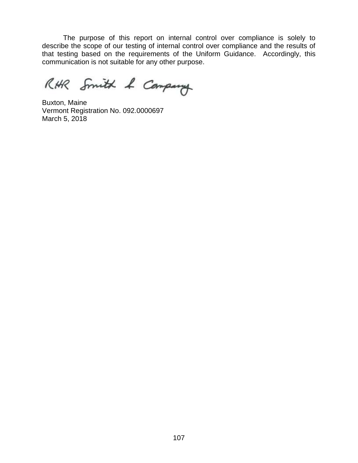The purpose of this report on internal control over compliance is solely to describe the scope of our testing of internal control over compliance and the results of that testing based on the requirements of the Uniform Guidance. Accordingly, this communication is not suitable for any other purpose.

RHR Smith & Company

Buxton, Maine Vermont Registration No. 092.0000697 March 5, 2018